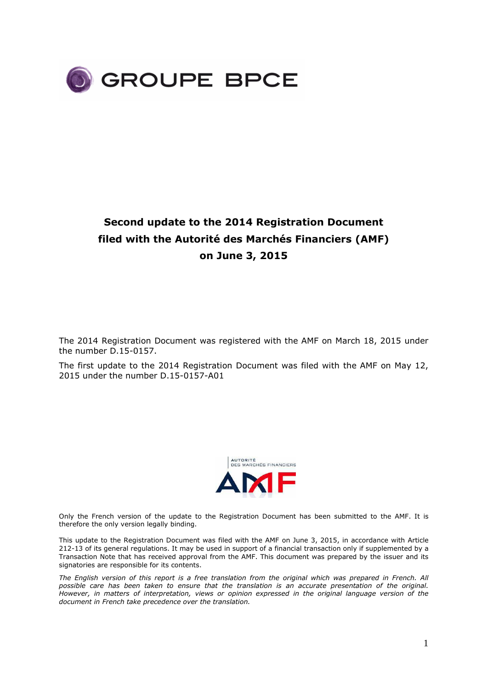

# **Second update to the 2014 Registration Document filed with the Autorité des Marchés Financiers (AMF) on June 3, 2015**

The 2014 Registration Document was registered with the AMF on March 18, 2015 under the number D.15-0157.

The first update to the 2014 Registration Document was filed with the AMF on May 12, 2015 under the number D.15-0157-A01



Only the French version of the update to the Registration Document has been submitted to the AMF. It is therefore the only version legally binding.

This update to the Registration Document was filed with the AMF on June 3, 2015, in accordance with Article 212-13 of its general regulations. It may be used in support of a financial transaction only if supplemented by a Transaction Note that has received approval from the AMF. This document was prepared by the issuer and its signatories are responsible for its contents.

*The English version of this report is a free translation from the original which was prepared in French. All possible care has been taken to ensure that the translation is an accurate presentation of the original. However, in matters of interpretation, views or opinion expressed in the original language version of the document in French take precedence over the translation.*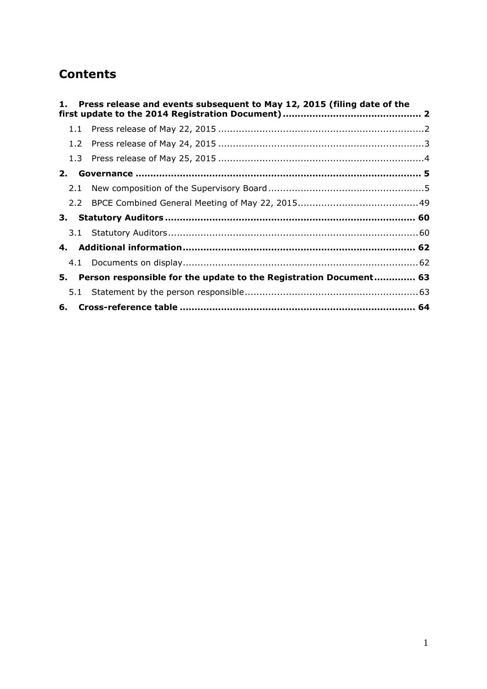# **Contents**

| 1.            | Press release and events subsequent to May 12, 2015 (filing date of the |  |
|---------------|-------------------------------------------------------------------------|--|
| 1.1           |                                                                         |  |
| $1.2^{\circ}$ |                                                                         |  |
|               |                                                                         |  |
| 2.            |                                                                         |  |
| 2.1           |                                                                         |  |
|               |                                                                         |  |
|               |                                                                         |  |
|               |                                                                         |  |
|               |                                                                         |  |
|               |                                                                         |  |
| 5.            | Person responsible for the update to the Registration Document 63       |  |
| 5.1           |                                                                         |  |
|               |                                                                         |  |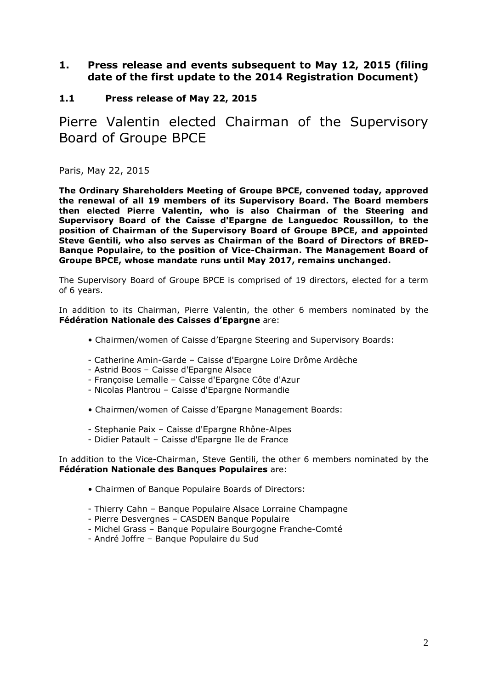# **1. Press release and events subsequent to May 12, 2015 (filing date of the first update to the 2014 Registration Document)**

# **1.1 Press release of May 22, 2015**

Pierre Valentin elected Chairman of the Supervisory Board of Groupe BPCE

Paris, May 22, 2015

**The Ordinary Shareholders Meeting of Groupe BPCE, convened today, approved the renewal of all 19 members of its Supervisory Board. The Board members then elected Pierre Valentin, who is also Chairman of the Steering and Supervisory Board of the Caisse d'Epargne de Languedoc Roussillon, to the position of Chairman of the Supervisory Board of Groupe BPCE, and appointed Steve Gentili, who also serves as Chairman of the Board of Directors of BRED-Banque Populaire, to the position of Vice-Chairman. The Management Board of Groupe BPCE, whose mandate runs until May 2017, remains unchanged.** 

The Supervisory Board of Groupe BPCE is comprised of 19 directors, elected for a term of 6 years.

In addition to its Chairman, Pierre Valentin, the other 6 members nominated by the **Fédération Nationale des Caisses d'Epargne** are:

- Chairmen/women of Caisse d'Epargne Steering and Supervisory Boards:
- Catherine Amin-Garde Caisse d'Epargne Loire Drôme Ardèche
- Astrid Boos Caisse d'Epargne Alsace
- Françoise Lemalle Caisse d'Epargne Côte d'Azur
- Nicolas Plantrou Caisse d'Epargne Normandie
- Chairmen/women of Caisse d'Epargne Management Boards:
- Stephanie Paix Caisse d'Epargne Rhône-Alpes
- Didier Patault Caisse d'Epargne Ile de France

In addition to the Vice-Chairman, Steve Gentili, the other 6 members nominated by the **Fédération Nationale des Banques Populaires** are:

- Chairmen of Banque Populaire Boards of Directors:
- Thierry Cahn Banque Populaire Alsace Lorraine Champagne
- Pierre Desvergnes CASDEN Banque Populaire
- Michel Grass Banque Populaire Bourgogne Franche-Comté
- André Joffre Banque Populaire du Sud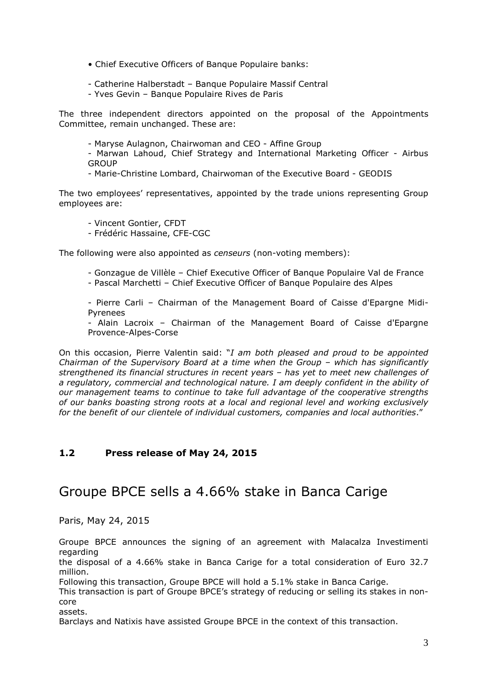- Chief Executive Officers of Banque Populaire banks:
- Catherine Halberstadt Banque Populaire Massif Central
- Yves Gevin Banque Populaire Rives de Paris

The three independent directors appointed on the proposal of the Appointments Committee, remain unchanged. These are:

- Maryse Aulagnon, Chairwoman and CEO - Affine Group

- Marwan Lahoud, Chief Strategy and International Marketing Officer - Airbus **GROUP** 

- Marie-Christine Lombard, Chairwoman of the Executive Board - GEODIS

The two employees' representatives, appointed by the trade unions representing Group employees are:

- Vincent Gontier, CFDT
- Frédéric Hassaine, CFE-CGC

The following were also appointed as *censeurs* (non-voting members):

- Gonzague de Villèle Chief Executive Officer of Banque Populaire Val de France
- Pascal Marchetti Chief Executive Officer of Banque Populaire des Alpes

- Pierre Carli – Chairman of the Management Board of Caisse d'Epargne Midi-Pyrenees

- Alain Lacroix – Chairman of the Management Board of Caisse d'Epargne Provence-Alpes-Corse

On this occasion, Pierre Valentin said: "*I am both pleased and proud to be appointed Chairman of the Supervisory Board at a time when the Group – which has significantly strengthened its financial structures in recent years – has yet to meet new challenges of a regulatory, commercial and technological nature. I am deeply confident in the ability of our management teams to continue to take full advantage of the cooperative strengths of our banks boasting strong roots at a local and regional level and working exclusively for the benefit of our clientele of individual customers, companies and local authorities*."

# **1.2 Press release of May 24, 2015**

# Groupe BPCE sells a 4.66% stake in Banca Carige

Paris, May 24, 2015

Groupe BPCE announces the signing of an agreement with Malacalza Investimenti regarding

the disposal of a 4.66% stake in Banca Carige for a total consideration of Euro 32.7 million.

Following this transaction, Groupe BPCE will hold a 5.1% stake in Banca Carige.

This transaction is part of Groupe BPCE's strategy of reducing or selling its stakes in noncore

assets.

Barclays and Natixis have assisted Groupe BPCE in the context of this transaction.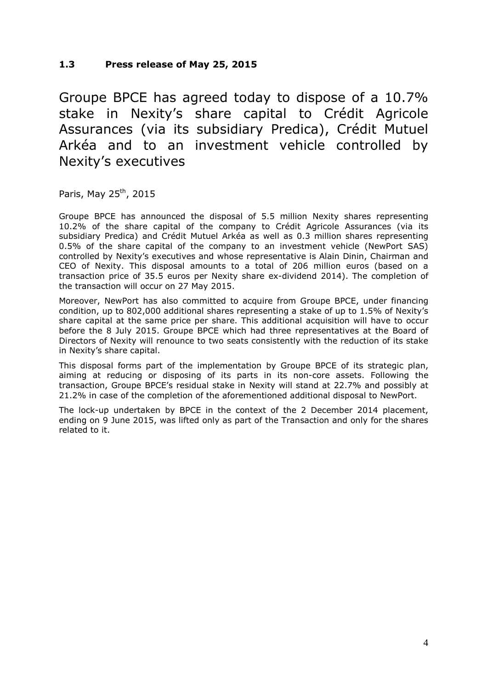Groupe BPCE has agreed today to dispose of a 10.7% stake in Nexity's share capital to Crédit Agricole Assurances (via its subsidiary Predica), Crédit Mutuel Arkéa and to an investment vehicle controlled by Nexity's executives

Paris, May  $25^{th}$ , 2015

Groupe BPCE has announced the disposal of 5.5 million Nexity shares representing 10.2% of the share capital of the company to Crédit Agricole Assurances (via its subsidiary Predica) and Crédit Mutuel Arkéa as well as 0.3 million shares representing 0.5% of the share capital of the company to an investment vehicle (NewPort SAS) controlled by Nexity's executives and whose representative is Alain Dinin, Chairman and CEO of Nexity. This disposal amounts to a total of 206 million euros (based on a transaction price of 35.5 euros per Nexity share ex-dividend 2014). The completion of the transaction will occur on 27 May 2015.

Moreover, NewPort has also committed to acquire from Groupe BPCE, under financing condition, up to 802,000 additional shares representing a stake of up to 1.5% of Nexity's share capital at the same price per share. This additional acquisition will have to occur before the 8 July 2015. Groupe BPCE which had three representatives at the Board of Directors of Nexity will renounce to two seats consistently with the reduction of its stake in Nexity's share capital.

This disposal forms part of the implementation by Groupe BPCE of its strategic plan, aiming at reducing or disposing of its parts in its non-core assets. Following the transaction, Groupe BPCE's residual stake in Nexity will stand at 22.7% and possibly at 21.2% in case of the completion of the aforementioned additional disposal to NewPort.

The lock-up undertaken by BPCE in the context of the 2 December 2014 placement, ending on 9 June 2015, was lifted only as part of the Transaction and only for the shares related to it.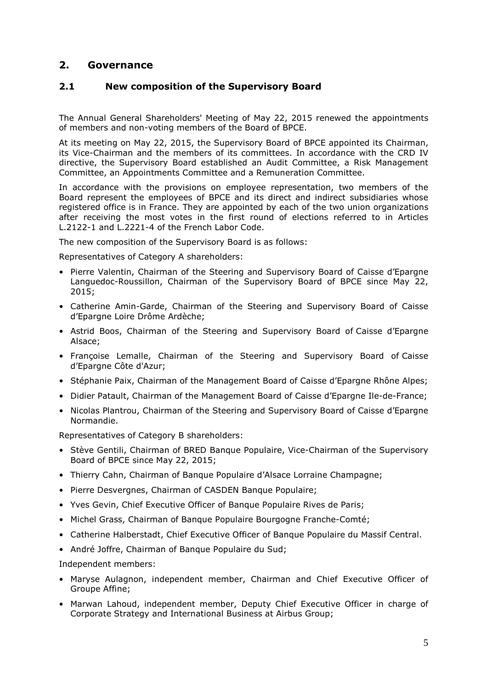# **2. Governance**

# **2.1 New composition of the Supervisory Board**

The Annual General Shareholders' Meeting of May 22, 2015 renewed the appointments of members and non-voting members of the Board of BPCE.

At its meeting on May 22, 2015, the Supervisory Board of BPCE appointed its Chairman, its Vice-Chairman and the members of its committees. In accordance with the CRD IV directive, the Supervisory Board established an Audit Committee, a Risk Management Committee, an Appointments Committee and a Remuneration Committee.

In accordance with the provisions on employee representation, two members of the Board represent the employees of BPCE and its direct and indirect subsidiaries whose registered office is in France. They are appointed by each of the two union organizations after receiving the most votes in the first round of elections referred to in Articles L.2122-1 and L.2221-4 of the French Labor Code.

The new composition of the Supervisory Board is as follows:

Representatives of Category A shareholders:

- Pierre Valentin, Chairman of the Steering and Supervisory Board of Caisse d'Epargne Languedoc-Roussillon, Chairman of the Supervisory Board of BPCE since May 22, 2015;
- Catherine Amin-Garde, Chairman of the Steering and Supervisory Board of Caisse d'Epargne Loire Drôme Ardèche;
- Astrid Boos, Chairman of the Steering and Supervisory Board of Caisse d'Epargne Alsace;
- Françoise Lemalle, Chairman of the Steering and Supervisory Board of Caisse d'Epargne Côte d'Azur;
- Stéphanie Paix, Chairman of the Management Board of Caisse d'Epargne Rhône Alpes;
- Didier Patault, Chairman of the Management Board of Caisse d'Epargne Ile-de-France;
- Nicolas Plantrou, Chairman of the Steering and Supervisory Board of Caisse d'Epargne Normandie.

Representatives of Category B shareholders:

- Stève Gentili, Chairman of BRED Banque Populaire, Vice-Chairman of the Supervisory Board of BPCE since May 22, 2015;
- Thierry Cahn, Chairman of Banque Populaire d'Alsace Lorraine Champagne;
- Pierre Desvergnes, Chairman of CASDEN Banque Populaire;
- Yves Gevin, Chief Executive Officer of Banque Populaire Rives de Paris;
- Michel Grass, Chairman of Banque Populaire Bourgogne Franche-Comté;
- Catherine Halberstadt, Chief Executive Officer of Banque Populaire du Massif Central.
- André Joffre, Chairman of Banque Populaire du Sud;

Independent members:

- Maryse Aulagnon, independent member, Chairman and Chief Executive Officer of Groupe Affine;
- Marwan Lahoud, independent member, Deputy Chief Executive Officer in charge of Corporate Strategy and International Business at Airbus Group;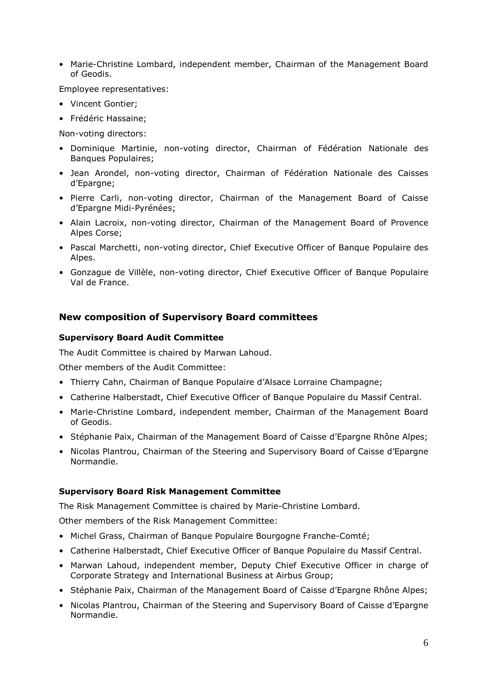• Marie-Christine Lombard, independent member, Chairman of the Management Board of Geodis.

Employee representatives:

- Vincent Gontier;
- Frédéric Hassaine;

Non-voting directors:

- Dominique Martinie, non-voting director, Chairman of Fédération Nationale des Banques Populaires;
- Jean Arondel, non-voting director, Chairman of Fédération Nationale des Caisses d'Epargne;
- Pierre Carli, non-voting director, Chairman of the Management Board of Caisse d'Epargne Midi-Pyrénées;
- Alain Lacroix, non-voting director, Chairman of the Management Board of Provence Alpes Corse;
- Pascal Marchetti, non-voting director, Chief Executive Officer of Banque Populaire des Alpes.
- Gonzague de Villèle, non-voting director, Chief Executive Officer of Banque Populaire Val de France.

## **New composition of Supervisory Board committees**

#### **Supervisory Board Audit Committee**

The Audit Committee is chaired by Marwan Lahoud.

Other members of the Audit Committee:

- Thierry Cahn, Chairman of Banque Populaire d'Alsace Lorraine Champagne;
- Catherine Halberstadt, Chief Executive Officer of Banque Populaire du Massif Central.
- Marie-Christine Lombard, independent member, Chairman of the Management Board of Geodis.
- Stéphanie Paix, Chairman of the Management Board of Caisse d'Epargne Rhône Alpes;
- Nicolas Plantrou, Chairman of the Steering and Supervisory Board of Caisse d'Epargne Normandie.

#### **Supervisory Board Risk Management Committee**

The Risk Management Committee is chaired by Marie-Christine Lombard.

Other members of the Risk Management Committee:

- Michel Grass, Chairman of Banque Populaire Bourgogne Franche-Comté;
- Catherine Halberstadt, Chief Executive Officer of Banque Populaire du Massif Central.
- Marwan Lahoud, independent member, Deputy Chief Executive Officer in charge of Corporate Strategy and International Business at Airbus Group;
- Stéphanie Paix, Chairman of the Management Board of Caisse d'Epargne Rhône Alpes;
- Nicolas Plantrou, Chairman of the Steering and Supervisory Board of Caisse d'Epargne Normandie.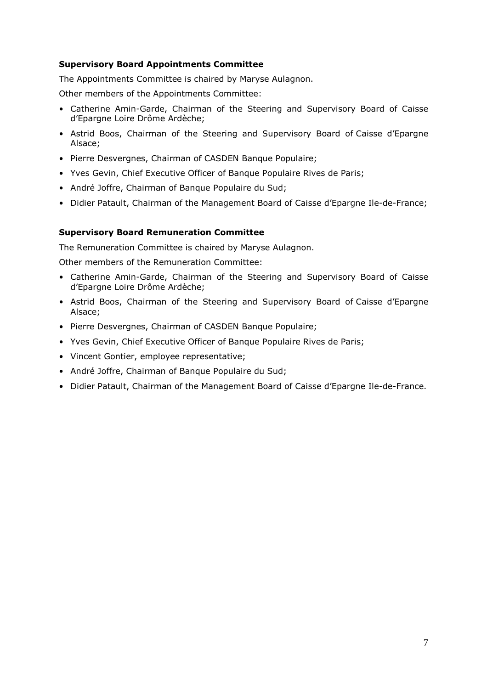## **Supervisory Board Appointments Committee**

The Appointments Committee is chaired by Maryse Aulagnon.

Other members of the Appointments Committee:

- Catherine Amin-Garde, Chairman of the Steering and Supervisory Board of Caisse d'Epargne Loire Drôme Ardèche;
- Astrid Boos, Chairman of the Steering and Supervisory Board of Caisse d'Epargne Alsace;
- Pierre Desvergnes, Chairman of CASDEN Banque Populaire;
- Yves Gevin, Chief Executive Officer of Banque Populaire Rives de Paris;
- André Joffre, Chairman of Banque Populaire du Sud;
- Didier Patault, Chairman of the Management Board of Caisse d'Epargne Ile-de-France;

# **Supervisory Board Remuneration Committee**

The Remuneration Committee is chaired by Maryse Aulagnon.

Other members of the Remuneration Committee:

- Catherine Amin-Garde, Chairman of the Steering and Supervisory Board of Caisse d'Epargne Loire Drôme Ardèche;
- Astrid Boos, Chairman of the Steering and Supervisory Board of Caisse d'Epargne Alsace;
- Pierre Desvergnes, Chairman of CASDEN Banque Populaire;
- Yves Gevin, Chief Executive Officer of Banque Populaire Rives de Paris;
- Vincent Gontier, employee representative;
- André Joffre, Chairman of Banque Populaire du Sud;
- Didier Patault, Chairman of the Management Board of Caisse d'Epargne Ile-de-France.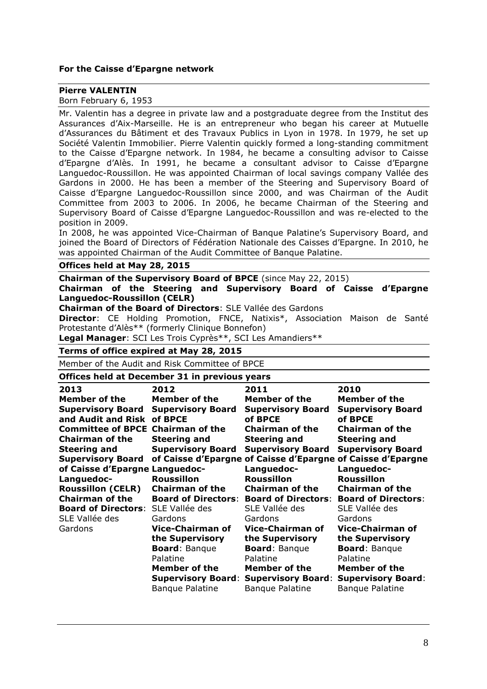#### **For the Caisse d'Epargne network**

#### **Pierre VALENTIN**

Born February 6, 1953

Mr. Valentin has a degree in private law and a postgraduate degree from the Institut des Assurances d'Aix-Marseille. He is an entrepreneur who began his career at Mutuelle d'Assurances du Bâtiment et des Travaux Publics in Lyon in 1978. In 1979, he set up Société Valentin Immobilier. Pierre Valentin quickly formed a long-standing commitment to the Caisse d'Epargne network. In 1984, he became a consulting advisor to Caisse d'Epargne d'Alès. In 1991, he became a consultant advisor to Caisse d'Epargne Languedoc-Roussillon. He was appointed Chairman of local savings company Vallée des Gardons in 2000. He has been a member of the Steering and Supervisory Board of Caisse d'Epargne Languedoc-Roussillon since 2000, and was Chairman of the Audit Committee from 2003 to 2006. In 2006, he became Chairman of the Steering and Supervisory Board of Caisse d'Epargne Languedoc-Roussillon and was re-elected to the position in 2009.

In 2008, he was appointed Vice-Chairman of Banque Palatine's Supervisory Board, and joined the Board of Directors of Fédération Nationale des Caisses d'Epargne. In 2010, he was appointed Chairman of the Audit Committee of Banque Palatine.

#### **Offices held at May 28, 2015**

**Chairman of the Supervisory Board of BPCE** (since May 22, 2015) **Chairman of the Steering and Supervisory Board of Caisse d'Epargne Languedoc-Roussillon (CELR)** 

**Chairman of the Board of Directors**: SLE Vallée des Gardons

**Director**: CE Holding Promotion, FNCE, Natixis\*, Association Maison de Santé Protestante d'Alès\*\* (formerly Clinique Bonnefon)

**Legal Manager**: SCI Les Trois Cyprès\*\*, SCI Les Amandiers\*\*

#### **Terms of office expired at May 28, 2015**

Member of the Audit and Risk Committee of BPCE

#### **Offices held at December 31 in previous years**

| 2013                                           | 2012                                | 2011                                                               | 2010                                |
|------------------------------------------------|-------------------------------------|--------------------------------------------------------------------|-------------------------------------|
| Member of the                                  | Member of the                       | <b>Member of the</b>                                               | Member of the                       |
| <b>Supervisory Board</b><br>and Audit and Risk | <b>Supervisory Board</b><br>of BPCE | <b>Supervisory Board</b><br>of BPCE                                | <b>Supervisory Board</b><br>of BPCE |
| <b>Committee of BPCE</b>                       | <b>Chairman of the</b>              | <b>Chairman of the</b>                                             | <b>Chairman of the</b>              |
| <b>Chairman of the</b>                         | <b>Steering and</b>                 | <b>Steering and</b>                                                | <b>Steering and</b>                 |
| <b>Steering and</b>                            | <b>Supervisory Board</b>            | <b>Supervisory Board</b>                                           | <b>Supervisory Board</b>            |
| <b>Supervisory Board</b>                       |                                     | of Caisse d'Epargne of Caisse d'Epargne of Caisse d'Epargne        |                                     |
| of Caisse d'Epargne Languedoc-                 |                                     | Languedoc-                                                         | Languedoc-                          |
| Languedoc-                                     | <b>Roussillon</b>                   | <b>Roussillon</b>                                                  | <b>Roussillon</b>                   |
| <b>Roussillon (CELR)</b>                       | <b>Chairman of the</b>              | <b>Chairman of the</b>                                             | <b>Chairman of the</b>              |
| <b>Chairman of the</b>                         |                                     | <b>Board of Directors: Board of Directors: Board of Directors:</b> |                                     |
| <b>Board of Directors:</b>                     | SLE Vallée des                      | SLE Vallée des                                                     | SLE Vallée des                      |
| SLE Vallée des                                 | Gardons                             | Gardons                                                            | Gardons                             |
| Gardons                                        | <b>Vice-Chairman of</b>             | <b>Vice-Chairman of</b>                                            | <b>Vice-Chairman of</b>             |
|                                                | the Supervisory                     | the Supervisory                                                    | the Supervisory                     |
|                                                | <b>Board: Banque</b>                | <b>Board: Banque</b>                                               | <b>Board: Banque</b>                |
|                                                | Palatine                            | Palatine                                                           | Palatine                            |
|                                                | Member of the                       | Member of the                                                      | <b>Member of the</b>                |
|                                                |                                     | <b>Supervisory Board: Supervisory Board:</b>                       | <b>Supervisory Board:</b>           |
|                                                | <b>Banque Palatine</b>              | <b>Bangue Palatine</b>                                             | <b>Banque Palatine</b>              |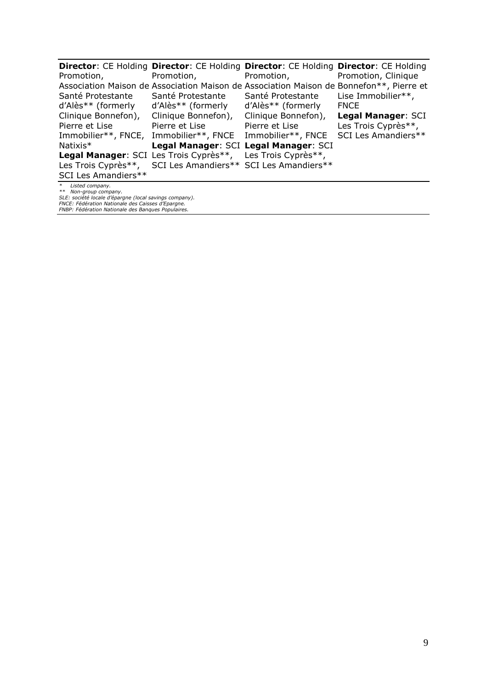| Promotion,           | Promotion,                                                  | Director: CE Holding Director: CE Holding Director: CE Holding Director: CE Holding<br>Promotion, | Promotion, Clinique |
|----------------------|-------------------------------------------------------------|---------------------------------------------------------------------------------------------------|---------------------|
|                      |                                                             | Association Maison de Association Maison de Association Maison de Bonnefon**, Pierre et           |                     |
| Santé Protestante    | Santé Protestante                                           | Santé Protestante                                                                                 | Lise Immobilier**,  |
| d'Alès** (formerly   | d'Alès** (formerly                                          | d'Alès** (formerly                                                                                | <b>FNCE</b>         |
| Clinique Bonnefon),  | Clinique Bonnefon),                                         | Clinique Bonnefon),                                                                               | Legal Manager: SCI  |
| Pierre et Lise       | Pierre et Lise                                              | Pierre et Lise                                                                                    | Les Trois Cyprès**, |
| Immobilier**, FNCE,  | Immobilier**, FNCE Immobilier**, FNCE                       |                                                                                                   | SCI Les Amandiers** |
| Natixis <sup>*</sup> | Legal Manager: SCI Legal Manager: SCI                       |                                                                                                   |                     |
|                      | Legal Manager: SCI Les Trois Cyprès**, Les Trois Cyprès**,  |                                                                                                   |                     |
|                      | Les Trois Cyprès**, SCI Les Amandiers** SCI Les Amandiers** |                                                                                                   |                     |
| SCI Les Amandiers**  |                                                             |                                                                                                   |                     |
|                      |                                                             |                                                                                                   |                     |

\* Listed company.<br>\*\* Non-group company.<br>SLE: société locale d'épargne (local savings company).<br>FNCE: Fédération Nationale des Banques Populaires.<br>FNBP: Fédération Nationale des Banques Populaires.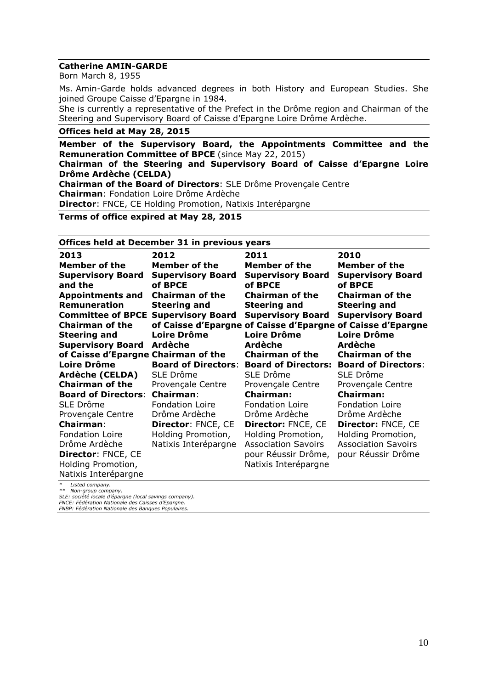#### **Catherine AMIN-GARDE**

Born March 8, 1955

Ms. Amin-Garde holds advanced degrees in both History and European Studies. She joined Groupe Caisse d'Epargne in 1984.

She is currently a representative of the Prefect in the Drôme region and Chairman of the Steering and Supervisory Board of Caisse d'Epargne Loire Drôme Ardèche.

#### **Offices held at May 28, 2015**

**Member of the Supervisory Board, the Appointments Committee and the Remuneration Committee of BPCE** (since May 22, 2015) **Chairman of the Steering and Supervisory Board of Caisse d'Epargne Loire Drôme Ardèche (CELDA) Chairman of the Board of Directors**: SLE Drôme Provençale Centre **Chairman**: Fondation Loire Drôme Ardèche **Director**: FNCE, CE Holding Promotion, Natixis Interépargne **Terms of office expired at May 28, 2015**

#### **Offices held at December 31 in previous years**

| 2013                                | 2012                                | 2011                                                        | 2010                                |
|-------------------------------------|-------------------------------------|-------------------------------------------------------------|-------------------------------------|
| Member of the                       | Member of the                       | Member of the                                               | Member of the                       |
| <b>Supervisory Board</b><br>and the | <b>Supervisory Board</b><br>of BPCE | <b>Supervisory Board</b><br>of BPCE                         | <b>Supervisory Board</b><br>of BPCE |
| <b>Appointments and</b>             | <b>Chairman of the</b>              | <b>Chairman of the</b>                                      | <b>Chairman of the</b>              |
| <b>Remuneration</b>                 | <b>Steering and</b>                 | <b>Steering and</b>                                         | <b>Steering and</b>                 |
| <b>Committee of BPCE</b>            | <b>Supervisory Board</b>            | <b>Supervisory Board</b>                                    | <b>Supervisory Board</b>            |
| <b>Chairman of the</b>              |                                     | of Caisse d'Epargne of Caisse d'Epargne of Caisse d'Epargne |                                     |
| <b>Steering and</b>                 | <b>Loire Drôme</b>                  | <b>Loire Drôme</b>                                          | Loire Drôme                         |
| <b>Supervisory Board</b>            | <b>Ardèche</b>                      | Ardèche                                                     | <b>Ardèche</b>                      |
| of Caisse d'Epargne Chairman of the |                                     | <b>Chairman of the</b>                                      | <b>Chairman of the</b>              |
| <b>Loire Drôme</b>                  | <b>Board of Directors:</b>          | <b>Board of Directors:</b>                                  | <b>Board of Directors:</b>          |
| Ardèche (CELDA)                     | SLE Drôme                           | SLE Drôme                                                   | SLE Drôme                           |
| <b>Chairman of the</b>              | Provençale Centre                   | Provençale Centre                                           | Provençale Centre                   |
| <b>Board of Directors:</b>          | <b>Chairman:</b>                    | <b>Chairman:</b>                                            | <b>Chairman:</b>                    |
| SLE Drôme                           | Fondation Loire                     | <b>Fondation Loire</b>                                      | <b>Fondation Loire</b>              |
| Provençale Centre                   | Drôme Ardèche                       | Drôme Ardèche                                               | Drôme Ardèche                       |
| <b>Chairman:</b>                    | <b>Director: FNCE, CE</b>           | <b>Director: FNCE, CE</b>                                   | <b>Director: FNCE, CE</b>           |
| <b>Fondation Loire</b>              | Holding Promotion,                  | Holding Promotion,                                          | Holding Promotion,                  |
| Drôme Ardèche                       | Natixis Interépargne                | <b>Association Savoirs</b>                                  | <b>Association Savoirs</b>          |
| Director: FNCE, CE                  |                                     | pour Réussir Drôme,                                         | pour Réussir Drôme                  |
| Holding Promotion,                  |                                     | Natixis Interépargne                                        |                                     |
| Natixis Interépargne                |                                     |                                                             |                                     |

*\* Listed company.*

*\*\* Non-group company.*

*SLE: société locale d'épargne (local savings company). FNCE: Fédération Nationale des Caisses d'Epargne. FNBP: Fédération Nationale des Banques Populaires.*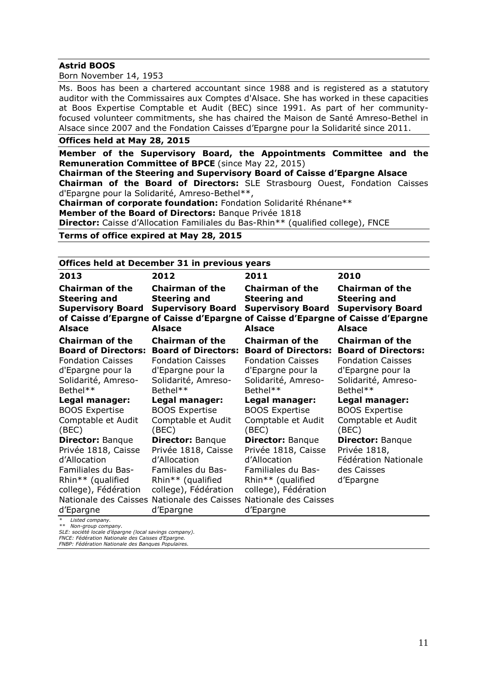#### **Astrid BOOS**

Born November 14, 1953

Ms. Boos has been a chartered accountant since 1988 and is registered as a statutory auditor with the Commissaires aux Comptes d'Alsace. She has worked in these capacities at Boos Expertise Comptable et Audit (BEC) since 1991. As part of her communityfocused volunteer commitments, she has chaired the Maison de Santé Amreso-Bethel in Alsace since 2007 and the Fondation Caisses d'Epargne pour la Solidarité since 2011.

#### **Offices held at May 28, 2015**

**Member of the Supervisory Board, the Appointments Committee and the Remuneration Committee of BPCE** (since May 22, 2015)

**Chairman of the Steering and Supervisory Board of Caisse d'Epargne Alsace Chairman of the Board of Directors:** SLE Strasbourg Ouest, Fondation Caisses d'Epargne pour la Solidarité, Amreso-Bethel\*\*,

**Chairman of corporate foundation:** Fondation Solidarité Rhénane\*\*

**Member of the Board of Directors:** Banque Privée 1818

**Director:** Caisse d'Allocation Familiales du Bas-Rhin\*\* (qualified college), FNCE

#### **Terms of office expired at May 28, 2015**

#### **Offices held at December 31 in previous years**

| 2013                                                                                       | 2012                                                                                       | 2011                                                                                                                                                                          | 2010                                                                                       |
|--------------------------------------------------------------------------------------------|--------------------------------------------------------------------------------------------|-------------------------------------------------------------------------------------------------------------------------------------------------------------------------------|--------------------------------------------------------------------------------------------|
| <b>Chairman of the</b><br><b>Steering and</b><br><b>Supervisory Board</b><br><b>Alsace</b> | <b>Chairman of the</b><br><b>Steering and</b><br><b>Supervisory Board</b><br><b>Alsace</b> | <b>Chairman of the</b><br><b>Steering and</b><br><b>Supervisory Board</b><br>of Caisse d'Epargne of Caisse d'Epargne of Caisse d'Epargne of Caisse d'Epargne<br><b>Alsace</b> | <b>Chairman of the</b><br><b>Steering and</b><br><b>Supervisory Board</b><br><b>Alsace</b> |
| <b>Chairman of the</b>                                                                     | <b>Chairman of the</b>                                                                     | <b>Chairman of the</b>                                                                                                                                                        | <b>Chairman of the</b>                                                                     |
| <b>Board of Directors:</b>                                                                 | <b>Board of Directors:</b>                                                                 | <b>Board of Directors:</b>                                                                                                                                                    | <b>Board of Directors:</b>                                                                 |
| <b>Fondation Caisses</b>                                                                   | <b>Fondation Caisses</b>                                                                   | <b>Fondation Caisses</b>                                                                                                                                                      | <b>Fondation Caisses</b>                                                                   |
| d'Epargne pour la                                                                          | d'Epargne pour la                                                                          | d'Epargne pour la                                                                                                                                                             | d'Epargne pour la                                                                          |
| Solidarité, Amreso-                                                                        | Solidarité, Amreso-                                                                        | Solidarité, Amreso-                                                                                                                                                           | Solidarité, Amreso-                                                                        |
| Bethel**                                                                                   | Bethel**                                                                                   | Bethel**                                                                                                                                                                      | Bethel**                                                                                   |
| Legal manager:                                                                             | Legal manager:                                                                             | Legal manager:                                                                                                                                                                | Legal manager:                                                                             |
| <b>BOOS Expertise</b>                                                                      | <b>BOOS Expertise</b>                                                                      | <b>BOOS Expertise</b>                                                                                                                                                         | <b>BOOS Expertise</b>                                                                      |
| Comptable et Audit                                                                         | Comptable et Audit                                                                         | Comptable et Audit                                                                                                                                                            | Comptable et Audit                                                                         |
| (BEC)                                                                                      | (BEC)                                                                                      | (BEC)                                                                                                                                                                         | (BEC)                                                                                      |
| <b>Director: Banque</b>                                                                    | <b>Director: Banque</b>                                                                    | <b>Director: Banque</b>                                                                                                                                                       | <b>Director: Banque</b>                                                                    |
| Privée 1818, Caisse                                                                        | Privée 1818, Caisse                                                                        | Privée 1818, Caisse                                                                                                                                                           | Privée 1818,                                                                               |
| d'Allocation                                                                               | d'Allocation                                                                               | d'Allocation                                                                                                                                                                  | Fédération Nationale                                                                       |
| Familiales du Bas-                                                                         | Familiales du Bas-                                                                         | Familiales du Bas-                                                                                                                                                            | des Caisses                                                                                |
| Rhin** (qualified                                                                          | Rhin** (qualified                                                                          | Rhin** (qualified                                                                                                                                                             | d'Epargne                                                                                  |
| college), Fédération                                                                       | college), Fédération                                                                       | college), Fédération                                                                                                                                                          |                                                                                            |
| Nationale des Caisses                                                                      | Nationale des Caisses Nationale des Caisses                                                |                                                                                                                                                                               |                                                                                            |
| d'Epargne                                                                                  | d'Epargne                                                                                  | d'Epargne                                                                                                                                                                     |                                                                                            |
| Listed company.                                                                            |                                                                                            |                                                                                                                                                                               |                                                                                            |

*\*\* Non-group company.*

*SLE: société locale d'épargne (local savings company). FNCE: Fédération Nationale des Caisses d'Epargne.*

*FNBP: Fédération Nationale des Banques Populaires.*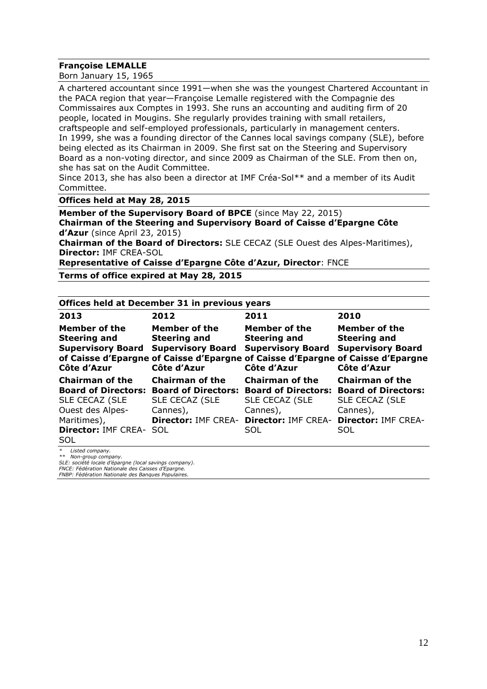#### **Françoise LEMALLE**

Born January 15, 1965

A chartered accountant since 1991—when she was the youngest Chartered Accountant in the PACA region that year—Françoise Lemalle registered with the Compagnie des Commissaires aux Comptes in 1993. She runs an accounting and auditing firm of 20 people, located in Mougins. She regularly provides training with small retailers, craftspeople and self-employed professionals, particularly in management centers. In 1999, she was a founding director of the Cannes local savings company (SLE), before being elected as its Chairman in 2009. She first sat on the Steering and Supervisory Board as a non-voting director, and since 2009 as Chairman of the SLE. From then on, she has sat on the Audit Committee.

Since 2013, she has also been a director at IMF Créa-Sol\*\* and a member of its Audit Committee.

**Offices held at May 28, 2015**

**Member of the Supervisory Board of BPCE** (since May 22, 2015) **Chairman of the Steering and Supervisory Board of Caisse d'Epargne Côte d'Azur** (since April 23, 2015)

**Chairman of the Board of Directors:** SLE CECAZ (SLE Ouest des Alpes-Maritimes), **Director:** IMF CREA-SOL

**Representative of Caisse d'Epargne Côte d'Azur, Director**: FNCE

**Terms of office expired at May 28, 2015**

| Offices held at December 31 in previous years                                                                               |                                                                                                                                                                                    |                                                                                        |                                                                                                  |  |
|-----------------------------------------------------------------------------------------------------------------------------|------------------------------------------------------------------------------------------------------------------------------------------------------------------------------------|----------------------------------------------------------------------------------------|--------------------------------------------------------------------------------------------------|--|
| 2013                                                                                                                        | 2012                                                                                                                                                                               | 2011                                                                                   | 2010                                                                                             |  |
| Member of the<br><b>Steering and</b><br><b>Supervisory Board</b><br>Côte d'Azur                                             | Member of the<br><b>Steering and</b><br><b>Supervisory Board</b><br>of Caisse d'Epargne of Caisse d'Epargne of Caisse d'Epargne of Caisse d'Epargne<br>Côte d'Azur                 | <b>Member of the</b><br><b>Steering and</b><br><b>Supervisory Board</b><br>Côte d'Azur | <b>Member of the</b><br><b>Steering and</b><br><b>Supervisory Board</b><br>Côte d'Azur           |  |
| <b>Chairman of the</b><br>SLE CECAZ (SLE<br>Ouest des Alpes-<br>Maritimes),<br><b>Director: IMF CREA- SOL</b><br><b>SOL</b> | <b>Chairman of the</b><br>Board of Directors: Board of Directors: Board of Directors: Board of Directors:<br>SLE CECAZ (SLE<br>Cannes),<br>Director: IMF CREA- Director: IMF CREA- | <b>Chairman of the</b><br>SLE CECAZ (SLE<br>Cannes),<br>SOL                            | <b>Chairman of the</b><br><b>SLE CECAZ (SLE</b><br>Cannes),<br><b>Director: IMF CREA-</b><br>SOL |  |
| $*$ licted company                                                                                                          |                                                                                                                                                                                    |                                                                                        |                                                                                                  |  |

*\* Listed company.*

*\*\* Non-group company.*

*SLE: société locale d'épargne (local savings company). FNCE: Fédération Nationale des Caisses d'Epargne.*

*FNBP: Fédération Nationale des Banques Populaires.*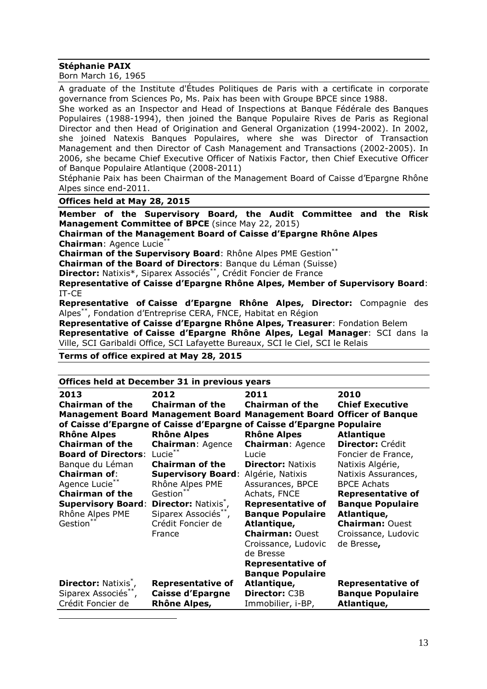#### **Stéphanie PAIX**

Born March 16, 1965

A graduate of the Institute d'Études Politiques de Paris with a certificate in corporate governance from Sciences Po, Ms. Paix has been with Groupe BPCE since 1988.

She worked as an Inspector and Head of Inspections at Banque Fédérale des Banques Populaires (1988-1994), then joined the Banque Populaire Rives de Paris as Regional Director and then Head of Origination and General Organization (1994-2002). In 2002, she joined Natexis Banques Populaires, where she was Director of Transaction Management and then Director of Cash Management and Transactions (2002-2005). In 2006, she became Chief Executive Officer of Natixis Factor, then Chief Executive Officer of Banque Populaire Atlantique (2008-2011)

Stéphanie Paix has been Chairman of the Management Board of Caisse d'Epargne Rhône Alpes since end-2011.

#### **Offices held at May 28, 2015\***

**Member of the Supervisory Board, the Audit Committee and the Risk Management Committee of BPCE** (since May 22, 2015)

**Chairman of the Management Board of Caisse d'Epargne Rhône Alpes Chairman**: Agence Lucie\*\*

**Chairman of the Supervisory Board**: Rhône Alpes PME Gestion\*\*

**Chairman of the Board of Directors**: Banque du Léman (Suisse)

**Director:** Natixis<sup>\*</sup>, Siparex Associés<sup>\*\*</sup>, Crédit Foncier de France

**Representative of Caisse d'Epargne Rhône Alpes, Member of Supervisory Board**: IT-CE

**Representative of Caisse d'Epargne Rhône Alpes, Director:** Compagnie des Alpes\*\*, Fondation d'Entreprise CERA, FNCE, Habitat en Région

**Representative of Caisse d'Epargne Rhône Alpes, Treasurer**: Fondation Belem **Representative of Caisse d'Epargne Rhône Alpes, Legal Manager**: SCI dans la Ville, SCI Garibaldi Office, SCI Lafayette Bureaux, SCI le Ciel, SCI le Relais

#### **Terms of office expired at May 28, 2015**

 $\overline{a}$ 

| Offices held at December 31 in previous years |                                          |                                                                       |                          |
|-----------------------------------------------|------------------------------------------|-----------------------------------------------------------------------|--------------------------|
| 2013                                          | 2012                                     | 2011                                                                  | 2010                     |
| <b>Chairman of the</b>                        | <b>Chairman of the</b>                   | <b>Chairman of the</b>                                                | <b>Chief Executive</b>   |
|                                               | <b>Management Board Management Board</b> | <b>Management Board Officer of Banque</b>                             |                          |
|                                               |                                          | of Caisse d'Epargne of Caisse d'Epargne of Caisse d'Epargne Populaire |                          |
| <b>Rhône Alpes</b>                            | <b>Rhône Alpes</b>                       | <b>Rhône Alpes</b>                                                    | <b>Atlantique</b>        |
| <b>Chairman of the</b>                        | <b>Chairman: Agence</b>                  | <b>Chairman: Agence</b>                                               | <b>Director: Crédit</b>  |
| <b>Board of Directors:</b>                    | Lucie**                                  | Lucie                                                                 | Foncier de France,       |
| Banque du Léman                               | <b>Chairman of the</b>                   | <b>Director: Natixis</b>                                              | Natixis Algérie,         |
| <b>Chairman of:</b>                           | <b>Supervisory Board:</b>                | Algérie, Natixis                                                      | Natixis Assurances,      |
| Agence Lucie**                                | Rhône Alpes PME                          | Assurances, BPCE                                                      | <b>BPCE Achats</b>       |
| <b>Chairman of the</b>                        | Gestion**                                | Achats, FNCE                                                          | <b>Representative of</b> |
| <b>Supervisory Board:</b>                     | <b>Director: Natixis<sup>7</sup></b> ,   | <b>Representative of</b>                                              | <b>Banque Populaire</b>  |
| Rhône Alpes PME                               | Siparex Associés**,                      | <b>Banque Populaire</b>                                               | Atlantique,              |
| Gestion**                                     | Crédit Foncier de                        | Atlantique,                                                           | <b>Chairman: Ouest</b>   |
|                                               | France                                   | <b>Chairman: Ouest</b>                                                | Croissance, Ludovic      |
|                                               |                                          | Croissance, Ludovic                                                   | de Bresse,               |
|                                               |                                          | de Bresse                                                             |                          |
|                                               |                                          | <b>Representative of</b>                                              |                          |
|                                               |                                          | <b>Banque Populaire</b>                                               |                          |
| Director: Natixis <sup>*</sup> ,              | <b>Representative of</b>                 | Atlantique,                                                           | <b>Representative of</b> |
| Siparex Associés**,                           | <b>Caisse d'Epargne</b>                  | Director: C3B                                                         | <b>Banque Populaire</b>  |
| Crédit Foncier de                             | Rhône Alpes,                             | Immobilier, i-BP,                                                     | Atlantique,              |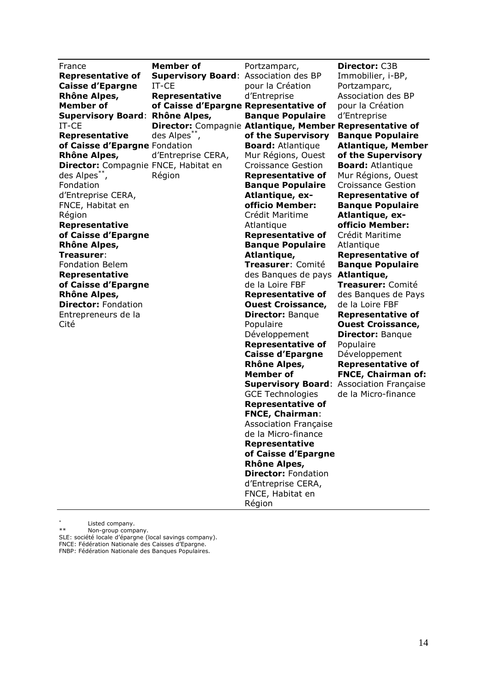France **Representative of Caisse d'Epargne Rhône Alpes, Member of Supervisory Board**: **Rhône Alpes,**  IT-CE **Representative of Caisse d'Epargne**  Fondation **Rhône Alpes, Director:** Compagnie FNCE, Habitat en des Alpes\*\* , Fondation d'Entreprise CERA, FNCE, Habitat en Région **Representative of Caisse d'Epargne Rhône Alpes, Treasurer**: Fondation Belem **Representative of Caisse d'Epargne Rhône Alpes, Director:** Fondation Entrepreneurs de la Cité

**Member of Supervisory Board**: Association des BP IT-CE **Representative of Caisse d'Epargne Representative of Director:** Compagnie **Atlantique, Member Representative of**  des Alpes\*\* , d'Entreprise CERA, Région

Portzamparc, pour la Création d'Entreprise **Banque Populaire of the Supervisory Board:** Atlantique Mur Régions, Ouest Croissance Gestion **Representative of Banque Populaire Atlantique, exofficio Member:**  Crédit Maritime **Atlantique Representative of Banque Populaire Atlantique, Treasurer**: Comité des Banques de pays **Atlantique,**  de la Loire FBF **Representative of Ouest Croissance, Director:** Banque Populaire Développement **Representative of Caisse d'Epargne Rhône Alpes, Member of**  GCE Technologies **Representative of FNCE, Chairman**: Association Française de la Micro-finance **Representative of Caisse d'Epargne Rhône Alpes, Director:** Fondation d'Entreprise CERA, FNCE, Habitat en Région

**Supervisory Board**: Association Française **Director:** C3B Immobilier, i-BP, Portzamparc, Association des BP pour la Création d'Entreprise **Banque Populaire Atlantique, Member of the Supervisory Board:** Atlantique Mur Régions, Ouest Croissance Gestion **Representative of Banque Populaire Atlantique, exofficio Member:**  Crédit Maritime Atlantique **Representative of Banque Populaire Treasurer:** Comité des Banques de Pays de la Loire FBF **Representative of Ouest Croissance, Director:** Banque Populaire Développement **Representative of FNCE, Chairman of:** de la Micro-finance

\* \*<br> **Listed company.**<br> **Listed company.** 

Non-group company.

SLE: société locale d'épargne (local savings company). FNCE: Fédération Nationale des Caisses d'Epargne. FNBP: Fédération Nationale des Banques Populaires.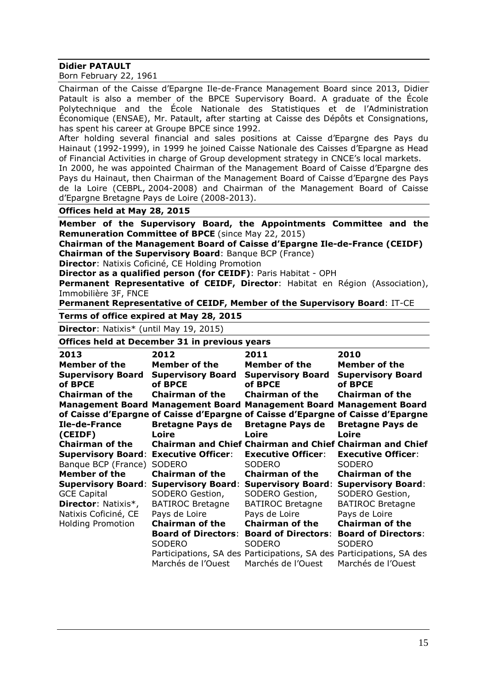### **Didier PATAULT**

Born February 22, 1961

Chairman of the Caisse d'Epargne Ile-de-France Management Board since 2013, Didier Patault is also a member of the BPCE Supervisory Board. A graduate of the École Polytechnique and the École Nationale des Statistiques et de l'Administration Économique (ENSAE), Mr. Patault, after starting at Caisse des Dépôts et Consignations, has spent his career at Groupe BPCE since 1992.

After holding several financial and sales positions at Caisse d'Epargne des Pays du Hainaut (1992-1999), in 1999 he joined Caisse Nationale des Caisses d'Epargne as Head of Financial Activities in charge of Group development strategy in CNCE's local markets.

In 2000, he was appointed Chairman of the Management Board of Caisse d'Epargne des Pays du Hainaut, then Chairman of the Management Board of Caisse d'Epargne des Pays de la Loire (CEBPL, 2004-2008) and Chairman of the Management Board of Caisse d'Epargne Bretagne Pays de Loire (2008-2013).

**Offices held at May 28, 2015**

**Member of the Supervisory Board, the Appointments Committee and the Remuneration Committee of BPCE** (since May 22, 2015)

**Chairman of the Management Board of Caisse d'Epargne Ile-de-France (CEIDF) Chairman of the Supervisory Board**: Banque BCP (France)

**Director**: Natixis Coficiné, CE Holding Promotion

**Director as a qualified person (for CEIDF)**: Paris Habitat - OPH

**Permanent Representative of CEIDF, Director**: Habitat en Région (Association), Immobilière 3F, FNCE

**Permanent Representative of CEIDF, Member of the Supervisory Board**: IT-CE

**Terms of office expired at May 28, 2015**

**Director**: Natixis\* (until May 19, 2015)

**Offices held at December 31 in previous years**

| 2013                       | 2012                                                                            | 2011                                                                 | 2010                                                            |
|----------------------------|---------------------------------------------------------------------------------|----------------------------------------------------------------------|-----------------------------------------------------------------|
| Member of the              | <b>Member of the</b>                                                            | Member of the                                                        | Member of the                                                   |
| <b>Supervisory Board</b>   | <b>Supervisory Board</b>                                                        | <b>Supervisory Board</b>                                             | <b>Supervisory Board</b>                                        |
| of BPCE                    | of BPCE                                                                         | of BPCE                                                              | of BPCE                                                         |
| Chairman of the            | Chairman of the                                                                 | Chairman of the                                                      | <b>Chairman of the</b>                                          |
|                            | Management Board Management Board Management Board Management Board             |                                                                      |                                                                 |
|                            | of Caisse d'Epargne of Caisse d'Epargne of Caisse d'Epargne of Caisse d'Epargne |                                                                      |                                                                 |
| Ile-de-France              | <b>Bretagne Pays de</b>                                                         | <b>Bretagne Pays de</b>                                              | <b>Bretagne Pays de</b>                                         |
| (CEIDF)                    | Loire                                                                           | Loire                                                                | Loire                                                           |
| <b>Chairman of the</b>     |                                                                                 |                                                                      | <b>Chairman and Chief Chairman and Chief Chairman and Chief</b> |
|                            | <b>Supervisory Board: Executive Officer:</b>                                    | <b>Executive Officer:</b>                                            | <b>Executive Officer:</b>                                       |
| Banque BCP (France)        | <b>SODERO</b>                                                                   | <b>SODERO</b>                                                        | <b>SODERO</b>                                                   |
| <b>Member of the</b>       | <b>Chairman of the</b>                                                          | <b>Chairman of the</b>                                               | <b>Chairman of the</b>                                          |
| <b>Supervisory Board:</b>  |                                                                                 | <b>Supervisory Board: Supervisory Board: Supervisory Board:</b>      |                                                                 |
| <b>GCE Capital</b>         | SODERO Gestion,                                                                 | SODERO Gestion,                                                      | SODERO Gestion,                                                 |
| <b>Director: Natixis*,</b> | <b>BATIROC Bretagne</b>                                                         | <b>BATIROC Bretagne</b>                                              | <b>BATIROC Bretagne</b>                                         |
| Natixis Coficiné, CE       | Pays de Loire                                                                   | Pays de Loire                                                        | Pays de Loire                                                   |
| <b>Holding Promotion</b>   | <b>Chairman of the</b>                                                          | <b>Chairman of the</b>                                               | <b>Chairman of the</b>                                          |
|                            | <b>Board of Directors:</b>                                                      | <b>Board of Directors:</b>                                           | <b>Board of Directors:</b>                                      |
|                            | <b>SODERO</b>                                                                   | <b>SODERO</b>                                                        | <b>SODERO</b>                                                   |
|                            |                                                                                 | Participations, SA des Participations, SA des Participations, SA des |                                                                 |
|                            | Marchés de l'Ouest                                                              | Marchés de l'Ouest                                                   | Marchés de l'Ouest                                              |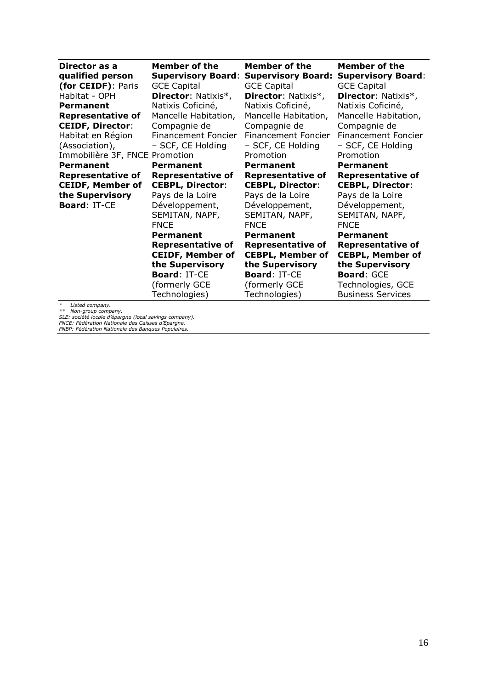| Director as a                  | <b>Member of the</b>       | <b>Member of the</b>       | <b>Member of the</b>       |
|--------------------------------|----------------------------|----------------------------|----------------------------|
| qualified person               | <b>Supervisory Board:</b>  | <b>Supervisory Board:</b>  | <b>Supervisory Board:</b>  |
| (for CEIDF): Paris             | <b>GCE Capital</b>         | <b>GCE Capital</b>         | <b>GCE Capital</b>         |
| Habitat - OPH                  | <b>Director: Natixis*,</b> | <b>Director: Natixis*,</b> | Director: Natixis*,        |
| <b>Permanent</b>               | Natixis Coficiné,          | Natixis Coficiné,          | Natixis Coficiné,          |
| <b>Representative of</b>       | Mancelle Habitation,       | Mancelle Habitation,       | Mancelle Habitation,       |
| <b>CEIDF, Director:</b>        | Compagnie de               | Compagnie de               | Compagnie de               |
| Habitat en Région              | Financement Foncier        | Financement Foncier        | <b>Financement Foncier</b> |
| (Association),                 | - SCF, CE Holding          | - SCF, CE Holding          | - SCF, CE Holding          |
| Immobilière 3F, FNCE Promotion |                            | Promotion                  | Promotion                  |
| Permanent                      | Permanent                  | Permanent                  | <b>Permanent</b>           |
| <b>Representative of</b>       | <b>Representative of</b>   | <b>Representative of</b>   | <b>Representative of</b>   |
| <b>CEIDF, Member of</b>        | <b>CEBPL, Director:</b>    | <b>CEBPL, Director:</b>    | <b>CEBPL, Director:</b>    |
| the Supervisory                | Pays de la Loire           | Pays de la Loire           | Pays de la Loire           |
| <b>Board: IT-CE</b>            | Développement,             | Développement,             | Développement,             |
|                                | SEMITAN, NAPF,             | SEMITAN, NAPF,             | SEMITAN, NAPF,             |
|                                | <b>FNCE</b>                | <b>FNCE</b>                | <b>FNCE</b>                |
|                                | Permanent                  | Permanent                  | Permanent                  |
|                                | <b>Representative of</b>   | <b>Representative of</b>   | <b>Representative of</b>   |
|                                | <b>CEIDF, Member of</b>    | <b>CEBPL, Member of</b>    | <b>CEBPL, Member of</b>    |
|                                | the Supervisory            | the Supervisory            | the Supervisory            |
|                                | <b>Board: IT-CE</b>        | <b>Board: IT-CE</b>        | <b>Board: GCE</b>          |
|                                | (formerly GCE              | (formerly GCE              | Technologies, GCE          |
| $\ast$<br>Listed company.      | Technologies)              | Technologies)              | <b>Business Services</b>   |

\* Listed company.<br>\*\* Non-group company.<br>SLE: société locale d'épargne (local savings company).<br>FNCE: Fédération Nationale des Banques Populaires.<br>FNBP: Fédération Nationale des Banques Populaires.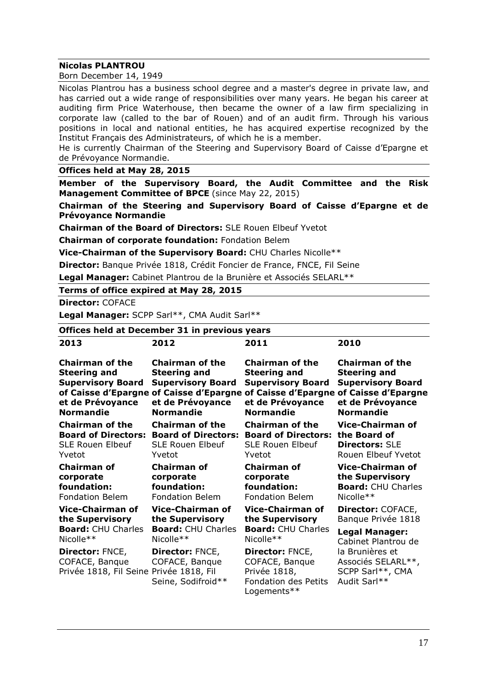#### **Nicolas PLANTROU**

Born December 14, 1949

Nicolas Plantrou has a business school degree and a master's degree in private law, and has carried out a wide range of responsibilities over many years. He began his career at auditing firm Price Waterhouse, then became the owner of a law firm specializing in corporate law (called to the bar of Rouen) and of an audit firm. Through his various positions in local and national entities, he has acquired expertise recognized by the Institut Français des Administrateurs, of which he is a member. He is currently Chairman of the Steering and Supervisory Board of Caisse d'Epargne et de Prévoyance Normandie. **Offices held at May 28, 2015 Member of the Supervisory Board, the Audit Committee and the Risk Management Committee of BPCE** (since May 22, 2015) **Chairman of the Steering and Supervisory Board of Caisse d'Epargne et de Prévoyance Normandie Chairman of the Board of Directors:** SLE Rouen Elbeuf Yvetot **Chairman of corporate foundation:** Fondation Belem **Vice-Chairman of the Supervisory Board:** CHU Charles Nicolle\*\* **Director:** Banque Privée 1818, Crédit Foncier de France, FNCE, Fil Seine **Legal Manager:** Cabinet Plantrou de la Brunière et Associés SELARL\*\* **Terms of office expired at May 28, 2015 Director:** COFACE **Legal Manager:** SCPP Sarl\*\*, CMA Audit Sarl\*\* **Offices held at December 31 in previous years 2013 Chairman of the Steering and Supervisory Board Supervisory Board Supervisory Board Supervisory Board of Caisse d'Epargne of Caisse d'Epargne of Caisse d'Epargne of Caisse d'Epargne et de Prévoyance Normandie Chairman of the Board of Directors: Board of Directors: Board of Directors: the Board of**  SLE Rouen Elbeuf Yvetot **Chairman of corporate foundation:**  Fondation Belem **2012 Chairman of the Steering and et de Prévoyance Normandie Chairman of the**  SLE Rouen Elbeuf Yvetot **Chairman of corporate foundation:** Fondation Belem **2011 Chairman of the Steering and et de Prévoyance Normandie Chairman of the**  SLE Rouen Elbeuf Yvetot **Chairman of corporate foundation: 2010 Chairman of the Steering and et de Prévoyance Normandie Vice-Chairman of Directors:** SLE Rouen Elbeuf Yvetot **Vice-Chairman of the Supervisory Board:** CHU Charles

**Vice-Chairman of the Supervisory Board:** CHU Charles **Vice-Chairman of the Supervisory Board:** CHU Charles Nicolle\*\*

**Director:** FNCE, COFACE, Banque Privée 1818, Fil Seine Privée 1818, Fil **Director:** FNCE, COFACE, Banque Seine, Sodifroid\*\*

Nicolle\*\*

Fondation Belem **Vice-Chairman of the Supervisory Board:** CHU Charles

Nicolle\*\* **Director:** FNCE, COFACE, Banque

Privée 1818, Fondation des Petits Logements\*\*

Nicolle\*\*

**Director:** COFACE, Banque Privée 1818

**Legal Manager:**  Cabinet Plantrou de la Brunières et Associés SELARL\*\*, SCPP Sarl\*\*, CMA Audit Sarl\*\*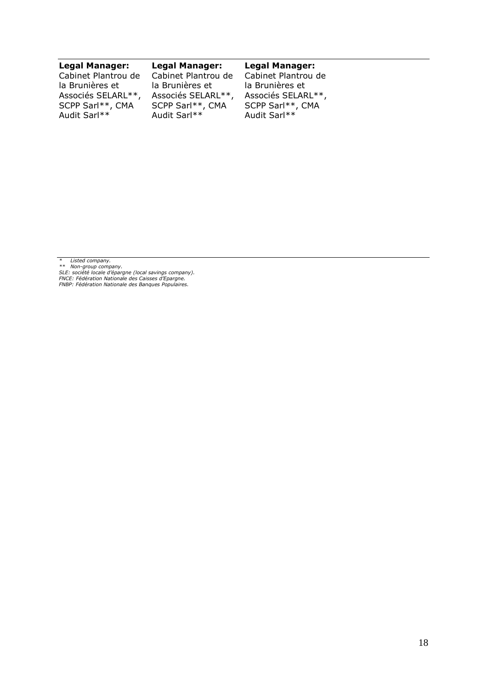#### **Legal Manager:**

Cabinet Plantrou de la Brunières et Associés SELARL\*\*, SCPP Sarl\*\*, CMA Audit Sarl\*\*

#### **Legal Manager:**

Cabinet Plantrou de la Brunières et Associés SELARL\*\*, SCPP Sarl\*\*, CMA Audit Sarl\*\*

#### **Legal Manager:**

Cabinet Plantrou de la Brunières et Associés SELARL\*\*, SCPP Sarl\*\*, CMA Audit Sarl\*\*

\* Listed company.<br>\*\* Non-group company.<br>SLE: société locale d'épargne (local savings company).<br>FNCE: Fédération Nationale des Banques Populaires.<br>FNBP: Fédération Nationale des Banques Populaires.

18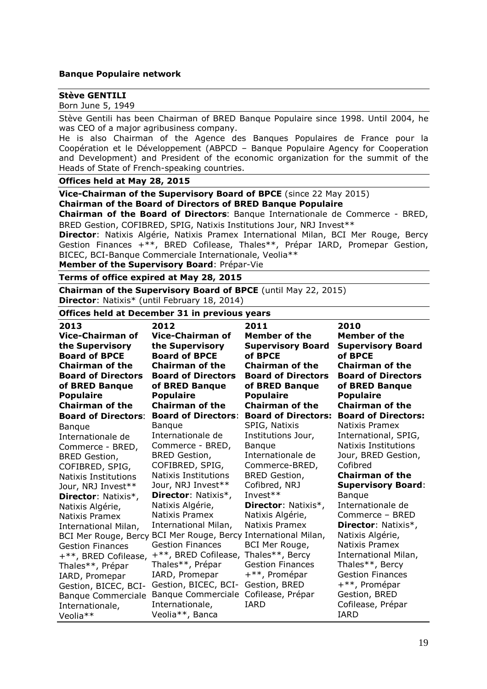#### **Banque Populaire network**

#### **Stève GENTILI**

Born June 5, 1949

Stève Gentili has been Chairman of BRED Banque Populaire since 1998. Until 2004, he was CEO of a major agribusiness company.

He is also Chairman of the Agence des Banques Populaires de France pour la Coopération et le Développement (ABPCD – Banque Populaire Agency for Cooperation and Development) and President of the economic organization for the summit of the Heads of State of French-speaking countries.

#### **Offices held at May 28, 2015**

**Vice-Chairman of the Supervisory Board of BPCE** (since 22 May 2015) **Chairman of the Board of Directors of BRED Banque Populaire**

**Chairman of the Board of Directors**: Banque Internationale de Commerce - BRED, BRED Gestion, COFIBRED, SPIG, Natixis Institutions Jour, NRJ Invest\*\*

**Director**: Natixis Algérie, Natixis Pramex International Milan, BCI Mer Rouge, Bercy Gestion Finances +\*\*, BRED Cofilease, Thales\*\*, Prépar IARD, Promepar Gestion, BICEC, BCI-Banque Commerciale Internationale, Veolia\*\*

**Member of the Supervisory Board**: Prépar-Vie

#### **Terms of office expired at May 28, 2015**

**Chairman of the Supervisory Board of BPCE** (until May 22, 2015) **Director**: Natixis\* (until February 18, 2014)

# **Offices held at December 31 in previous years**

| Offices neig at December 31 in previous years      |                                                    |                                                          |                                                   |  |
|----------------------------------------------------|----------------------------------------------------|----------------------------------------------------------|---------------------------------------------------|--|
| 2013<br><b>Vice-Chairman of</b><br>the Supervisory | 2012<br><b>Vice-Chairman of</b><br>the Supervisory | 2011<br><b>Member of the</b><br><b>Supervisory Board</b> | 2010<br>Member of the<br><b>Supervisory Board</b> |  |
| <b>Board of BPCE</b>                               | <b>Board of BPCE</b>                               | of BPCE                                                  | of BPCE                                           |  |
| <b>Chairman of the</b>                             | <b>Chairman of the</b>                             | <b>Chairman of the</b>                                   | <b>Chairman of the</b>                            |  |
| <b>Board of Directors</b>                          | <b>Board of Directors</b>                          | <b>Board of Directors</b>                                | <b>Board of Directors</b>                         |  |
| of BRED Banque                                     | of BRED Banque                                     | of BRED Banque                                           | of BRED Banque                                    |  |
| <b>Populaire</b><br><b>Chairman of the</b>         | <b>Populaire</b><br><b>Chairman of the</b>         | <b>Populaire</b><br><b>Chairman of the</b>               | <b>Populaire</b><br><b>Chairman of the</b>        |  |
| <b>Board of Directors:</b>                         | <b>Board of Directors:</b>                         | <b>Board of Directors:</b>                               | <b>Board of Directors:</b>                        |  |
|                                                    | <b>Banque</b>                                      | SPIG, Natixis                                            | Natixis Pramex                                    |  |
| <b>Banque</b><br>Internationale de                 | Internationale de                                  | Institutions Jour,                                       | International, SPIG,                              |  |
| Commerce - BRED,                                   | Commerce - BRED,                                   | <b>Bangue</b>                                            | Natixis Institutions                              |  |
| <b>BRED Gestion,</b>                               | <b>BRED Gestion,</b>                               | Internationale de                                        | Jour, BRED Gestion,                               |  |
| COFIBRED, SPIG,                                    | COFIBRED, SPIG,                                    | Commerce-BRED,                                           | Cofibred                                          |  |
| Natixis Institutions                               | Natixis Institutions                               | <b>BRED Gestion,</b>                                     | <b>Chairman of the</b>                            |  |
| Jour, NRJ Invest**                                 | Jour, NRJ Invest**                                 | Cofibred, NRJ                                            | <b>Supervisory Board:</b>                         |  |
| Director: Natixis*,                                | Director: Natixis*,                                | Invest $**$                                              | <b>Banque</b>                                     |  |
| Natixis Algérie,                                   | Natixis Algérie,                                   | <b>Director: Natixis*,</b>                               | Internationale de                                 |  |
| Natixis Pramex                                     | Natixis Pramex                                     | Natixis Algérie,                                         | Commerce - BRED                                   |  |
| International Milan,                               | International Milan,                               | Natixis Pramex                                           | <b>Director: Natixis*,</b>                        |  |
|                                                    | BCI Mer Rouge, Bercy BCI Mer Rouge, Bercy          | International Milan,                                     | Natixis Algérie,                                  |  |
| <b>Gestion Finances</b>                            | <b>Gestion Finances</b>                            | BCI Mer Rouge,                                           | Natixis Pramex                                    |  |
| +**, BRED Cofilease,                               | +**, BRED Cofilease,                               | Thales**, Bercy                                          | International Milan,                              |  |
| Thales**, Prépar                                   | Thales**, Prépar                                   | <b>Gestion Finances</b>                                  | Thales**, Bercy                                   |  |
| IARD, Promepar                                     | IARD, Promepar                                     | +**, Promépar                                            | <b>Gestion Finances</b>                           |  |
| Gestion, BICEC, BCI-                               | Gestion, BICEC, BCI-                               | Gestion, BRED                                            | +**, Promépar                                     |  |
| <b>Banque Commerciale</b>                          | <b>Banque Commerciale</b>                          | Cofilease, Prépar                                        | Gestion, BRED                                     |  |
| Internationale,                                    | Internationale,                                    | IARD                                                     | Cofilease, Prépar                                 |  |
| Veolia**                                           | Veolia**, Banca                                    |                                                          | <b>IARD</b>                                       |  |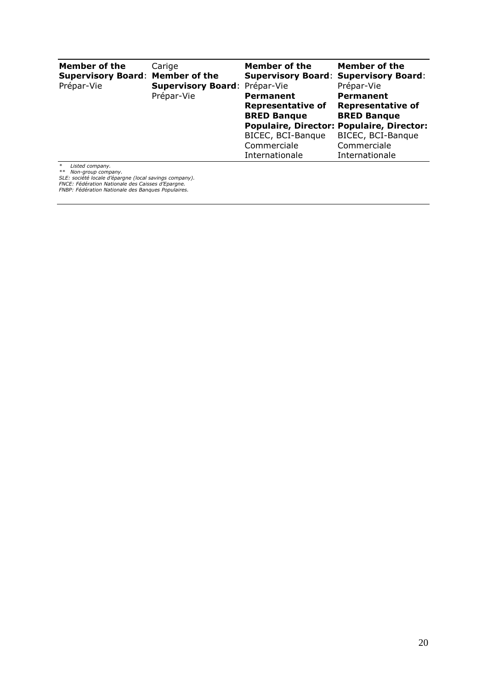| Member of the<br><b>Supervisory Board: Member of the</b><br>Prépar-Vie                                                                                                                                                                                                                                                                                                                                                                                                                                                                                               | Carige<br>Supervisory Board: Prépar-Vie | Member of the<br><b>Supervisory Board: Supervisory Board:</b> | Member of the<br>Prépar-Vie                      |
|----------------------------------------------------------------------------------------------------------------------------------------------------------------------------------------------------------------------------------------------------------------------------------------------------------------------------------------------------------------------------------------------------------------------------------------------------------------------------------------------------------------------------------------------------------------------|-----------------------------------------|---------------------------------------------------------------|--------------------------------------------------|
|                                                                                                                                                                                                                                                                                                                                                                                                                                                                                                                                                                      | Prépar-Vie                              | <b>Permanent</b>                                              | <b>Permanent</b>                                 |
|                                                                                                                                                                                                                                                                                                                                                                                                                                                                                                                                                                      |                                         | <b>Representative of</b>                                      | <b>Representative of</b>                         |
|                                                                                                                                                                                                                                                                                                                                                                                                                                                                                                                                                                      |                                         | <b>BRED Banque</b>                                            | <b>BRED Banque</b>                               |
|                                                                                                                                                                                                                                                                                                                                                                                                                                                                                                                                                                      |                                         |                                                               | <b>Populaire, Director: Populaire, Director:</b> |
|                                                                                                                                                                                                                                                                                                                                                                                                                                                                                                                                                                      |                                         | BICEC, BCI-Banque                                             | BICEC, BCI-Banque                                |
|                                                                                                                                                                                                                                                                                                                                                                                                                                                                                                                                                                      |                                         | Commerciale                                                   | Commerciale                                      |
|                                                                                                                                                                                                                                                                                                                                                                                                                                                                                                                                                                      |                                         | Internationale                                                | Internationale                                   |
| $\ast$<br>Listed company.<br>Non-group company.<br>$\mathcal{L} \cdot \mathcal{L} \cdot \mathcal{L} \cdot \mathcal{L} \cdot \mathcal{L} \cdot \mathcal{L} \cdot \mathcal{L} \cdot \mathcal{L} \cdot \mathcal{L} \cdot \mathcal{L} \cdot \mathcal{L} \cdot \mathcal{L} \cdot \mathcal{L} \cdot \mathcal{L} \cdot \mathcal{L} \cdot \mathcal{L} \cdot \mathcal{L} \cdot \mathcal{L} \cdot \mathcal{L} \cdot \mathcal{L} \cdot \mathcal{L} \cdot \mathcal{L} \cdot \mathcal{L} \cdot \mathcal{L} \cdot \mathcal{L} \cdot \mathcal{L} \cdot \mathcal{L} \cdot \mathcal{$ |                                         |                                                               |                                                  |

*\*\* Non-group company. SLE: société locale d'épargne (local savings company). FNCE: Fédération Nationale des Caisses d'Epargne. FNBP: Fédération Nationale des Banques Populaires.*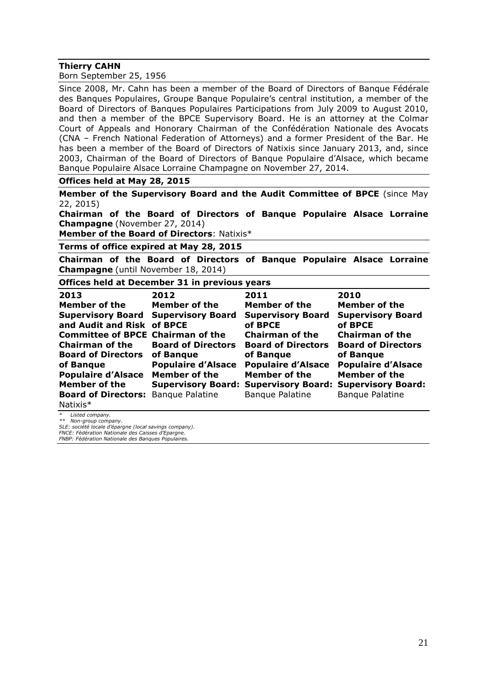#### **Thierry CAHN**

Born September 25, 1956

Since 2008, Mr. Cahn has been a member of the Board of Directors of Banque Fédérale des Banques Populaires, Groupe Banque Populaire's central institution, a member of the Board of Directors of Banques Populaires Participations from July 2009 to August 2010, and then a member of the BPCE Supervisory Board. He is an attorney at the Colmar Court of Appeals and Honorary Chairman of the Confédération Nationale des Avocats (CNA – French National Federation of Attorneys) and a former President of the Bar. He has been a member of the Board of Directors of Natixis since January 2013, and, since 2003, Chairman of the Board of Directors of Banque Populaire d'Alsace, which became Banque Populaire Alsace Lorraine Champagne on November 27, 2014.

#### **Offices held at May 28, 2015**

**Member of the Supervisory Board and the Audit Committee of BPCE** (since May 22, 2015)

**Chairman of the Board of Directors of Banque Populaire Alsace Lorraine Champagne** (November 27, 2014)

**Member of the Board of Directors**: Natixis\*

#### **Terms of office expired at May 28, 2015**

**Chairman of the Board of Directors of Banque Populaire Alsace Lorraine Champagne** (until November 18, 2014)

#### **Offices held at December 31 in previous years**

| 2013                                                          | 2012                      | 2011                                                            | 2010                                   |
|---------------------------------------------------------------|---------------------------|-----------------------------------------------------------------|----------------------------------------|
| <b>Member of the</b>                                          | <b>Member of the</b>      | <b>Member of the</b>                                            | Member of the                          |
| <b>Supervisory Board</b><br>and Audit and Risk of BPCE        | <b>Supervisory Board</b>  | <b>Supervisory Board</b><br>of BPCE                             | <b>Supervisory Board</b><br>of BPCE    |
| <b>Committee of BPCE Chairman of the</b>                      |                           | <b>Chairman of the</b>                                          | <b>Chairman of the</b>                 |
| <b>Chairman of the</b><br><b>Board of Directors of Banque</b> | <b>Board of Directors</b> | <b>Board of Directors</b><br>of Bangue                          | <b>Board of Directors</b><br>of Banque |
| of Bangue                                                     | <b>Populaire d'Alsace</b> | <b>Populaire d'Alsace</b>                                       | <b>Populaire d'Alsace</b>              |
| <b>Populaire d'Alsace</b>                                     | <b>Member of the</b>      | <b>Member of the</b>                                            | <b>Member of the</b>                   |
| <b>Member of the</b>                                          |                           | <b>Supervisory Board: Supervisory Board: Supervisory Board:</b> |                                        |
| <b>Board of Directors: Banque Palatine</b><br>Natixis $*$     |                           | <b>Banque Palatine</b>                                          | <b>Banque Palatine</b>                 |

*\* Listed company.*

*\*\* Non-group company. SLE: société locale d'épargne (local savings company).*

*FNCE: Fédération Nationale des Caisses d'Epargne.*

*FNBP: Fédération Nationale des Banques Populaires.*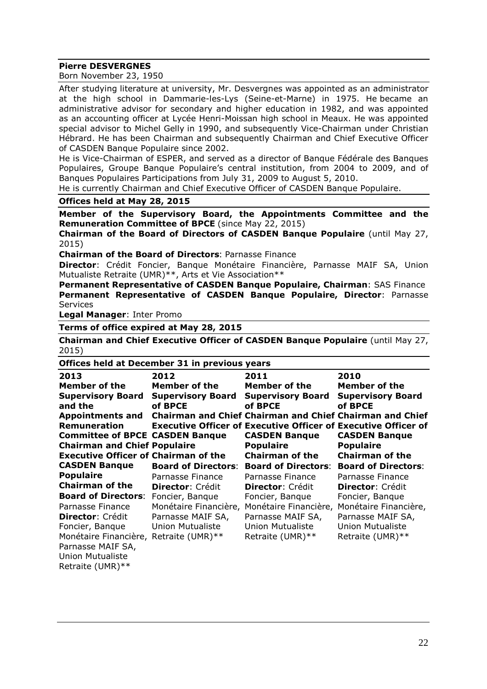#### **Pierre DESVERGNES**

Born November 23, 1950

After studying literature at university, Mr. Desvergnes was appointed as an administrator at the high school in Dammarie-les-Lys (Seine-et-Marne) in 1975. He became an administrative advisor for secondary and higher education in 1982, and was appointed as an accounting officer at Lycée Henri-Moissan high school in Meaux. He was appointed special advisor to Michel Gelly in 1990, and subsequently Vice-Chairman under Christian Hébrard. He has been Chairman and subsequently Chairman and Chief Executive Officer of CASDEN Banque Populaire since 2002.

He is Vice-Chairman of ESPER, and served as a director of Banque Fédérale des Banques Populaires, Groupe Banque Populaire's central institution, from 2004 to 2009, and of Banques Populaires Participations from July 31, 2009 to August 5, 2010.

He is currently Chairman and Chief Executive Officer of CASDEN Banque Populaire.

#### **Offices held at May 28, 2015**

**Member of the Supervisory Board, the Appointments Committee and the Remuneration Committee of BPCE** (since May 22, 2015)

**Chairman of the Board of Directors of CASDEN Banque Populaire** (until May 27, 2015)

**Chairman of the Board of Directors**: Parnasse Finance

**Director**: Crédit Foncier, Banque Monétaire Financière, Parnasse MAIF SA, Union Mutualiste Retraite (UMR)\*\*, Arts et Vie Association\*\*

**Permanent Representative of CASDEN Banque Populaire, Chairman**: SAS Finance **Permanent Representative of CASDEN Banque Populaire, Director**: Parnasse Services

**Legal Manager**: Inter Promo

**Terms of office expired at May 28, 2015**

**Chairman and Chief Executive Officer of CASDEN Banque Populaire** (until May 27, 2015)

#### **Offices held at December 31 in previous years**

| 2013                                        | 2012                       | 2011                                                           | 2010                       |
|---------------------------------------------|----------------------------|----------------------------------------------------------------|----------------------------|
| Member of the                               | <b>Member of the</b>       | Member of the                                                  | Member of the              |
| <b>Supervisory Board</b>                    | <b>Supervisory Board</b>   | <b>Supervisory Board</b>                                       | <b>Supervisory Board</b>   |
| and the                                     | of BPCE                    | of BPCE                                                        | of BPCE                    |
| <b>Appointments and</b>                     |                            | Chairman and Chief Chairman and Chief Chairman and Chief       |                            |
| <b>Remuneration</b>                         |                            | Executive Officer of Executive Officer of Executive Officer of |                            |
| <b>Committee of BPCE CASDEN Banque</b>      |                            | <b>CASDEN Banque</b>                                           | <b>CASDEN Banque</b>       |
| <b>Chairman and Chief Populaire</b>         |                            | <b>Populaire</b>                                               | <b>Populaire</b>           |
| <b>Executive Officer of Chairman of the</b> |                            | <b>Chairman of the</b>                                         | <b>Chairman of the</b>     |
| <b>CASDEN Banque</b>                        | <b>Board of Directors:</b> | <b>Board of Directors:</b>                                     | <b>Board of Directors:</b> |
| <b>Populaire</b>                            | Parnasse Finance           | Parnasse Finance                                               | Parnasse Finance           |
| <b>Chairman of the</b>                      | <b>Director: Crédit</b>    | <b>Director: Crédit</b>                                        | <b>Director:</b> Crédit    |
| <b>Board of Directors:</b>                  | Foncier, Bangue            | Foncier, Bangue                                                | Foncier, Banque            |
| Parnasse Finance                            | Monétaire Financière,      | Monétaire Financière,                                          | Monétaire Financière,      |
| <b>Director: Crédit</b>                     | Parnasse MAIF SA,          | Parnasse MAIF SA,                                              | Parnasse MAIF SA,          |
| Foncier, Bangue                             | Union Mutualiste           | <b>Union Mutualiste</b>                                        | Union Mutualiste           |
| Monétaire Financière, Retraite (UMR) **     |                            | Retraite (UMR)**                                               | Retraite (UMR) **          |
| Parnasse MAIF SA,                           |                            |                                                                |                            |
| Thion Mutualiste                            |                            |                                                                |                            |

Union Mutualiste Retraite (UMR)\*\*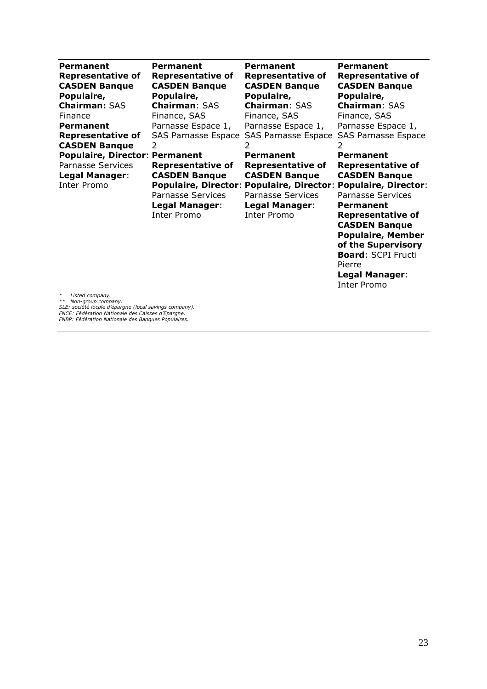| Permanent                                                        | <b>Permanent</b>                                                                                              | Permanent                                                                                                                                                                              | <b>Permanent</b>                                                                                                                                                                                                                                                                             |
|------------------------------------------------------------------|---------------------------------------------------------------------------------------------------------------|----------------------------------------------------------------------------------------------------------------------------------------------------------------------------------------|----------------------------------------------------------------------------------------------------------------------------------------------------------------------------------------------------------------------------------------------------------------------------------------------|
| <b>Representative of</b>                                         | <b>Representative of</b>                                                                                      | <b>Representative of</b>                                                                                                                                                               | <b>Representative of</b>                                                                                                                                                                                                                                                                     |
| <b>CASDEN Banque</b>                                             | <b>CASDEN Banque</b>                                                                                          | <b>CASDEN Banque</b>                                                                                                                                                                   | <b>CASDEN Banque</b>                                                                                                                                                                                                                                                                         |
| Populaire,                                                       | Populaire,                                                                                                    | Populaire,                                                                                                                                                                             | Populaire,                                                                                                                                                                                                                                                                                   |
| <b>Chairman: SAS</b>                                             | <b>Chairman: SAS</b>                                                                                          | <b>Chairman: SAS</b>                                                                                                                                                                   | <b>Chairman: SAS</b>                                                                                                                                                                                                                                                                         |
| Finance                                                          | Finance, SAS                                                                                                  | Finance, SAS                                                                                                                                                                           | Finance, SAS                                                                                                                                                                                                                                                                                 |
| Permanent                                                        | Parnasse Espace 1,                                                                                            | Parnasse Espace 1,                                                                                                                                                                     | Parnasse Espace 1,                                                                                                                                                                                                                                                                           |
| <b>Representative of</b>                                         | <b>SAS Parnasse Espace</b>                                                                                    | <b>SAS Parnasse Espace</b>                                                                                                                                                             | <b>SAS Parnasse Espace</b>                                                                                                                                                                                                                                                                   |
| <b>CASDEN Banque</b>                                             | 2                                                                                                             | 2                                                                                                                                                                                      | 2                                                                                                                                                                                                                                                                                            |
| <b>Populaire, Director: Permanent</b>                            |                                                                                                               | Permanent                                                                                                                                                                              | <b>Permanent</b>                                                                                                                                                                                                                                                                             |
| <b>Parnasse Services</b><br><b>Legal Manager:</b><br>Inter Promo | <b>Representative of</b><br><b>CASDEN Banque</b><br>Parnasse Services<br><b>Legal Manager:</b><br>Inter Promo | <b>Representative of</b><br><b>CASDEN Banque</b><br>Populaire, Director: Populaire, Director: Populaire, Director:<br><b>Parnasse Services</b><br><b>Legal Manager:</b><br>Inter Promo | <b>Representative of</b><br><b>CASDEN Banque</b><br><b>Parnasse Services</b><br><b>Permanent</b><br><b>Representative of</b><br><b>CASDEN Banque</b><br><b>Populaire, Member</b><br>of the Supervisory<br><b>Board: SCPI Fructi</b><br>Pierre<br><b>Legal Manager:</b><br><b>Inter Promo</b> |

\* Listed company.<br>\*\* Non-group company.<br>SLE: société locale d'épargne (local savings company).<br>FNCE: Fédération Nationale des Banques Populaires.<br>FNBP: Fédération Nationale des Banques Populaires.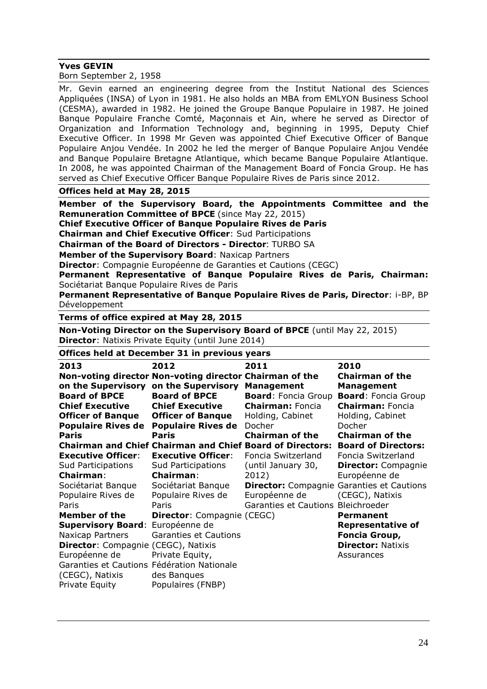#### **Yves GEVIN**

|  | Born September 2, 1958 |  |  |
|--|------------------------|--|--|
|--|------------------------|--|--|

Mr. Gevin earned an engineering degree from the Institut National des Sciences Appliquées (INSA) of Lyon in 1981. He also holds an MBA from EMLYON Business School (CESMA), awarded in 1982. He joined the Groupe Banque Populaire in 1987. He joined Banque Populaire Franche Comté, Maçonnais et Ain, where he served as Director of Organization and Information Technology and, beginning in 1995, Deputy Chief Executive Officer. In 1998 Mr Geven was appointed Chief Executive Officer of Banque Populaire Anjou Vendée. In 2002 he led the merger of Banque Populaire Anjou Vendée and Banque Populaire Bretagne Atlantique, which became Banque Populaire Atlantique. In 2008, he was appointed Chairman of the Management Board of Foncia Group. He has served as Chief Executive Officer Banque Populaire Rives de Paris since 2012.

#### **Offices held at May 28, 2015**

**Member of the Supervisory Board, the Appointments Committee and the Remuneration Committee of BPCE** (since May 22, 2015)

**Chief Executive Officer of Banque Populaire Rives de Paris** 

**Chairman and Chief Executive Officer**: Sud Participations

**Chairman of the Board of Directors - Director**: TURBO SA

**Member of the Supervisory Board**: Naxicap Partners

**Director**: Compagnie Européenne de Garanties et Cautions (CEGC)

**Permanent Representative of Banque Populaire Rives de Paris, Chairman:** Sociétariat Banque Populaire Rives de Paris

**Permanent Representative of Banque Populaire Rives de Paris, Director**: i-BP, BP Développement

**Terms of office expired at May 28, 2015**

**Non-Voting Director on the Supervisory Board of BPCE** (until May 22, 2015) **Director**: Natixis Private Equity (until June 2014)

#### **Offices held at December 31 in previous years**

| 2013                                       | 2012                                                    | 2011                                                             | 2010                                             |
|--------------------------------------------|---------------------------------------------------------|------------------------------------------------------------------|--------------------------------------------------|
|                                            | Non-voting director Non-voting director Chairman of the |                                                                  | <b>Chairman of the</b>                           |
|                                            | on the Supervisory on the Supervisory                   | <b>Management</b>                                                | <b>Management</b>                                |
| <b>Board of BPCE</b>                       | <b>Board of BPCE</b>                                    | <b>Board: Foncia Group</b>                                       | <b>Board: Foncia Group</b>                       |
| <b>Chief Executive</b>                     | <b>Chief Executive</b>                                  | <b>Chairman: Foncia</b>                                          | <b>Chairman: Foncia</b>                          |
| <b>Officer of Banque</b>                   | <b>Officer of Banque</b>                                | Holding, Cabinet                                                 | Holding, Cabinet                                 |
|                                            | Populaire Rives de Populaire Rives de                   | Docher                                                           | <b>Docher</b>                                    |
| Paris                                      | <b>Paris</b>                                            | <b>Chairman of the</b>                                           | <b>Chairman of the</b>                           |
|                                            |                                                         | <b>Chairman and Chief Chairman and Chief Board of Directors:</b> | <b>Board of Directors:</b>                       |
| <b>Executive Officer:</b>                  | <b>Executive Officer:</b>                               | Foncia Switzerland                                               | Foncia Switzerland                               |
| <b>Sud Participations</b>                  | <b>Sud Participations</b>                               | (until January 30,                                               | <b>Director:</b> Compagnie                       |
| <b>Chairman:</b>                           | <b>Chairman:</b>                                        | 2012)                                                            | Européenne de                                    |
| Sociétariat Banque                         | Sociétariat Banque                                      |                                                                  | <b>Director:</b> Compagnie Garanties et Cautions |
| Populaire Rives de                         | Populaire Rives de                                      | Européenne de                                                    | (CEGC), Natixis                                  |
| Paris                                      | Paris                                                   | Garanties et Cautions Bleichroeder                               |                                                  |
| <b>Member of the</b>                       | <b>Director:</b> Compagnie (CEGC)                       |                                                                  | <b>Permanent</b>                                 |
| Supervisory Board: Européenne de           |                                                         |                                                                  | <b>Representative of</b>                         |
| Naxicap Partners                           | <b>Garanties et Cautions</b>                            |                                                                  | Foncia Group,                                    |
| <b>Director:</b> Compagnie (CEGC), Natixis |                                                         |                                                                  | <b>Director: Natixis</b>                         |
| Européenne de                              | Private Equity,                                         |                                                                  | Assurances                                       |
| Garanties et Cautions Fédération Nationale |                                                         |                                                                  |                                                  |
| (CEGC), Natixis                            | des Banques                                             |                                                                  |                                                  |
| Private Equity                             | Populaires (FNBP)                                       |                                                                  |                                                  |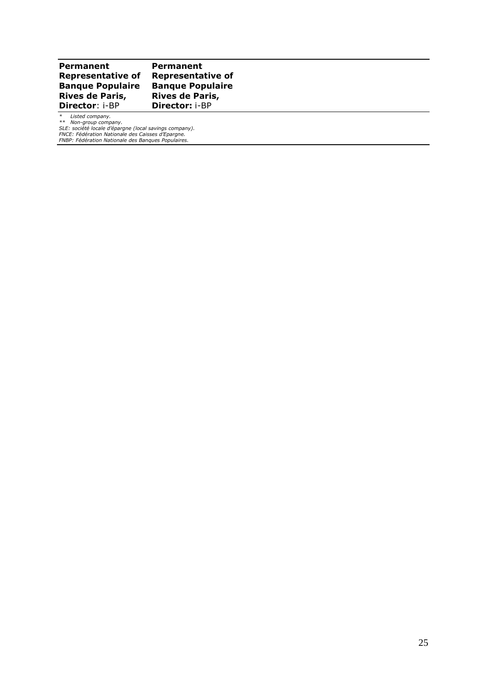#### **Permanent Representative of Banque Populaire Rives de Paris, Director**: i-BP **Permanent Representative of Banque Populaire Rives de Paris, Director:** i-BP

\* Listed company.<br>\*\* Non-group company.<br>SLE: société locale d'épargne (local savings company).<br>FNCE: Fédération Nationale des Banques Populaires.<br>FNBP: Fédération Nationale des Banques Populaires.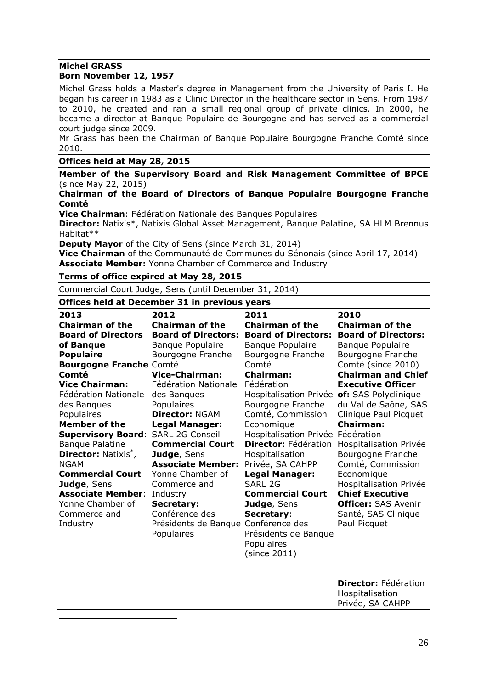## **Michel GRASS**

 $\overline{a}$ 

#### **Born November 12, 1957**

Michel Grass holds a Master's degree in Management from the University of Paris I. He began his career in 1983 as a Clinic Director in the healthcare sector in Sens. From 1987 to 2010, he created and ran a small regional group of private clinics. In 2000, he became a director at Banque Populaire de Bourgogne and has served as a commercial court judge since 2009.

Mr Grass has been the Chairman of Banque Populaire Bourgogne Franche Comté since 2010.

#### **Offices held at May 28, 2015\***

**Member of the Supervisory Board and Risk Management Committee of BPCE** (since May 22, 2015)

#### **Chairman of the Board of Directors of Banque Populaire Bourgogne Franche Comté**

**Vice Chairman**: Fédération Nationale des Banques Populaires

Director: Natixis<sup>\*</sup>, Natixis Global Asset Management, Banque Palatine, SA HLM Brennus Habitat\*\*

**Deputy Mayor** of the City of Sens (since March 31, 2014)

**Vice Chairman** of the Communauté de Communes du Sénonais (since April 17, 2014) **Associate Member:** Yonne Chamber of Commerce and Industry

#### **Terms of office expired at May 28, 2015**

Commercial Court Judge, Sens (until December 31, 2014)

#### **Offices held at December 31 in previous years**

| 2013                                   | 2012                                | 2011                        | 2010                       |
|----------------------------------------|-------------------------------------|-----------------------------|----------------------------|
| <b>Chairman of the</b>                 | <b>Chairman of the</b>              | <b>Chairman of the</b>      | <b>Chairman of the</b>     |
| <b>Board of Directors</b>              | <b>Board of Directors:</b>          | <b>Board of Directors:</b>  | <b>Board of Directors:</b> |
| of Banque                              | Banque Populaire                    | <b>Banque Populaire</b>     | <b>Banque Populaire</b>    |
| <b>Populaire</b>                       | Bourgogne Franche                   | Bourgogne Franche           | Bourgogne Franche          |
| <b>Bourgogne Franche Comté</b>         |                                     | Comté                       | Comté (since 2010)         |
| Comté                                  | <b>Vice-Chairman:</b>               | <b>Chairman:</b>            | <b>Chairman and Chief</b>  |
| <b>Vice Chairman:</b>                  | Fédération Nationale                | Fédération                  | <b>Executive Officer</b>   |
| Fédération Nationale                   | des Banques                         | Hospitalisation Privée      | of: SAS Polyclinique       |
| des Banques                            | Populaires                          | Bourgogne Franche           | du Val de Saône, SAS       |
| Populaires                             | <b>Director: NGAM</b>               | Comté, Commission           | Clinique Paul Picquet      |
| <b>Member of the</b>                   | <b>Legal Manager:</b>               | Economique                  | <b>Chairman:</b>           |
| <b>Supervisory Board:</b>              | <b>SARL 2G Conseil</b>              | Hospitalisation Privée      | Fédération                 |
| <b>Banque Palatine</b>                 | <b>Commercial Court</b>             | <b>Director: Fédération</b> | Hospitalisation Privée     |
| <b>Director: Natixis<sup>*</sup></b> , | Judge, Sens                         | Hospitalisation             | Bourgogne Franche          |
| NGAM                                   | <b>Associate Member:</b>            | Privée, SA CAHPP            | Comté, Commission          |
| <b>Commercial Court</b>                | Yonne Chamber of                    | <b>Legal Manager:</b>       | Economique                 |
| Judge, Sens                            | Commerce and                        | SARL 2G                     | Hospitalisation Privée     |
| <b>Associate Member:</b>               | Industry                            | <b>Commercial Court</b>     | <b>Chief Executive</b>     |
| Yonne Chamber of                       | Secretary:                          | Judge, Sens                 | <b>Officer: SAS Avenir</b> |
| Commerce and                           | Conférence des                      | Secretary:                  | Santé, SAS Clinique        |
| Industry                               | Présidents de Banque Conférence des |                             | Paul Picquet               |
|                                        | Populaires                          | Présidents de Banque        |                            |
|                                        |                                     | <b>Populaires</b>           |                            |
|                                        |                                     | (since 2011)                |                            |

**Director:** Fédération Hospitalisation Privée, SA CAHPP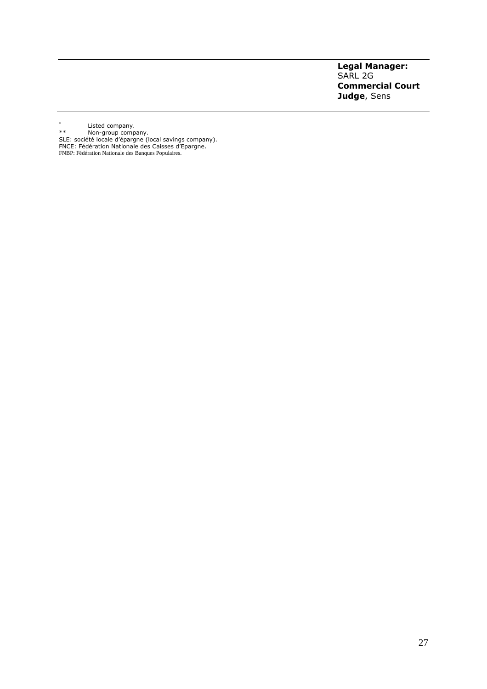#### **Legal Manager:** SARL 2G **Commercial Court Judge**, Sens

- \* Listed company.
- \*\* Non-group company.
- SLE: société locale d'épargne (local savings company). FNCE: Fédération Nationale des Caisses d'Epargne. FNBP: Fédération Nationale des Banques Populaires.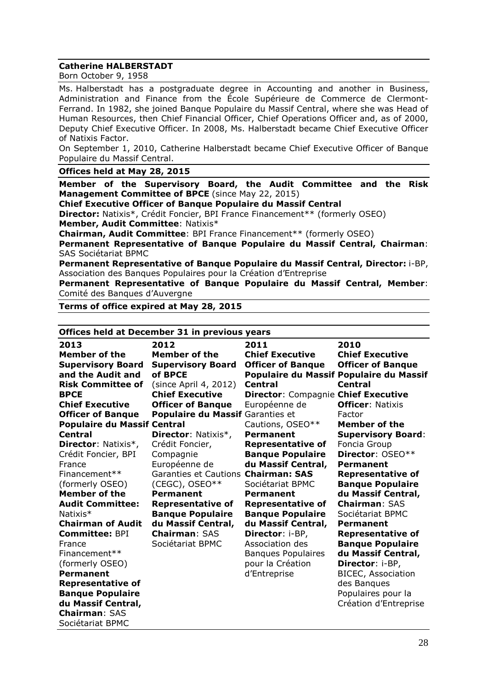#### **Catherine HALBERSTADT**

Born October 9, 1958

Ms. Halberstadt has a postgraduate degree in Accounting and another in Business, Administration and Finance from the École Supérieure de Commerce de Clermont-Ferrand. In 1982, she joined Banque Populaire du Massif Central, where she was Head of Human Resources, then Chief Financial Officer, Chief Operations Officer and, as of 2000, Deputy Chief Executive Officer. In 2008, Ms. Halberstadt became Chief Executive Officer of Natixis Factor.

On September 1, 2010, Catherine Halberstadt became Chief Executive Officer of Banque Populaire du Massif Central.

#### **Offices held at May 28, 2015**

**Member of the Supervisory Board, the Audit Committee and the Risk Management Committee of BPCE** (since May 22, 2015)

**Chief Executive Officer of Banque Populaire du Massif Central** 

**Director:** Natixis\*, Crédit Foncier, BPI France Financement\*\* (formerly OSEO) **Member, Audit Committee**: Natixis\*

**Chairman, Audit Committee**: BPI France Financement\*\* (formerly OSEO)

**Permanent Representative of Banque Populaire du Massif Central, Chairman**: SAS Sociétariat BPMC

**Permanent Representative of Banque Populaire du Massif Central, Director:** i-BP, Association des Banques Populaires pour la Création d'Entreprise

**Permanent Representative of Banque Populaire du Massif Central, Member**: Comité des Banques d'Auvergne

**Terms of office expired at May 28, 2015**

|                                    | Offices held at December 31 in previous years |                                     |                                         |  |  |
|------------------------------------|-----------------------------------------------|-------------------------------------|-----------------------------------------|--|--|
| 2013                               | 2012                                          | 2011                                | 2010                                    |  |  |
| Member of the                      | Member of the                                 | <b>Chief Executive</b>              | <b>Chief Executive</b>                  |  |  |
| <b>Supervisory Board</b>           | <b>Supervisory Board</b>                      | <b>Officer of Banque</b>            | <b>Officer of Banque</b>                |  |  |
| and the Audit and                  | of BPCE                                       |                                     | Populaire du Massif Populaire du Massif |  |  |
| <b>Risk Committee of</b>           | (since April 4, 2012)                         | <b>Central</b>                      | <b>Central</b>                          |  |  |
| <b>BPCE</b>                        | <b>Chief Executive</b>                        | Director: Compagnie Chief Executive |                                         |  |  |
| <b>Chief Executive</b>             | <b>Officer of Banque</b>                      | Européenne de                       | <b>Officer: Natixis</b>                 |  |  |
| <b>Officer of Banque</b>           | Populaire du Massif Garanties et              |                                     | Factor                                  |  |  |
| <b>Populaire du Massif Central</b> |                                               | Cautions, OSEO**                    | Member of the                           |  |  |
| <b>Central</b>                     | <b>Director: Natixis*,</b>                    | <b>Permanent</b>                    | <b>Supervisory Board:</b>               |  |  |
| <b>Director: Natixis*,</b>         | Crédit Foncier,                               | <b>Representative of</b>            | Foncia Group                            |  |  |
| Crédit Foncier, BPI                | Compagnie                                     | <b>Banque Populaire</b>             | <b>Director: OSEO**</b>                 |  |  |
| France                             | Européenne de                                 | du Massif Central,                  | Permanent                               |  |  |
| Financement**                      | Garanties et Cautions Chairman: SAS           |                                     | <b>Representative of</b>                |  |  |
| (formerly OSEO)                    | $(CEGC)$ , OSEO**                             | Sociétariat BPMC                    | <b>Banque Populaire</b>                 |  |  |
| <b>Member of the</b>               | Permanent                                     | <b>Permanent</b>                    | du Massif Central,                      |  |  |
| <b>Audit Committee:</b>            | <b>Representative of</b>                      | <b>Representative of</b>            | <b>Chairman: SAS</b>                    |  |  |
| Natixis $*$                        | <b>Banque Populaire</b>                       | <b>Banque Populaire</b>             | Sociétariat BPMC                        |  |  |
| <b>Chairman of Audit</b>           | du Massif Central,                            | du Massif Central,                  | Permanent                               |  |  |
| <b>Committee: BPI</b>              | <b>Chairman: SAS</b>                          | Director: i-BP,                     | <b>Representative of</b>                |  |  |
| France                             | Sociétariat BPMC                              | Association des                     | <b>Banque Populaire</b>                 |  |  |
| Financement**                      |                                               | <b>Banques Populaires</b>           | du Massif Central,                      |  |  |
| (formerly OSEO)                    |                                               | pour la Création                    | Director: i-BP,                         |  |  |
| Permanent                          |                                               | d'Entreprise                        | <b>BICEC, Association</b>               |  |  |
| <b>Representative of</b>           |                                               |                                     | des Banques                             |  |  |
| <b>Banque Populaire</b>            |                                               |                                     | Populaires pour la                      |  |  |
| du Massif Central,                 |                                               |                                     | Création d'Entreprise                   |  |  |
| <b>Chairman: SAS</b>               |                                               |                                     |                                         |  |  |
| Sociétariat BPMC                   |                                               |                                     |                                         |  |  |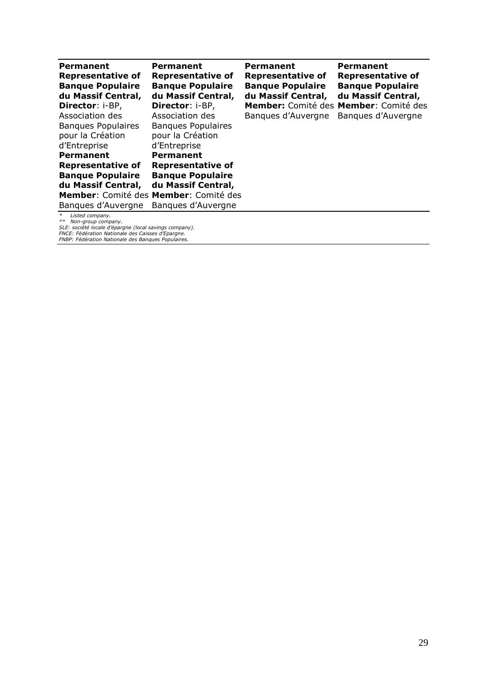| <b>Permanent</b><br><b>Representative of</b><br><b>Banque Populaire</b><br>du Massif Central,<br>Director: i-BP, | Permanent<br><b>Representative of</b><br><b>Banque Populaire</b><br>du Massif Central,<br>Director: i-BP, | Permanent<br>Representative of<br><b>Banque Populaire</b><br>du Massif Central, | <b>Permanent</b><br><b>Representative of</b><br><b>Banque Populaire</b><br>du Massif Central,<br>Member: Comité des Member: Comité des |
|------------------------------------------------------------------------------------------------------------------|-----------------------------------------------------------------------------------------------------------|---------------------------------------------------------------------------------|----------------------------------------------------------------------------------------------------------------------------------------|
| Association des                                                                                                  | Association des                                                                                           | Bangues d'Auvergne                                                              | Bangues d'Auvergne                                                                                                                     |
| <b>Bangues Populaires</b><br>pour la Création<br>d'Entreprise                                                    | <b>Bangues Populaires</b><br>pour la Création<br>d'Entreprise                                             |                                                                                 |                                                                                                                                        |
| <b>Permanent</b>                                                                                                 | <b>Permanent</b>                                                                                          |                                                                                 |                                                                                                                                        |
| <b>Representative of</b>                                                                                         | <b>Representative of</b>                                                                                  |                                                                                 |                                                                                                                                        |
| <b>Bangue Populaire</b>                                                                                          | <b>Banque Populaire</b>                                                                                   |                                                                                 |                                                                                                                                        |
| du Massif Central,                                                                                               | du Massif Central,                                                                                        |                                                                                 |                                                                                                                                        |
|                                                                                                                  | Member: Comité des Member: Comité des                                                                     |                                                                                 |                                                                                                                                        |
| Bangues d'Auvergne                                                                                               | Bangues d'Auvergne                                                                                        |                                                                                 |                                                                                                                                        |
| $\ast$<br>Listed company.<br>Non-aroun company                                                                   |                                                                                                           |                                                                                 |                                                                                                                                        |

*\*\* Non-group company. SLE: société locale d'épargne (local savings company). FNCE: Fédération Nationale des Caisses d'Epargne. FNBP: Fédération Nationale des Banques Populaires.*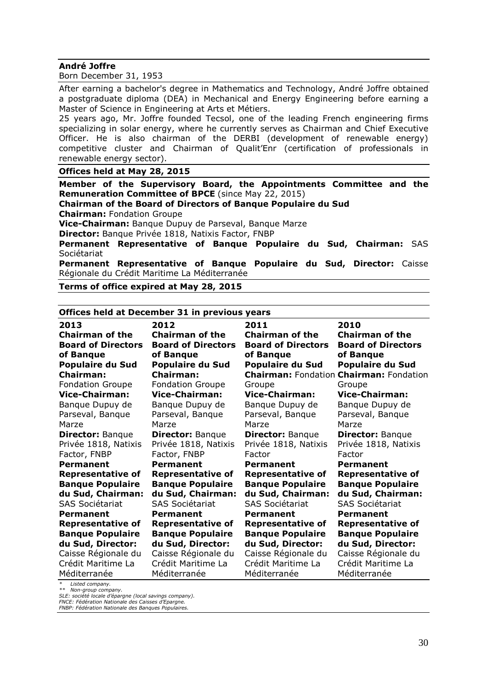#### **André Joffre**

Born December 31, 1953

After earning a bachelor's degree in Mathematics and Technology, André Joffre obtained a postgraduate diploma (DEA) in Mechanical and Energy Engineering before earning a Master of Science in Engineering at Arts et Métiers.

25 years ago, Mr. Joffre founded Tecsol, one of the leading French engineering firms specializing in solar energy, where he currently serves as Chairman and Chief Executive Officer. He is also chairman of the DERBI (development of renewable energy) competitive cluster and Chairman of Qualit'Enr (certification of professionals in renewable energy sector).

**Offices held at May 28, 2015**

**Member of the Supervisory Board, the Appointments Committee and the Remuneration Committee of BPCE** (since May 22, 2015)

**Chairman of the Board of Directors of Banque Populaire du Sud** 

**Chairman:** Fondation Groupe

**Vice-Chairman:** Banque Dupuy de Parseval, Banque Marze

**Director:** Banque Privée 1818, Natixis Factor, FNBP

**Permanent Representative of Banque Populaire du Sud, Chairman:** SAS Sociétariat

**Permanent Representative of Banque Populaire du Sud, Director:** Caisse Régionale du Crédit Maritime La Méditerranée

**Terms of office expired at May 28, 2015**

#### **Offices held at December 31 in previous years**

| 2013                      | 2012                      | 2011                      | 2010                                           |
|---------------------------|---------------------------|---------------------------|------------------------------------------------|
| <b>Chairman of the</b>    | <b>Chairman of the</b>    | <b>Chairman of the</b>    | <b>Chairman of the</b>                         |
| <b>Board of Directors</b> | <b>Board of Directors</b> | <b>Board of Directors</b> | <b>Board of Directors</b>                      |
| of Banque                 | of Banque                 | of Banque                 | of Banque                                      |
| <b>Populaire du Sud</b>   | <b>Populaire du Sud</b>   | <b>Populaire du Sud</b>   | <b>Populaire du Sud</b>                        |
| <b>Chairman:</b>          | Chairman:                 |                           | <b>Chairman: Fondation Chairman: Fondation</b> |
| <b>Fondation Groupe</b>   | <b>Fondation Groupe</b>   | Groupe                    | Groupe                                         |
| <b>Vice-Chairman:</b>     | <b>Vice-Chairman:</b>     | <b>Vice-Chairman:</b>     | <b>Vice-Chairman:</b>                          |
| Banque Dupuy de           | Banque Dupuy de           | Banque Dupuy de           | Banque Dupuy de                                |
| Parseval, Banque          | Parseval, Banque          | Parseval, Banque          | Parseval, Banque                               |
| Marze                     | Marze                     | Marze                     | Marze                                          |
| <b>Director: Banque</b>   | <b>Director: Banque</b>   | <b>Director: Banque</b>   | <b>Director: Banque</b>                        |
| Privée 1818, Natixis      | Privée 1818, Natixis      | Privée 1818, Natixis      | Privée 1818, Natixis                           |
| Factor, FNBP              | Factor, FNBP              | Factor                    | Factor                                         |
| Permanent                 | <b>Permanent</b>          | <b>Permanent</b>          | Permanent                                      |
| <b>Representative of</b>  | <b>Representative of</b>  | <b>Representative of</b>  | <b>Representative of</b>                       |
| <b>Banque Populaire</b>   | <b>Banque Populaire</b>   | <b>Banque Populaire</b>   | <b>Banque Populaire</b>                        |
| du Sud, Chairman:         | du Sud, Chairman:         | du Sud, Chairman:         | du Sud, Chairman:                              |
| <b>SAS Sociétariat</b>    | SAS Sociétariat           | <b>SAS Sociétariat</b>    | <b>SAS Sociétariat</b>                         |
| <b>Permanent</b>          | <b>Permanent</b>          | <b>Permanent</b>          | Permanent                                      |
| <b>Representative of</b>  | <b>Representative of</b>  | <b>Representative of</b>  | <b>Representative of</b>                       |
| <b>Banque Populaire</b>   | <b>Banque Populaire</b>   | <b>Banque Populaire</b>   | <b>Banque Populaire</b>                        |
| du Sud, Director:         | du Sud, Director:         | du Sud, Director:         | du Sud, Director:                              |
| Caisse Régionale du       | Caisse Régionale du       | Caisse Régionale du       | Caisse Régionale du                            |
| Crédit Maritime La        | Crédit Maritime La        | Crédit Maritime La        | Crédit Maritime La                             |
| Méditerranée              | Méditerranée              | Méditerranée              | Méditerranée                                   |

*\* Listed company. \*\* Non-group company.*

*SLE: société locale d'épargne (local savings company). FNCE: Fédération Nationale des Caisses d'Epargne. FNBP: Fédération Nationale des Banques Populaires.*

30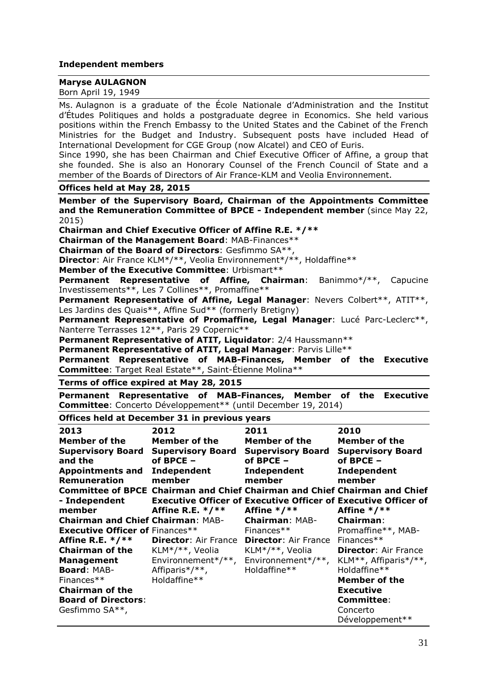# **Independent members**

# **Maryse AULAGNON**

| d'Etudes Politiques and holds a postgraduate degree in Economics. She held various<br>positions within the French Embassy to the United States and the Cabinet of the French<br>Ministries for the Budget and Industry. Subsequent posts have included Head of<br>International Development for CGE Group (now Alcatel) and CEO of Euris.<br>Since 1990, she has been Chairman and Chief Executive Officer of Affine, a group that<br>she founded. She is also an Honorary Counsel of the French Council of State and a<br>member of the Boards of Directors of Air France-KLM and Veolia Environnement. |                                                                                                                                  |                                        |                                                                                                                                                       |  |  |
|----------------------------------------------------------------------------------------------------------------------------------------------------------------------------------------------------------------------------------------------------------------------------------------------------------------------------------------------------------------------------------------------------------------------------------------------------------------------------------------------------------------------------------------------------------------------------------------------------------|----------------------------------------------------------------------------------------------------------------------------------|----------------------------------------|-------------------------------------------------------------------------------------------------------------------------------------------------------|--|--|
| Offices held at May 28, 2015                                                                                                                                                                                                                                                                                                                                                                                                                                                                                                                                                                             |                                                                                                                                  |                                        |                                                                                                                                                       |  |  |
| 2015)                                                                                                                                                                                                                                                                                                                                                                                                                                                                                                                                                                                                    | Chairman and Chief Executive Officer of Affine R.E. */**<br>Chairman of the Management Board: MAB-Finances**                     |                                        | Member of the Supervisory Board, Chairman of the Appointments Committee<br>and the Remuneration Committee of BPCE - Independent member (since May 22, |  |  |
|                                                                                                                                                                                                                                                                                                                                                                                                                                                                                                                                                                                                          | <b>Chairman of the Board of Directors: Gesfimmo SA**,</b>                                                                        |                                        |                                                                                                                                                       |  |  |
|                                                                                                                                                                                                                                                                                                                                                                                                                                                                                                                                                                                                          | <b>Director</b> : Air France KLM*/**, Veolia Environnement*/**, Holdaffine**                                                     |                                        |                                                                                                                                                       |  |  |
|                                                                                                                                                                                                                                                                                                                                                                                                                                                                                                                                                                                                          | Member of the Executive Committee: Urbismart**                                                                                   |                                        |                                                                                                                                                       |  |  |
| Permanent                                                                                                                                                                                                                                                                                                                                                                                                                                                                                                                                                                                                | <b>Representative of Affine, Chairman:</b> Banimmo*/**,                                                                          |                                        | Capucine                                                                                                                                              |  |  |
|                                                                                                                                                                                                                                                                                                                                                                                                                                                                                                                                                                                                          | Investissements**, Les 7 Collines**, Promaffine**                                                                                |                                        |                                                                                                                                                       |  |  |
|                                                                                                                                                                                                                                                                                                                                                                                                                                                                                                                                                                                                          |                                                                                                                                  |                                        | Permanent Representative of Affine, Legal Manager: Nevers Colbert**, ATIT**,                                                                          |  |  |
|                                                                                                                                                                                                                                                                                                                                                                                                                                                                                                                                                                                                          | Les Jardins des Quais**, Affine Sud** (formerly Bretigny)                                                                        |                                        |                                                                                                                                                       |  |  |
|                                                                                                                                                                                                                                                                                                                                                                                                                                                                                                                                                                                                          |                                                                                                                                  |                                        | Permanent Representative of Promaffine, Legal Manager: Lucé Parc-Leclerc**,                                                                           |  |  |
|                                                                                                                                                                                                                                                                                                                                                                                                                                                                                                                                                                                                          | Nanterre Terrasses 12**, Paris 29 Copernic**                                                                                     |                                        |                                                                                                                                                       |  |  |
|                                                                                                                                                                                                                                                                                                                                                                                                                                                                                                                                                                                                          | Permanent Representative of ATIT, Liquidator: 2/4 Haussmann**<br>Permanent Representative of ATIT, Legal Manager: Parvis Lille** |                                        |                                                                                                                                                       |  |  |
|                                                                                                                                                                                                                                                                                                                                                                                                                                                                                                                                                                                                          |                                                                                                                                  |                                        | Permanent Representative of MAB-Finances, Member of the Executive                                                                                     |  |  |
|                                                                                                                                                                                                                                                                                                                                                                                                                                                                                                                                                                                                          |                                                                                                                                  |                                        |                                                                                                                                                       |  |  |
| <b>Committee:</b> Target Real Estate**, Saint-Étienne Molina**                                                                                                                                                                                                                                                                                                                                                                                                                                                                                                                                           |                                                                                                                                  |                                        |                                                                                                                                                       |  |  |
|                                                                                                                                                                                                                                                                                                                                                                                                                                                                                                                                                                                                          |                                                                                                                                  |                                        |                                                                                                                                                       |  |  |
|                                                                                                                                                                                                                                                                                                                                                                                                                                                                                                                                                                                                          | Terms of office expired at May 28, 2015                                                                                          |                                        |                                                                                                                                                       |  |  |
|                                                                                                                                                                                                                                                                                                                                                                                                                                                                                                                                                                                                          | Committee: Concerto Développement** (until December 19, 2014)                                                                    |                                        | Permanent Representative of MAB-Finances, Member of the Executive                                                                                     |  |  |
|                                                                                                                                                                                                                                                                                                                                                                                                                                                                                                                                                                                                          | Offices held at December 31 in previous years                                                                                    |                                        |                                                                                                                                                       |  |  |
| 2013                                                                                                                                                                                                                                                                                                                                                                                                                                                                                                                                                                                                     | 2012                                                                                                                             | 2011                                   | 2010                                                                                                                                                  |  |  |
| <b>Member of the</b>                                                                                                                                                                                                                                                                                                                                                                                                                                                                                                                                                                                     | Member of the                                                                                                                    | <b>Member of the</b>                   | <b>Member of the</b>                                                                                                                                  |  |  |
|                                                                                                                                                                                                                                                                                                                                                                                                                                                                                                                                                                                                          | <b>Supervisory Board Supervisory Board</b>                                                                                       | <b>Supervisory Board</b>               | <b>Supervisory Board</b>                                                                                                                              |  |  |
| and the                                                                                                                                                                                                                                                                                                                                                                                                                                                                                                                                                                                                  | of BPCE -                                                                                                                        | of BPCE -                              | of BPCE -                                                                                                                                             |  |  |
| <b>Appointments and Independent</b>                                                                                                                                                                                                                                                                                                                                                                                                                                                                                                                                                                      |                                                                                                                                  | Independent                            | Independent                                                                                                                                           |  |  |
| Remuneration                                                                                                                                                                                                                                                                                                                                                                                                                                                                                                                                                                                             | member                                                                                                                           | member                                 | member                                                                                                                                                |  |  |
|                                                                                                                                                                                                                                                                                                                                                                                                                                                                                                                                                                                                          |                                                                                                                                  |                                        | Committee of BPCE Chairman and Chief Chairman and Chief Chairman and Chief                                                                            |  |  |
| - Independent                                                                                                                                                                                                                                                                                                                                                                                                                                                                                                                                                                                            |                                                                                                                                  |                                        | <b>Executive Officer of Executive Officer of Executive Officer of</b>                                                                                 |  |  |
| member<br><b>Chairman and Chief Chairman: MAB-</b>                                                                                                                                                                                                                                                                                                                                                                                                                                                                                                                                                       | Affine R.E. $*/**$                                                                                                               | Affine $*/**$<br><b>Chairman: MAB-</b> | Affine $*/**$<br><b>Chairman:</b>                                                                                                                     |  |  |
| <b>Executive Officer of Finances**</b>                                                                                                                                                                                                                                                                                                                                                                                                                                                                                                                                                                   |                                                                                                                                  | Finances**                             | Promaffine**, MAB-                                                                                                                                    |  |  |
| Affine R.E. $*/**$                                                                                                                                                                                                                                                                                                                                                                                                                                                                                                                                                                                       | <b>Director: Air France</b>                                                                                                      | <b>Director: Air France</b>            | Finances**                                                                                                                                            |  |  |
| <b>Chairman of the</b>                                                                                                                                                                                                                                                                                                                                                                                                                                                                                                                                                                                   | KLM*/**, Veolia                                                                                                                  | KLM*/**, Veolia                        | <b>Director: Air France</b>                                                                                                                           |  |  |
| <b>Management</b>                                                                                                                                                                                                                                                                                                                                                                                                                                                                                                                                                                                        | Environnement*/**,                                                                                                               | Environnement*/**,                     | KLM**, Affiparis*/**,                                                                                                                                 |  |  |
| Board: MAB-                                                                                                                                                                                                                                                                                                                                                                                                                                                                                                                                                                                              | Affiparis*/**,                                                                                                                   | Holdaffine**                           | Holdaffine**                                                                                                                                          |  |  |
| Finances**                                                                                                                                                                                                                                                                                                                                                                                                                                                                                                                                                                                               | Holdaffine**                                                                                                                     |                                        | <b>Member of the</b>                                                                                                                                  |  |  |
| <b>Chairman of the</b>                                                                                                                                                                                                                                                                                                                                                                                                                                                                                                                                                                                   |                                                                                                                                  |                                        | <b>Executive</b>                                                                                                                                      |  |  |
| <b>Board of Directors:</b><br>Gesfimmo SA**,                                                                                                                                                                                                                                                                                                                                                                                                                                                                                                                                                             |                                                                                                                                  |                                        | <b>Committee:</b><br>Concerto                                                                                                                         |  |  |

Ms. Aulagnon is a graduate of the École Nationale d'Administration and the Institut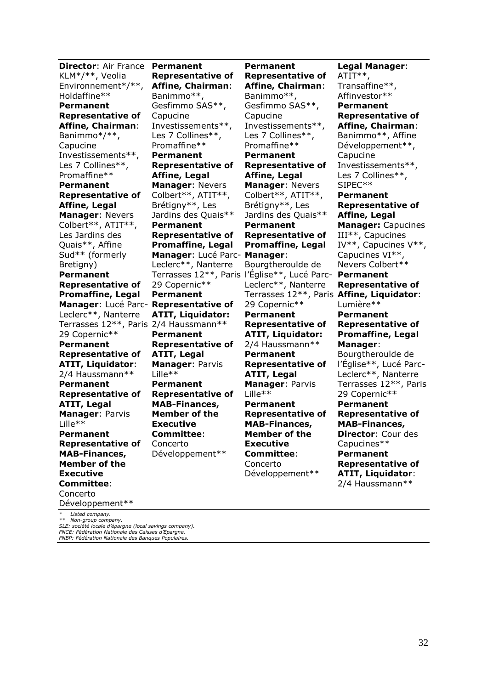**Director**: Air France **Permanent**  KLM\*/\*\*, Veolia Environnement\*/\*\*, Holdaffine\*\* **Permanent Representative of Affine, Chairman**: Banimmo\*/\*\*, Capucine Investissements\*\*, Les 7 Collines\*\*, Promaffine\*\* **Permanent Representative of Affine, Legal Manager**: Nevers Colbert\*\*, ATIT\*\*, Les Jardins des Quais\*\*, Affine Sud\*\* (formerly Bretiany) **Permanent Representative of Promaffine, Legal Manager**: Lucé Parc-**Representative of**  Leclerc\*\*, Nanterre Terrasses 12\*\*, Paris 2/4 Haussmann\*\* 29 Copernic\*\* **Permanent Representative of ATIT, Liquidator**: 2/4 Haussmann\*\* **Permanent Representative of ATIT, Legal Manager**: Parvis Lille\*\* **Permanent Representative of MAB-Finances, Member of the Executive Committee**: Concerto

**Representative of Affine, Chairman**: Banimmo\*\*, Gesfimmo SAS\*\*, Capucine Investissements\*\*, Les 7 Collines\*\*, Promaffine\*\* **Permanent Representative of Affine, Legal Manager**: Nevers Colbert\*\*, ATIT\*\*, Brétigny\*\*, Les Jardins des Quais\*\* **Permanent Representative of Promaffine, Legal Manager**: Lucé Parc-**Manager**: Leclerc\*\*, Nanterre 29 Copernic\*\* **Permanent ATIT, Liquidator: Permanent Representative of ATIT, Legal Manager**: Parvis Lille\*\* **Permanent Representative of MAB-Finances, Member of the Executive Committee**: Concerto Développement\*\*

Terrasses 12\*\*, Paris l'Église\*\*, Lucé Parc-**Permanent Representative of Affine, Chairman**: Banimmo\*\*, Gesfimmo SAS\*\*, Capucine Investissements\*\*, Les 7 Collines\*\*, Promaffine\*\* **Permanent Representative of Affine, Legal Manager**: Nevers Colbert\*\*, ATIT\*\*, Brétigny\*\*, Les Jardins des Quais\*\* **Permanent Representative of Promaffine, Legal**  Bourgtheroulde de Leclerc\*\*, Nanterre 29 Copernic\*\* **Permanent Representative of ATIT, Liquidator:** 2/4 Haussmann\*\* **Permanent Representative of ATIT, Legal Manager**: Parvis Lille\*\* **Permanent Representative of MAB-Finances, Member of the Executive Committee**: Concerto Développement\*\*

Terrasses 12\*\*, Paris **Affine, Liquidator**: **Legal Manager**: ATIT\*\*, Transaffine\*\*, Affinvestor\*\* **Permanent Representative of Affine, Chairman**: Banimmo\*\*, Affine Développement\*\*, Capucine Investissements\*\*, Les 7 Collines\*\*, SIPEC\*\* **Permanent Representative of Affine, Legal Manager:** Capucines III\*\*, Capucines IV\*\*, Capucines V\*\*, Capucines VI\*\*, Nevers Colbert\*\* **Permanent Representative of**  Lumière\*\* **Permanent Representative of Promaffine, Legal Manager**: Bourgtheroulde de l'Église\*\*, Lucé Parc-Leclerc\*\*, Nanterre Terrasses 12\*\*, Paris 29 Copernic\*\* **Permanent Representative of MAB-Finances, Director**: Cour des Capucines\*\* **Permanent Representative of ATIT, Liquidator**: 2/4 Haussmann\*\*

*\* Listed company.*

Développement\*\*

*\*\* Non-group company. SLE: société locale d'épargne (local savings company). FNCE: Fédération Nationale des Caisses d'Epargne.*

*FNBP: Fédération Nationale des Banques Populaires.*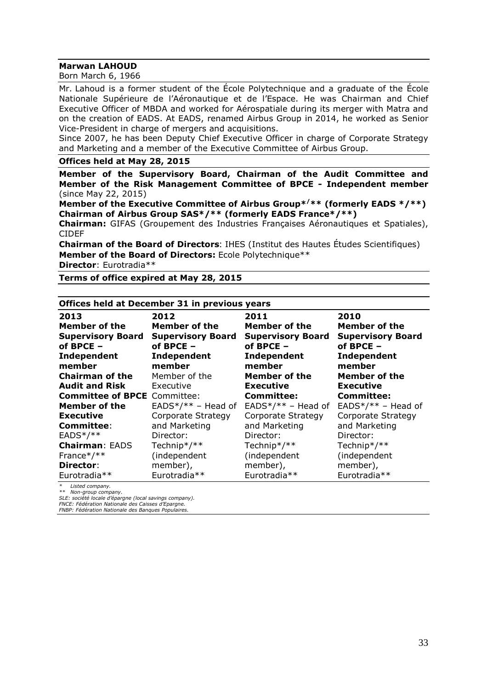#### **Marwan LAHOUD**

Born March 6, 1966

Mr. Lahoud is a former student of the École Polytechnique and a graduate of the École Nationale Supérieure de l'Aéronautique et de l'Espace. He was Chairman and Chief Executive Officer of MBDA and worked for Aérospatiale during its merger with Matra and on the creation of EADS. At EADS, renamed Airbus Group in 2014, he worked as Senior Vice-President in charge of mergers and acquisitions.

Since 2007, he has been Deputy Chief Executive Officer in charge of Corporate Strategy and Marketing and a member of the Executive Committee of Airbus Group.

#### **Offices held at May 28, 2015**

**Member of the Supervisory Board, Chairman of the Audit Committee and Member of the Risk Management Committee of BPCE - Independent member** (since May 22, 2015)

**Member of the Executive Committee of Airbus Group\*/\*\* (formerly EADS \*/\*\*) Chairman of Airbus Group SAS\*/\*\* (formerly EADS France\*/\*\*)** 

**Chairman:** GIFAS (Groupement des Industries Françaises Aéronautiques et Spatiales), CIDEF

**Chairman of the Board of Directors**: IHES (Institut des Hautes Études Scientifiques) **Member of the Board of Directors:** Ecole Polytechnique\*\*

**Director**: Eurotradia\*\*

**Terms of office expired at May 28, 2015**

#### **Offices held at December 31 in previous years**

| 2013<br>Member of the<br><b>Supervisory Board</b><br>of BPCE - | 2012<br>Member of the<br><b>Supervisory Board</b><br>of BPCE - | 2011<br>Member of the<br><b>Supervisory Board</b><br>of BPCE $-$ | 2010<br>Member of the<br><b>Supervisory Board</b><br>of BPCE - |
|----------------------------------------------------------------|----------------------------------------------------------------|------------------------------------------------------------------|----------------------------------------------------------------|
| Independent<br>member                                          | Independent<br>member                                          | Independent<br>member                                            | Independent<br>member                                          |
| <b>Chairman of the</b>                                         | Member of the                                                  | Member of the                                                    | Member of the                                                  |
| <b>Audit and Risk</b>                                          | Executive                                                      | <b>Executive</b>                                                 | <b>Executive</b>                                               |
| <b>Committee of BPCE</b> Committee:                            |                                                                | <b>Committee:</b>                                                | <b>Committee:</b>                                              |
| <b>Member of the</b>                                           | $EADS*/** - Head of$                                           | $EADS*/** - Head of$                                             | $EADS*/** - Head of$                                           |
| <b>Executive</b>                                               | Corporate Strategy                                             | Corporate Strategy                                               | Corporate Strategy                                             |
| <b>Committee:</b>                                              | and Marketing                                                  | and Marketing                                                    | and Marketing                                                  |
| $EADS* / **$                                                   | Director:                                                      | Director:                                                        | Director:                                                      |
| <b>Chairman: EADS</b>                                          | Technip*/**                                                    | Technip*/**                                                      | Technip*/**                                                    |
| France*/**                                                     | (independent                                                   | (independent                                                     | (independent                                                   |
| Director:                                                      | member),                                                       | member),                                                         | member),                                                       |
| Eurotradia**                                                   | Eurotradia**                                                   | Eurotradia**                                                     | Eurotradia**                                                   |

*\* Listed company.*

*\*\* Non-group company. SLE: société locale d'épargne (local savings company).*

*FNCE: Fédération Nationale des Caisses d'Epargne. FNBP: Fédération Nationale des Banques Populaires.*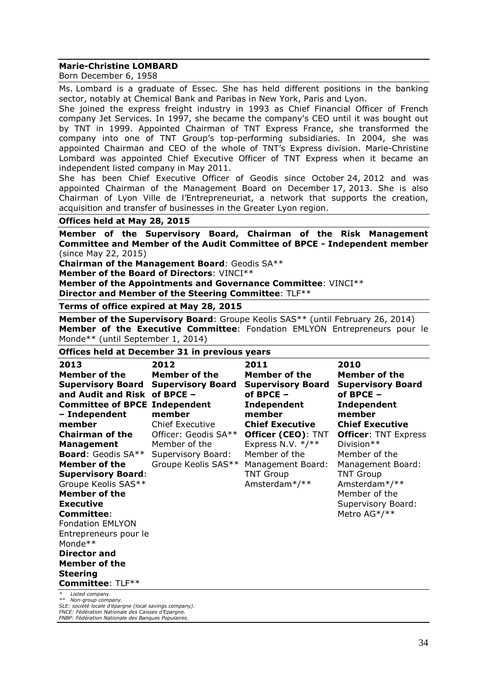#### **Marie-Christine LOMBARD**

Born December 6, 1958

Ms. Lombard is a graduate of Essec. She has held different positions in the banking sector, notably at Chemical Bank and Paribas in New York, Paris and Lyon.

She joined the express freight industry in 1993 as Chief Financial Officer of French company Jet Services. In 1997, she became the company's CEO until it was bought out by TNT in 1999. Appointed Chairman of TNT Express France, she transformed the company into one of TNT Group's top-performing subsidiaries. In 2004, she was appointed Chairman and CEO of the whole of TNT's Express division. Marie-Christine Lombard was appointed Chief Executive Officer of TNT Express when it became an independent listed company in May 2011.

She has been Chief Executive Officer of Geodis since October 24, 2012 and was appointed Chairman of the Management Board on December 17, 2013. She is also Chairman of Lyon Ville de l'Entrepreneuriat, a network that supports the creation, acquisition and transfer of businesses in the Greater Lyon region.

#### **Offices held at May 28, 2015**

**Member of the Supervisory Board, Chairman of the Risk Management Committee and Member of the Audit Committee of BPCE - Independent member** (since May 22, 2015)

**Chairman of the Management Board**: Geodis SA\*\*

**Member of the Board of Directors**: VINCI\*\*

**Member of the Appointments and Governance Committee**: VINCI\*\*

**Director and Member of the Steering Committee**: TLF\*\*

#### **Terms of office expired at May 28, 2015**

**Member of the Supervisory Board:** Groupe Keolis SAS\*\* (until February 26, 2014) **Member of the Executive Committee**: Fondation EMLYON Entrepreneurs pour le Monde\*\* (until September 1, 2014)

#### **Offices held at December 31 in previous years**

| 2013<br>Member of the<br>and Audit and Risk of BPCE -<br><b>Committee of BPCE Independent</b><br>- Independent<br>member<br><b>Chairman of the</b><br><b>Management</b><br><b>Board: Geodis SA**</b><br><b>Member of the</b><br><b>Supervisory Board:</b><br>Groupe Keolis SAS**<br><b>Member of the</b><br><b>Executive</b><br><b>Committee:</b><br><b>Fondation EMLYON</b><br>Entrepreneurs pour le<br>Monde**<br>Director and<br>Member of the<br><b>Steering</b><br><b>Committee: TLF**</b> | 2012<br><b>Member of the</b><br><b>Supervisory Board Supervisory Board</b><br>member<br><b>Chief Executive</b><br>Officer: Geodis SA**<br>Member of the<br>Supervisory Board:<br>Groupe Keolis SAS** | 2011<br>Member of the<br><b>Supervisory Board</b><br>of BPCE $-$<br>Independent<br>member<br><b>Chief Executive</b><br>Officer (CEO): TNT<br>Express N.V. $*/**$<br>Member of the<br>Management Board:<br><b>TNT Group</b><br>Amsterdam*/** | 2010<br>Member of the<br><b>Supervisory Board</b><br>of BPCE $-$<br><b>Independent</b><br>member<br><b>Chief Executive</b><br><b>Officer: TNT Express</b><br>Division**<br>Member of the<br>Management Board:<br><b>TNT Group</b><br>Amsterdam*/**<br>Member of the<br>Supervisory Board:<br>Metro AG*/** |
|-------------------------------------------------------------------------------------------------------------------------------------------------------------------------------------------------------------------------------------------------------------------------------------------------------------------------------------------------------------------------------------------------------------------------------------------------------------------------------------------------|------------------------------------------------------------------------------------------------------------------------------------------------------------------------------------------------------|---------------------------------------------------------------------------------------------------------------------------------------------------------------------------------------------------------------------------------------------|-----------------------------------------------------------------------------------------------------------------------------------------------------------------------------------------------------------------------------------------------------------------------------------------------------------|
| Listed company.                                                                                                                                                                                                                                                                                                                                                                                                                                                                                 |                                                                                                                                                                                                      |                                                                                                                                                                                                                                             |                                                                                                                                                                                                                                                                                                           |
| $x \dot{x}$ Alon group component                                                                                                                                                                                                                                                                                                                                                                                                                                                                |                                                                                                                                                                                                      |                                                                                                                                                                                                                                             |                                                                                                                                                                                                                                                                                                           |

*\*\* Non-group company. SLE: société locale d'épargne (local savings company). FNCE: Fédération Nationale des Caisses d'Epargne. FNBP: Fédération Nationale des Banques Populaires.*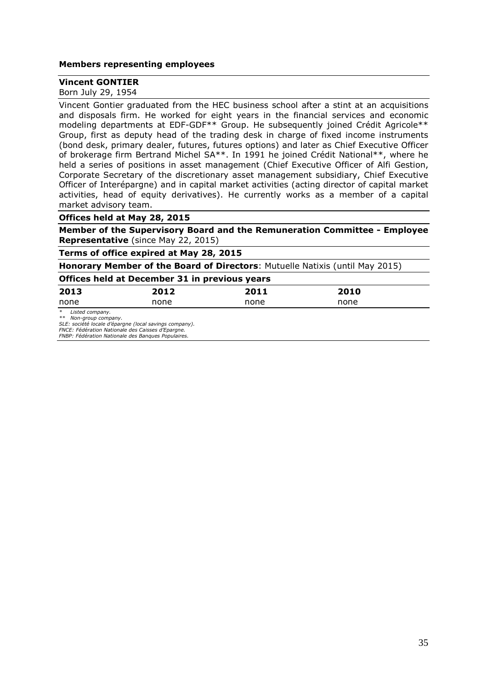#### **Members representing employees**

#### **Vincent GONTIER**

Born July 29, 1954

Vincent Gontier graduated from the HEC business school after a stint at an acquisitions and disposals firm. He worked for eight years in the financial services and economic modeling departments at EDF-GDF\*\* Group. He subsequently joined Crédit Agricole\*\* Group, first as deputy head of the trading desk in charge of fixed income instruments (bond desk, primary dealer, futures, futures options) and later as Chief Executive Officer of brokerage firm Bertrand Michel SA\*\*. In 1991 he joined Crédit National\*\*, where he held a series of positions in asset management (Chief Executive Officer of Alfi Gestion, Corporate Secretary of the discretionary asset management subsidiary, Chief Executive Officer of Interépargne) and in capital market activities (acting director of capital market activities, head of equity derivatives). He currently works as a member of a capital market advisory team.

#### **Offices held at May 28, 2015**

**Member of the Supervisory Board and the Remuneration Committee - Employee Representative** (since May 22, 2015)

**Terms of office expired at May 28, 2015**

**Honorary Member of the Board of Directors**: Mutuelle Natixis (until May 2015)

#### **Offices held at December 31 in previous years**

| 2013 | 2012 | 2011 | 2010 |
|------|------|------|------|
| none | none | none | none |

*\* Listed company.*

*\*\* Non-group company. SLE: société locale d'épargne (local savings company).*

*FNCE: Fédération Nationale des Caisses d'Epargne.*

*FNBP: Fédération Nationale des Banques Populaires.*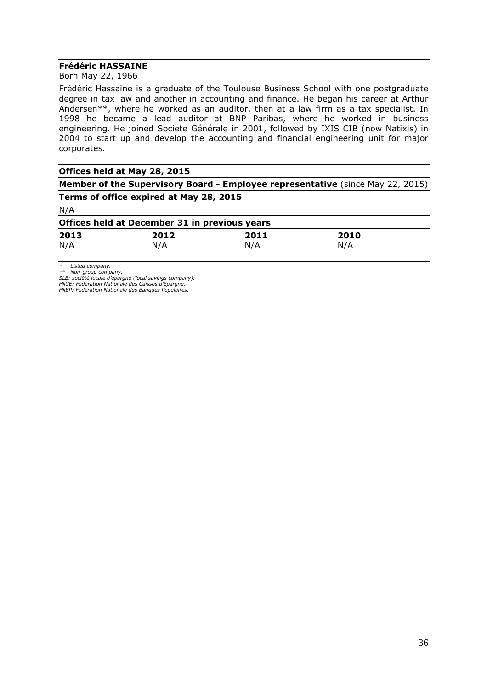#### **Frédéric HASSAINE**

Born May 22, 1966

Frédéric Hassaine is a graduate of the Toulouse Business School with one postgraduate degree in tax law and another in accounting and finance. He began his career at Arthur Andersen\*\*, where he worked as an auditor, then at a law firm as a tax specialist. In 1998 he became a lead auditor at BNP Paribas, where he worked in business engineering. He joined Societe Générale in 2001, followed by IXIS CIB (now Natixis) in 2004 to start up and develop the accounting and financial engineering unit for major corporates.

| Offices held at May 28, 2015 |  |
|------------------------------|--|
|------------------------------|--|

**Member of the Supervisory Board - Employee representative** (since May 22, 2015) **Terms of office expired at May 28, 2015**

|--|--|

| Offices held at December 31 in previous years |      |      |      |  |
|-----------------------------------------------|------|------|------|--|
| 2013                                          | 2012 | 2011 | 2010 |  |
| N/A                                           | N/A  | N/A  | N/A  |  |

*\* Listed company. \*\* Non-group company. SLE: société locale d'épargne (local savings company).*

*FNCE: Fédération Nationale des Caisses d'Epargne. FNBP: Fédération Nationale des Banques Populaires.*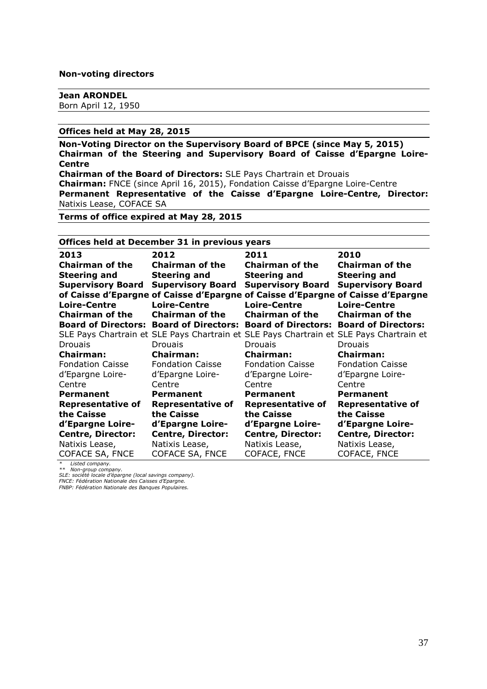#### **Non-voting directors**

#### **Jean ARONDEL** Born April 12, 1950

#### **Offices held at May 28, 2015**

**Non-Voting Director on the Supervisory Board of BPCE (since May 5, 2015) Chairman of the Steering and Supervisory Board of Caisse d'Epargne Loire-Centre Chairman of the Board of Directors:** SLE Pays Chartrain et Drouais **Chairman:** FNCE (since April 16, 2015), Fondation Caisse d'Epargne Loire-Centre **Permanent Representative of the Caisse d'Epargne Loire-Centre, Director:**  Natixis Lease, COFACE SA

**Terms of office expired at May 28, 2015**

| Offices held at December 31 in previous years |                                                                    |                                                                                         |                            |  |
|-----------------------------------------------|--------------------------------------------------------------------|-----------------------------------------------------------------------------------------|----------------------------|--|
| 2013                                          | 2012                                                               | 2011                                                                                    | 2010                       |  |
| <b>Chairman of the</b>                        | <b>Chairman of the</b>                                             | <b>Chairman of the</b>                                                                  | <b>Chairman of the</b>     |  |
| <b>Steering and</b>                           | <b>Steering and</b>                                                | <b>Steering and</b>                                                                     | <b>Steering and</b>        |  |
| <b>Supervisory Board</b>                      | <b>Supervisory Board</b>                                           | <b>Supervisory Board</b>                                                                | <b>Supervisory Board</b>   |  |
|                                               |                                                                    | of Caisse d'Epargne of Caisse d'Epargne of Caisse d'Epargne of Caisse d'Epargne         |                            |  |
| <b>Loire-Centre</b>                           | <b>Loire-Centre</b>                                                | <b>Loire-Centre</b>                                                                     | <b>Loire-Centre</b>        |  |
| <b>Chairman of the</b>                        | Chairman of the                                                    | <b>Chairman of the</b>                                                                  | <b>Chairman of the</b>     |  |
|                                               | <b>Board of Directors: Board of Directors: Board of Directors:</b> |                                                                                         | <b>Board of Directors:</b> |  |
|                                               |                                                                    | SLE Pays Chartrain et SLE Pays Chartrain et SLE Pays Chartrain et SLE Pays Chartrain et |                            |  |
| <b>Drouais</b>                                | <b>Drouais</b>                                                     | <b>Drouais</b>                                                                          | <b>Drouais</b>             |  |
| <b>Chairman:</b>                              | <b>Chairman:</b>                                                   | <b>Chairman:</b>                                                                        | <b>Chairman:</b>           |  |
| <b>Fondation Caisse</b>                       | <b>Fondation Caisse</b>                                            | <b>Fondation Caisse</b>                                                                 | <b>Fondation Caisse</b>    |  |
| d'Epargne Loire-                              | d'Epargne Loire-                                                   | d'Epargne Loire-                                                                        | d'Epargne Loire-           |  |
| Centre                                        | Centre                                                             | Centre                                                                                  | Centre                     |  |
| <b>Permanent</b>                              | <b>Permanent</b>                                                   | <b>Permanent</b>                                                                        | <b>Permanent</b>           |  |
| <b>Representative of</b>                      | <b>Representative of</b>                                           | <b>Representative of</b>                                                                | <b>Representative of</b>   |  |
| the Caisse                                    | the Caisse                                                         | the Caisse                                                                              | the Caisse                 |  |
| d'Epargne Loire-                              | d'Epargne Loire-                                                   | d'Epargne Loire-                                                                        | d'Epargne Loire-           |  |
| <b>Centre, Director:</b>                      | <b>Centre, Director:</b>                                           | <b>Centre, Director:</b>                                                                | <b>Centre, Director:</b>   |  |
| Natixis Lease,                                | Natixis Lease,                                                     | Natixis Lease,                                                                          | Natixis Lease,             |  |
| COFACE SA, FNCE                               | <b>COFACE SA, FNCE</b>                                             | COFACE, FNCE                                                                            | COFACE, FNCE               |  |

*\* Listed company. \*\* Non-group company.*

*SLE: société locale d'épargne (local savings company).*

*FNCE: Fédération Nationale des Caisses d'Epargne. FNBP: Fédération Nationale des Banques Populaires.*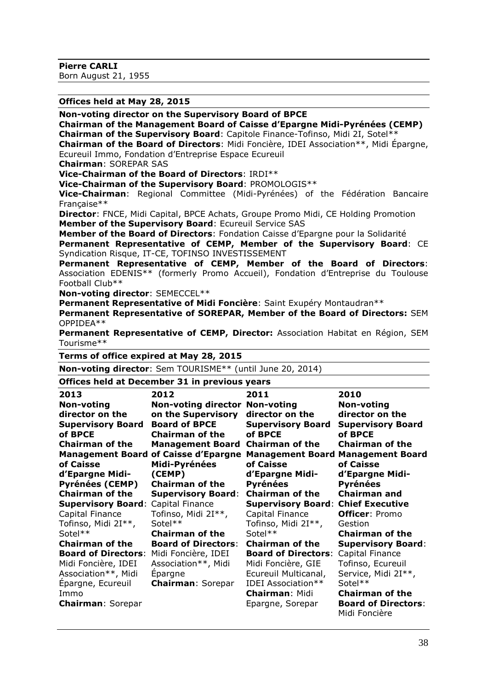**Pierre CARLI**

Born August 21, 1955

**Offices held at May 28, 2015**

**Non-voting director on the Supervisory Board of BPCE**

**Chairman of the Management Board of Caisse d'Epargne Midi-Pyrénées (CEMP)** 

**Chairman of the Supervisory Board**: Capitole Finance-Tofinso, Midi 2I, Sotel\*\*

**Chairman of the Board of Directors**: Midi Foncière, IDEI Association\*\*, Midi Épargne, Ecureuil Immo, Fondation d'Entreprise Espace Ecureuil

**Chairman**: SOREPAR SAS

**Vice-Chairman of the Board of Directors**: IRDI\*\*

**Vice-Chairman of the Supervisory Board**: PROMOLOGIS\*\*

**Vice-Chairman**: Regional Committee (Midi-Pyrénées) of the Fédération Bancaire Française\*\*

**Director**: FNCE, Midi Capital, BPCE Achats, Groupe Promo Midi, CE Holding Promotion **Member of the Supervisory Board**: Ecureuil Service SAS

**Member of the Board of Directors**: Fondation Caisse d'Epargne pour la Solidarité

**Permanent Representative of CEMP, Member of the Supervisory Board**: CE Syndication Risque, IT-CE, TOFINSO INVESTISSEMENT

**Permanent Representative of CEMP, Member of the Board of Directors**: Association EDENIS\*\* (formerly Promo Accueil), Fondation d'Entreprise du Toulouse Football Club\*\*

**Non-voting director**: SEMECCEL\*\*

**Permanent Representative of Midi Foncière**: Saint Exupéry Montaudran\*\*

**Permanent Representative of SOREPAR, Member of the Board of Directors:** SEM OPPIDEA\*\*

**Permanent Representative of CEMP, Director:** Association Habitat en Région, SEM Tourisme\*\*

**Terms of office expired at May 28, 2015**

**Non-voting director**: Sem TOURISME\*\* (until June 20, 2014)

# **Offices held at December 31 in previous years**

| 2013                       | 2012                                  | 2011                                      | 2010                                     |
|----------------------------|---------------------------------------|-------------------------------------------|------------------------------------------|
| Non-voting                 | <b>Non-voting director Non-voting</b> |                                           | <b>Non-voting</b>                        |
| director on the            | on the Supervisory                    | director on the                           | director on the                          |
| <b>Supervisory Board</b>   | <b>Board of BPCE</b>                  | <b>Supervisory Board</b>                  | <b>Supervisory Board</b>                 |
| of BPCE                    | <b>Chairman of the</b>                | of BPCE                                   | of BPCE                                  |
| <b>Chairman of the</b>     | <b>Management Board</b>               | <b>Chairman of the</b>                    | <b>Chairman of the</b>                   |
| <b>Management Board</b>    | of Caisse d'Epargne                   |                                           | <b>Management Board Management Board</b> |
| of Caisse                  | Midi-Pyrénées                         | of Caisse                                 | of Caisse                                |
| d'Epargne Midi-            | (CEMP)                                | d'Epargne Midi-                           | d'Epargne Midi-                          |
| <b>Pyrénées (CEMP)</b>     | <b>Chairman of the</b>                | Pyrénées                                  | <b>Pyrénées</b>                          |
| <b>Chairman of the</b>     | <b>Supervisory Board:</b>             | <b>Chairman of the</b>                    | <b>Chairman and</b>                      |
| <b>Supervisory Board:</b>  | Capital Finance                       | <b>Supervisory Board: Chief Executive</b> |                                          |
| Capital Finance            | Tofinso, Midi 2I**,                   | Capital Finance                           | <b>Officer: Promo</b>                    |
| Tofinso, Midi 2I**,        | Sotel**                               | Tofinso, Midi 2I**,                       | Gestion                                  |
| Sotel**                    | <b>Chairman of the</b>                | Sotel**                                   | <b>Chairman of the</b>                   |
| <b>Chairman of the</b>     | <b>Board of Directors:</b>            | <b>Chairman of the</b>                    | <b>Supervisory Board:</b>                |
| <b>Board of Directors:</b> | Midi Foncière, IDEI                   | <b>Board of Directors:</b>                | Capital Finance                          |
| Midi Foncière, IDEI        | Association**, Midi                   | Midi Foncière, GIE                        | Tofinso, Ecureuil                        |
| Association**, Midi        | Epargne                               | Ecureuil Multicanal,                      | Service, Midi 2I**,                      |
| Epargne, Ecureuil          | <b>Chairman: Sorepar</b>              | <b>IDEI Association**</b>                 | Sotel**                                  |
| Immo                       |                                       | <b>Chairman: Midi</b>                     | <b>Chairman of the</b>                   |
| <b>Chairman: Sorepar</b>   |                                       | Epargne, Sorepar                          | <b>Board of Directors:</b>               |
|                            |                                       |                                           | Midi Foncière                            |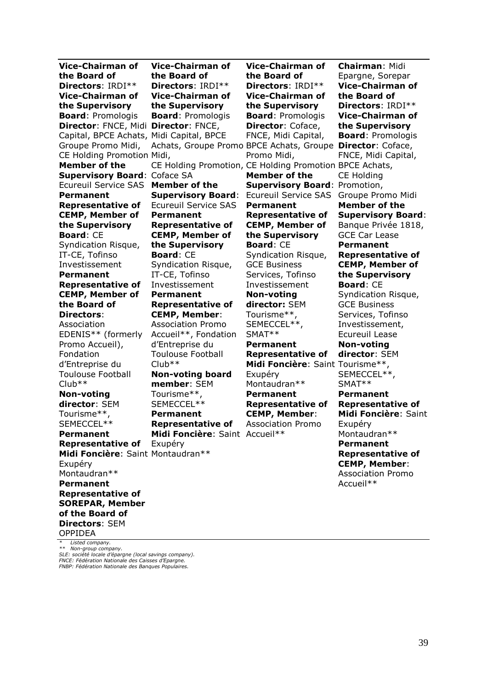| Vice-Chairman of                         | Vice-Chairman of                                        | Vice-Chairman of                     | <b>Chairman: Midi</b>     |
|------------------------------------------|---------------------------------------------------------|--------------------------------------|---------------------------|
| the Board of                             | the Board of                                            | the Board of                         | Epargne, Sorepar          |
| Directors: IRDI**                        | Directors: IRDI**                                       | Directors: IRDI**                    | <b>Vice-Chairman of</b>   |
| <b>Vice-Chairman of</b>                  | <b>Vice-Chairman of</b>                                 | <b>Vice-Chairman of</b>              | the Board of              |
| the Supervisory                          | the Supervisory                                         | the Supervisory                      | Directors: IRDI**         |
| <b>Board: Promologis</b>                 | <b>Board: Promologis</b>                                | <b>Board: Promologis</b>             | <b>Vice-Chairman of</b>   |
| Director: FNCE, Midi Director: FNCE,     |                                                         | Director: Coface,                    | the Supervisory           |
| Capital, BPCE Achats, Midi Capital, BPCE |                                                         | FNCE, Midi Capital,                  | <b>Board: Promologis</b>  |
| Groupe Promo Midi,                       | Achats, Groupe Promo BPCE Achats, Groupe                |                                      | <b>Director: Coface,</b>  |
| CE Holding Promotion Midi,               |                                                         | Promo Midi,                          | FNCE, Midi Capital,       |
| <b>Member of the</b>                     | CE Holding Promotion, CE Holding Promotion BPCE Achats, |                                      |                           |
| <b>Supervisory Board: Coface SA</b>      |                                                         | <b>Member of the</b>                 | <b>CE Holding</b>         |
| <b>Ecureuil Service SAS</b>              | <b>Member of the</b>                                    | <b>Supervisory Board: Promotion,</b> |                           |
| <b>Permanent</b>                         | <b>Supervisory Board:</b>                               | <b>Ecureuil Service SAS</b>          | Groupe Promo Midi         |
| <b>Representative of</b>                 | <b>Ecureuil Service SAS</b>                             | <b>Permanent</b>                     | <b>Member of the</b>      |
| <b>CEMP, Member of</b>                   | <b>Permanent</b>                                        | <b>Representative of</b>             | <b>Supervisory Board:</b> |
| the Supervisory                          | <b>Representative of</b>                                | <b>CEMP, Member of</b>               | Banque Privée 1818,       |
| <b>Board: CE</b>                         | <b>CEMP, Member of</b>                                  | the Supervisory                      | <b>GCE Car Lease</b>      |
| Syndication Risque,                      | the Supervisory                                         | <b>Board: CE</b>                     | <b>Permanent</b>          |
| IT-CE, Tofinso                           | <b>Board: CE</b>                                        | Syndication Risque,                  | <b>Representative of</b>  |
| Investissement                           | Syndication Risque,                                     | <b>GCE Business</b>                  | <b>CEMP, Member of</b>    |
| <b>Permanent</b>                         | IT-CE, Tofinso                                          | Services, Tofinso                    | the Supervisory           |
| <b>Representative of</b>                 | Investissement                                          | Investissement                       | <b>Board: CE</b>          |
| <b>CEMP, Member of</b>                   | <b>Permanent</b>                                        | <b>Non-voting</b>                    | Syndication Risque,       |
| the Board of                             | <b>Representative of</b>                                | director: SEM                        | <b>GCE Business</b>       |
| <b>Directors:</b>                        | <b>CEMP, Member:</b>                                    | Tourisme**,                          | Services, Tofinso         |
| Association                              | <b>Association Promo</b>                                | SEMECCEL**,                          | Investissement,           |
|                                          |                                                         |                                      |                           |
| EDENIS** (formerly                       | Accueil**, Fondation                                    | SMAT**                               | <b>Ecureuil Lease</b>     |
| Promo Accueil),                          | d'Entreprise du                                         | <b>Permanent</b>                     | <b>Non-voting</b>         |
| Fondation                                | <b>Toulouse Football</b>                                | <b>Representative of</b>             | director: SEM             |
| d'Entreprise du                          | $Club**$                                                | Midi Foncière: Saint Tourisme**,     |                           |
| <b>Toulouse Football</b>                 | <b>Non-voting board</b>                                 | Exupéry                              | SEMECCEL**,               |
| $Club**$                                 | member: SEM                                             | Montaudran**                         | SMAT**                    |
| <b>Non-voting</b>                        | Tourisme**,                                             | <b>Permanent</b>                     | <b>Permanent</b>          |
| director: SEM                            | SEMECCEL**                                              | <b>Representative of</b>             | <b>Representative of</b>  |
| Tourisme**,                              | <b>Permanent</b>                                        | <b>CEMP, Member:</b>                 | Midi Foncière: Saint      |
| SEMECCEL**                               | <b>Representative of</b>                                | <b>Association Promo</b>             | Exupéry                   |
| <b>Permanent</b>                         | Midi Foncière: Saint Accueil**                          |                                      | Montaudran**              |
| <b>Representative of</b>                 | Exupéry                                                 |                                      | <b>Permanent</b>          |
| Midi Foncière: Saint Montaudran**        |                                                         |                                      | <b>Representative of</b>  |
| Exupéry                                  |                                                         |                                      | <b>CEMP, Member:</b>      |
| Montaudran**                             |                                                         |                                      | <b>Association Promo</b>  |
| <b>Permanent</b>                         |                                                         |                                      | Accueil**                 |
| <b>Representative of</b>                 |                                                         |                                      |                           |
| <b>SOREPAR, Member</b>                   |                                                         |                                      |                           |
| of the Board of                          |                                                         |                                      |                           |
| <b>Directors: SEM</b><br><b>OPPIDEA</b>  |                                                         |                                      |                           |

\* Listed company.<br>\*\* Non-group company.<br>SLE: société locale d'épargne (local savings company).<br>FNCE: Fédération Nationale des Banques Populaires.<br>FNBP: Fédération Nationale des Banques Populaires.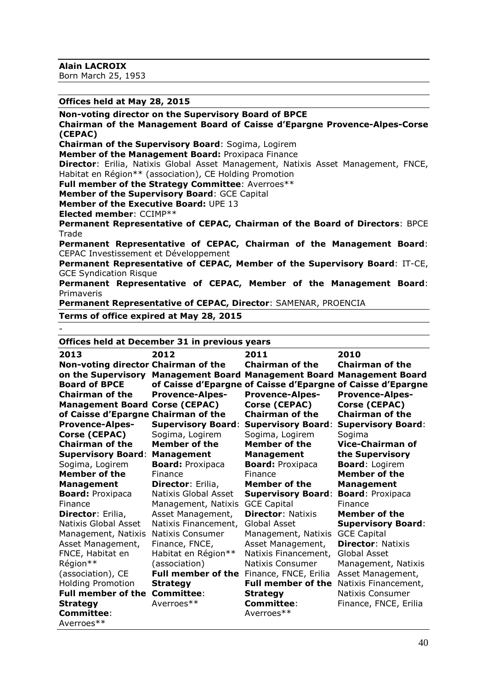**Alain LACROIX**

Born March 25, 1953

**Offices held at May 28, 2015**

**Non-voting director on the Supervisory Board of BPCE**

**Chairman of the Management Board of Caisse d'Epargne Provence-Alpes-Corse (CEPAC)** 

**Chairman of the Supervisory Board**: Sogima, Logirem

**Member of the Management Board:** Proxipaca Finance

**Director**: Erilia, Natixis Global Asset Management, Natixis Asset Management, FNCE, Habitat en Région\*\* (association), CE Holding Promotion

**Full member of the Strategy Committee**: Averroes\*\*

**Member of the Supervisory Board**: GCE Capital

**Member of the Executive Board:** UPE 13

**Elected member**: CCIMP\*\*

-

**Permanent Representative of CEPAC, Chairman of the Board of Directors**: BPCE Trade

**Permanent Representative of CEPAC, Chairman of the Management Board**: CEPAC Investissement et Développement

**Permanent Representative of CEPAC, Member of the Supervisory Board**: IT-CE, GCE Syndication Risque

**Permanent Representative of CEPAC, Member of the Management Board**: Primaveris

**Permanent Representative of CEPAC, Director**: SAMENAR, PROENCIA

#### **Terms of office expired at May 28, 2015**

**Offices held at December 31 in previous years**

| 2013                                | 2012                      | 2011                                     | 2010                                                        |
|-------------------------------------|---------------------------|------------------------------------------|-------------------------------------------------------------|
| Non-voting director Chairman of the |                           | <b>Chairman of the</b>                   | <b>Chairman of the</b>                                      |
| on the Supervisory                  |                           | <b>Management Board Management Board</b> | <b>Management Board</b>                                     |
| <b>Board of BPCE</b>                |                           |                                          | of Caisse d'Epargne of Caisse d'Epargne of Caisse d'Epargne |
| <b>Chairman of the</b>              | <b>Provence-Alpes-</b>    | <b>Provence-Alpes-</b>                   | <b>Provence-Alpes-</b>                                      |
| <b>Management Board</b>             | Corse (CEPAC)             | Corse (CEPAC)                            | Corse (CEPAC)                                               |
| of Caisse d'Epargne Chairman of the |                           | <b>Chairman of the</b>                   | <b>Chairman of the</b>                                      |
| <b>Provence-Alpes-</b>              | <b>Supervisory Board:</b> | <b>Supervisory Board:</b>                | <b>Supervisory Board:</b>                                   |
| Corse (CEPAC)                       | Sogima, Logirem           | Sogima, Logirem                          | Sogima                                                      |
| <b>Chairman of the</b>              | Member of the             | Member of the                            | <b>Vice-Chairman of</b>                                     |
| <b>Supervisory Board:</b>           | <b>Management</b>         | <b>Management</b>                        | the Supervisory                                             |
| Sogima, Logirem                     | <b>Board: Proxipaca</b>   | <b>Board: Proxipaca</b>                  | <b>Board: Logirem</b>                                       |
| Member of the                       | Finance                   | Finance                                  | <b>Member of the</b>                                        |
| <b>Management</b>                   | Director: Erilia,         | <b>Member of the</b>                     | <b>Management</b>                                           |
| <b>Board: Proxipaca</b>             | Natixis Global Asset      | <b>Supervisory Board:</b>                | <b>Board: Proxipaca</b>                                     |
| Finance                             | Management, Natixis       | <b>GCE Capital</b>                       | Finance                                                     |
| Director: Erilia,                   | Asset Management,         | <b>Director: Natixis</b>                 | <b>Member of the</b>                                        |
| Natixis Global Asset                | Natixis Financement,      | Global Asset                             | <b>Supervisory Board:</b>                                   |
| Management, Natixis                 | Natixis Consumer          | Management, Natixis                      | <b>GCE Capital</b>                                          |
| Asset Management,                   | Finance, FNCE,            | Asset Management,                        | <b>Director: Natixis</b>                                    |
| FNCE, Habitat en                    | Habitat en Région**       | Natixis Financement,                     | Global Asset                                                |
| Région**                            | (association)             | Natixis Consumer                         | Management, Natixis                                         |
| (association), CE                   | <b>Full member of the</b> | Finance, FNCE, Erilia                    | Asset Management,                                           |
| <b>Holding Promotion</b>            | <b>Strategy</b>           | <b>Full member of the</b>                | Natixis Financement,                                        |
| <b>Full member of the</b>           | <b>Committee:</b>         | <b>Strategy</b>                          | Natixis Consumer                                            |
| <b>Strategy</b>                     | Averroes**                | <b>Committee:</b>                        | Finance, FNCE, Erilia                                       |
| Committee:                          |                           | Averroes**                               |                                                             |
| Averroes**                          |                           |                                          |                                                             |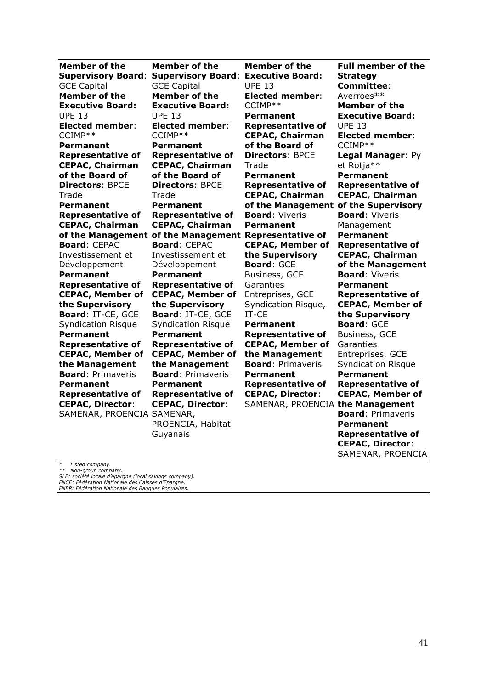| <b>Member of the</b>       | <b>Member of the</b>                                  | <b>Member of the</b>     | <b>Full member of the</b> |
|----------------------------|-------------------------------------------------------|--------------------------|---------------------------|
| <b>Supervisory Board:</b>  | <b>Supervisory Board:</b>                             | <b>Executive Board:</b>  | <b>Strategy</b>           |
| <b>GCE Capital</b>         | <b>GCE Capital</b>                                    | <b>UPE 13</b>            | <b>Committee:</b>         |
| <b>Member of the</b>       | <b>Member of the</b>                                  | <b>Elected member:</b>   | Averroes**                |
| <b>Executive Board:</b>    | <b>Executive Board:</b>                               | CCIMP**                  | <b>Member of the</b>      |
| <b>UPE 13</b>              | <b>UPE 13</b>                                         | <b>Permanent</b>         | <b>Executive Board:</b>   |
| <b>Elected member:</b>     | <b>Elected member:</b>                                | <b>Representative of</b> | <b>UPE 13</b>             |
| CCIMP**                    | CCIMP**                                               | <b>CEPAC, Chairman</b>   | <b>Elected member:</b>    |
| <b>Permanent</b>           | <b>Permanent</b>                                      | of the Board of          | CCIMP**                   |
| <b>Representative of</b>   | <b>Representative of</b>                              | <b>Directors: BPCE</b>   | Legal Manager: Py         |
| <b>CEPAC, Chairman</b>     | <b>CEPAC, Chairman</b>                                | Trade                    | et Rotja**                |
| of the Board of            | of the Board of                                       | Permanent                | <b>Permanent</b>          |
| <b>Directors: BPCE</b>     | <b>Directors: BPCE</b>                                | <b>Representative of</b> | <b>Representative of</b>  |
| Trade                      | Trade                                                 | <b>CEPAC, Chairman</b>   | <b>CEPAC, Chairman</b>    |
| Permanent                  | <b>Permanent</b>                                      | of the Management        | of the Supervisory        |
| <b>Representative of</b>   | <b>Representative of</b>                              | <b>Board: Viveris</b>    | <b>Board: Viveris</b>     |
| <b>CEPAC, Chairman</b>     | <b>CEPAC, Chairman</b>                                | Permanent                | Management                |
|                            | of the Management of the Management Representative of |                          | Permanent                 |
| <b>Board: CEPAC</b>        | <b>Board: CEPAC</b>                                   | <b>CEPAC, Member of</b>  | <b>Representative of</b>  |
| Investissement et          | Investissement et                                     | the Supervisory          | <b>CEPAC, Chairman</b>    |
| Développement              | Développement                                         | <b>Board: GCE</b>        | of the Management         |
| Permanent                  | <b>Permanent</b>                                      | Business, GCE            | <b>Board: Viveris</b>     |
| <b>Representative of</b>   | <b>Representative of</b>                              | Garanties                | Permanent                 |
| <b>CEPAC, Member of</b>    | <b>CEPAC, Member of</b>                               | Entreprises, GCE         | <b>Representative of</b>  |
| the Supervisory            | the Supervisory                                       | Syndication Risque,      | <b>CEPAC, Member of</b>   |
| Board: IT-CE, GCE          | Board: IT-CE, GCE                                     | IT-CE                    | the Supervisory           |
| <b>Syndication Risque</b>  | <b>Syndication Risque</b>                             | <b>Permanent</b>         | <b>Board: GCE</b>         |
| Permanent                  | Permanent                                             | <b>Representative of</b> | Business, GCE             |
| <b>Representative of</b>   | <b>Representative of</b>                              | <b>CEPAC, Member of</b>  | Garanties                 |
| <b>CEPAC, Member of</b>    | <b>CEPAC, Member of</b>                               | the Management           | Entreprises, GCE          |
| the Management             | the Management                                        | <b>Board: Primaveris</b> | <b>Syndication Risque</b> |
| <b>Board: Primaveris</b>   | <b>Board: Primaveris</b>                              | Permanent                | <b>Permanent</b>          |
| <b>Permanent</b>           | Permanent                                             | <b>Representative of</b> | <b>Representative of</b>  |
| <b>Representative of</b>   | <b>Representative of</b>                              | <b>CEPAC, Director:</b>  | <b>CEPAC, Member of</b>   |
| <b>CEPAC, Director:</b>    | <b>CEPAC, Director:</b>                               | SAMENAR, PROENCIA        | the Management            |
| SAMENAR, PROENCIA SAMENAR, |                                                       |                          | <b>Board: Primaveris</b>  |
|                            | PROENCIA, Habitat                                     |                          | Permanent                 |
|                            | Guyanais                                              |                          | <b>Representative of</b>  |
|                            |                                                       |                          | <b>CEPAC, Director:</b>   |

\* Listed company.<br>\*\* Non-group company.<br>SLE: société locale d'épargne (local savings company).<br>FNCE: Fédération Nationale des Caisses d'Epargne.<br>FNBP: Fédération Nationale des Banques Populaires.

SAMENAR, PROENCIA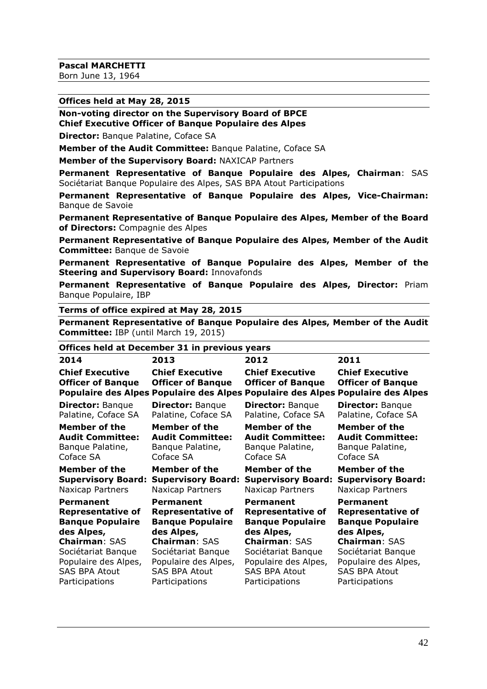#### **Offices held at May 28, 2015**

**Non-voting director on the Supervisory Board of BPCE Chief Executive Officer of Banque Populaire des Alpes** 

**Director: Banque Palatine, Coface SA** 

**Member of the Audit Committee:** Banque Palatine, Coface SA

**Member of the Supervisory Board:** NAXICAP Partners

**Permanent Representative of Banque Populaire des Alpes, Chairman**: SAS Sociétariat Banque Populaire des Alpes, SAS BPA Atout Participations

**Permanent Representative of Banque Populaire des Alpes, Vice-Chairman:**  Banque de Savoie

**Permanent Representative of Banque Populaire des Alpes, Member of the Board of Directors:** Compagnie des Alpes

**Permanent Representative of Banque Populaire des Alpes, Member of the Audit Committee:** Banque de Savoie

**Permanent Representative of Banque Populaire des Alpes, Member of the Steering and Supervisory Board:** Innovafonds

**Permanent Representative of Banque Populaire des Alpes, Director:** Priam Banque Populaire, IBP

#### **Terms of office expired at May 28, 2015**

**Permanent Representative of Banque Populaire des Alpes, Member of the Audit Committee:** IBP (until March 19, 2015)

#### **Offices held at December 31 in previous years**

| 2014                                               | 2013                                               | 2012                                               | 2011                                                                                                                                  |
|----------------------------------------------------|----------------------------------------------------|----------------------------------------------------|---------------------------------------------------------------------------------------------------------------------------------------|
| <b>Chief Executive</b><br><b>Officer of Banque</b> | <b>Chief Executive</b><br><b>Officer of Banque</b> | <b>Chief Executive</b><br><b>Officer of Banque</b> | <b>Chief Executive</b><br><b>Officer of Banque</b><br>Populaire des Alpes Populaire des Alpes Populaire des Alpes Populaire des Alpes |
| <b>Director: Banque</b>                            | <b>Director: Banque</b>                            | <b>Director: Banque</b>                            | <b>Director: Banque</b>                                                                                                               |
| Palatine, Coface SA                                | Palatine, Coface SA                                | Palatine, Coface SA                                | Palatine, Coface SA                                                                                                                   |
| Member of the                                      | Member of the                                      | Member of the                                      | Member of the                                                                                                                         |
| <b>Audit Committee:</b>                            | <b>Audit Committee:</b>                            | <b>Audit Committee:</b>                            | <b>Audit Committee:</b>                                                                                                               |
| Banque Palatine,                                   | Banque Palatine,                                   | Banque Palatine,                                   | Banque Palatine,                                                                                                                      |
| Coface SA                                          | Coface SA                                          | Coface SA                                          | Coface SA                                                                                                                             |
| Member of the                                      | Member of the                                      | Member of the                                      | Member of the                                                                                                                         |
| <b>Supervisory Board:</b>                          | <b>Supervisory Board:</b>                          | <b>Supervisory Board:</b>                          | <b>Supervisory Board:</b>                                                                                                             |
| Naxicap Partners                                   | Naxicap Partners                                   | Naxicap Partners                                   | Naxicap Partners                                                                                                                      |
| <b>Permanent</b>                                   | <b>Permanent</b>                                   | Permanent                                          | <b>Permanent</b>                                                                                                                      |
| <b>Representative of</b>                           | <b>Representative of</b>                           | <b>Representative of</b>                           | <b>Representative of</b>                                                                                                              |
| <b>Banque Populaire</b>                            | <b>Banque Populaire</b>                            | <b>Banque Populaire</b>                            | <b>Banque Populaire</b>                                                                                                               |
| des Alpes,                                         | des Alpes,                                         | des Alpes,                                         | des Alpes,                                                                                                                            |
| <b>Chairman: SAS</b>                               | <b>Chairman: SAS</b>                               | <b>Chairman: SAS</b>                               | <b>Chairman: SAS</b>                                                                                                                  |
| Sociétariat Banque                                 | Sociétariat Banque                                 | Sociétariat Banque                                 | Sociétariat Banque                                                                                                                    |
| Populaire des Alpes,                               | Populaire des Alpes,                               | Populaire des Alpes,                               | Populaire des Alpes,                                                                                                                  |
| <b>SAS BPA Atout</b>                               | <b>SAS BPA Atout</b>                               | <b>SAS BPA Atout</b>                               | <b>SAS BPA Atout</b>                                                                                                                  |
| Participations                                     | Participations                                     | Participations                                     | Participations                                                                                                                        |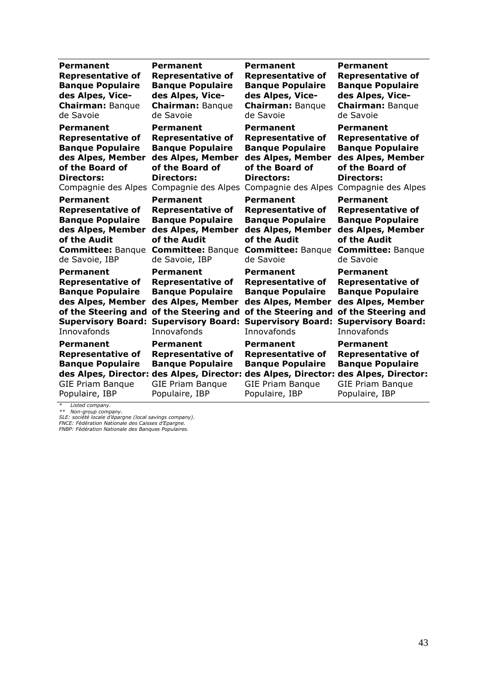| Permanent                                                                                                     | <b>Permanent</b>                                                                                                                                                                | Permanent                                                                                                     | <b>Permanent</b>                                                                                                                      |
|---------------------------------------------------------------------------------------------------------------|---------------------------------------------------------------------------------------------------------------------------------------------------------------------------------|---------------------------------------------------------------------------------------------------------------|---------------------------------------------------------------------------------------------------------------------------------------|
| <b>Representative of</b>                                                                                      | <b>Representative of</b>                                                                                                                                                        | <b>Representative of</b>                                                                                      | <b>Representative of</b>                                                                                                              |
| <b>Banque Populaire</b>                                                                                       | <b>Banque Populaire</b>                                                                                                                                                         | <b>Banque Populaire</b>                                                                                       | <b>Banque Populaire</b>                                                                                                               |
| des Alpes, Vice-                                                                                              | des Alpes, Vice-                                                                                                                                                                | des Alpes, Vice-                                                                                              | des Alpes, Vice-                                                                                                                      |
| <b>Chairman: Banque</b>                                                                                       | <b>Chairman: Banque</b>                                                                                                                                                         | <b>Chairman: Banque</b>                                                                                       | <b>Chairman: Banque</b>                                                                                                               |
| de Savoie                                                                                                     | de Savoie                                                                                                                                                                       | de Savoie                                                                                                     | de Savoie                                                                                                                             |
| <b>Permanent</b>                                                                                              | <b>Permanent</b>                                                                                                                                                                | Permanent                                                                                                     | Permanent                                                                                                                             |
| <b>Representative of</b>                                                                                      | <b>Representative of</b>                                                                                                                                                        | <b>Representative of</b>                                                                                      | <b>Representative of</b>                                                                                                              |
| <b>Banque Populaire</b>                                                                                       | <b>Banque Populaire</b>                                                                                                                                                         | <b>Banque Populaire</b>                                                                                       | <b>Banque Populaire</b>                                                                                                               |
| des Alpes, Member                                                                                             | des Alpes, Member                                                                                                                                                               | des Alpes, Member                                                                                             | des Alpes, Member                                                                                                                     |
| of the Board of                                                                                               | of the Board of                                                                                                                                                                 | of the Board of                                                                                               | of the Board of                                                                                                                       |
| <b>Directors:</b>                                                                                             | <b>Directors:</b>                                                                                                                                                               | <b>Directors:</b>                                                                                             | <b>Directors:</b>                                                                                                                     |
| Compagnie des Alpes                                                                                           | Compagnie des Alpes                                                                                                                                                             | Compagnie des Alpes                                                                                           | Compagnie des Alpes                                                                                                                   |
| <b>Permanent</b>                                                                                              | <b>Permanent</b>                                                                                                                                                                | <b>Permanent</b>                                                                                              | <b>Permanent</b>                                                                                                                      |
| <b>Representative of</b>                                                                                      | <b>Representative of</b>                                                                                                                                                        | <b>Representative of</b>                                                                                      | <b>Representative of</b>                                                                                                              |
| <b>Banque Populaire</b>                                                                                       | <b>Banque Populaire</b>                                                                                                                                                         | <b>Banque Populaire</b>                                                                                       | <b>Banque Populaire</b>                                                                                                               |
| des Alpes, Member                                                                                             | des Alpes, Member                                                                                                                                                               | des Alpes, Member                                                                                             | des Alpes, Member                                                                                                                     |
| of the Audit                                                                                                  | of the Audit                                                                                                                                                                    | of the Audit                                                                                                  | of the Audit                                                                                                                          |
| <b>Committee: Banque</b>                                                                                      | <b>Committee: Banque</b>                                                                                                                                                        | <b>Committee: Banque</b>                                                                                      | <b>Committee: Banque</b>                                                                                                              |
| de Savoie, IBP                                                                                                | de Savoie, IBP                                                                                                                                                                  | de Savoie                                                                                                     | de Savoie                                                                                                                             |
| Permanent                                                                                                     | <b>Permanent</b>                                                                                                                                                                | Permanent                                                                                                     | <b>Permanent</b>                                                                                                                      |
| <b>Representative of</b>                                                                                      | <b>Representative of</b>                                                                                                                                                        | <b>Representative of</b>                                                                                      | <b>Representative of</b>                                                                                                              |
| <b>Banque Populaire</b>                                                                                       | <b>Banque Populaire</b>                                                                                                                                                         | <b>Banque Populaire</b>                                                                                       | <b>Banque Populaire</b>                                                                                                               |
| des Alpes, Member                                                                                             | des Alpes, Member                                                                                                                                                               | des Alpes, Member                                                                                             | des Alpes, Member                                                                                                                     |
| of the Steering and                                                                                           | of the Steering and                                                                                                                                                             | of the Steering and                                                                                           | of the Steering and                                                                                                                   |
| <b>Supervisory Board:</b>                                                                                     | <b>Supervisory Board:</b>                                                                                                                                                       | <b>Supervisory Board:</b>                                                                                     | <b>Supervisory Board:</b>                                                                                                             |
| Innovafonds                                                                                                   | Innovafonds                                                                                                                                                                     | Innovafonds                                                                                                   | Innovafonds                                                                                                                           |
| Permanent<br><b>Representative of</b><br><b>Banque Populaire</b><br><b>GIE Priam Banque</b><br>Populaire, IBP | Permanent<br><b>Representative of</b><br><b>Banque Populaire</b><br>des Alpes, Director: des Alpes, Director: des Alpes, Director:<br><b>GIE Priam Banque</b><br>Populaire, IBP | Permanent<br><b>Representative of</b><br><b>Banque Populaire</b><br><b>GIE Priam Banque</b><br>Populaire, IBP | Permanent<br><b>Representative of</b><br><b>Banque Populaire</b><br>des Alpes, Director:<br><b>GIE Priam Banque</b><br>Populaire, IBP |

\* Listed company.<br>\*\* Non-group company.<br>SLE: société locale d'épargne (local savings company).<br>FNCE: Fédération Nationale des Caisses d'Epargne.<br>FNBP: Fédération Nationale des Banques Populaires.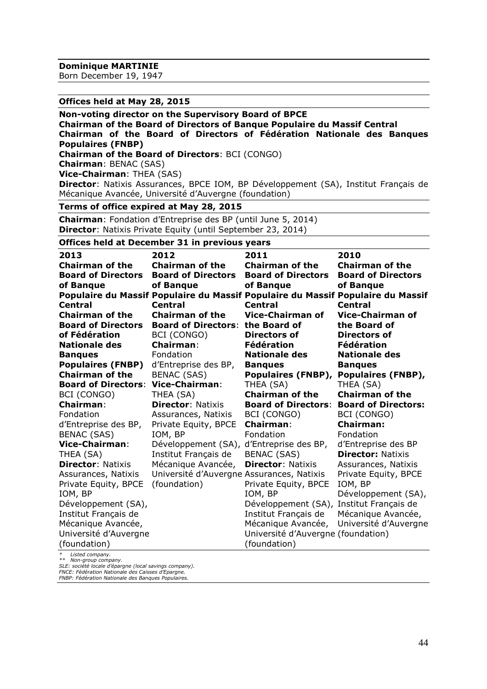**Dominique MARTINIE**

Born December 19, 1947

#### **Offices held at May 28, 2015**

#### **Non-voting director on the Supervisory Board of BPCE**

**Chairman of the Board of Directors of Banque Populaire du Massif Central Chairman of the Board of Directors of Fédération Nationale des Banques Populaires (FNBP) Chairman of the Board of Directors**: BCI (CONGO) **Chairman**: BENAC (SAS)

**Vice-Chairman**: THEA (SAS)

**Director**: Natixis Assurances, BPCE IOM, BP Développement (SA), Institut Français de Mécanique Avancée, Université d'Auvergne (foundation)

#### **Terms of office expired at May 28, 2015**

**Chairman**: Fondation d'Entreprise des BP (until June 5, 2014) **Director**: Natixis Private Equity (until September 23, 2014)

**Offices held at December 31 in previous years**

| 2013<br><b>Chairman of the</b><br><b>Board of Directors</b><br>of Banque | 2012<br><b>Chairman of the</b><br><b>Board of Directors</b><br>of Banque | 2011<br><b>Chairman of the</b><br><b>Board of Directors</b><br>of Banque | 2010<br><b>Chairman of the</b><br><b>Board of Directors</b><br>of Banque<br>Populaire du Massif Populaire du Massif Populaire du Massif Populaire du Massif |
|--------------------------------------------------------------------------|--------------------------------------------------------------------------|--------------------------------------------------------------------------|-------------------------------------------------------------------------------------------------------------------------------------------------------------|
| <b>Central</b>                                                           | <b>Central</b>                                                           | <b>Central</b>                                                           | <b>Central</b>                                                                                                                                              |
| <b>Chairman of the</b>                                                   | <b>Chairman of the</b>                                                   | <b>Vice-Chairman of</b>                                                  | <b>Vice-Chairman of</b>                                                                                                                                     |
| <b>Board of Directors</b>                                                | <b>Board of Directors:</b>                                               | the Board of                                                             | the Board of                                                                                                                                                |
| of Fédération                                                            | BCI (CONGO)                                                              | <b>Directors of</b>                                                      | Directors of                                                                                                                                                |
| <b>Nationale des</b>                                                     | <b>Chairman:</b>                                                         | Fédération                                                               | Fédération                                                                                                                                                  |
| <b>Banques</b>                                                           | Fondation                                                                | <b>Nationale des</b>                                                     | <b>Nationale des</b>                                                                                                                                        |
| <b>Populaires (FNBP)</b>                                                 | d'Entreprise des BP,                                                     | <b>Bangues</b>                                                           | <b>Banques</b>                                                                                                                                              |
| <b>Chairman of the</b>                                                   | <b>BENAC (SAS)</b>                                                       | Populaires (FNBP),                                                       | Populaires (FNBP),                                                                                                                                          |
| <b>Board of Directors:</b>                                               | <b>Vice-Chairman:</b>                                                    | THEA (SA)                                                                | THEA (SA)                                                                                                                                                   |
| BCI (CONGO)                                                              | THEA (SA)                                                                | <b>Chairman of the</b>                                                   | <b>Chairman of the</b>                                                                                                                                      |
| <b>Chairman:</b>                                                         | <b>Director: Natixis</b>                                                 | <b>Board of Directors:</b>                                               | <b>Board of Directors:</b>                                                                                                                                  |
| Fondation                                                                | Assurances, Natixis                                                      | BCI (CONGO)                                                              | BCI (CONGO)                                                                                                                                                 |
| d'Entreprise des BP,                                                     | Private Equity, BPCE                                                     | <b>Chairman:</b>                                                         | Chairman:                                                                                                                                                   |
| <b>BENAC (SAS)</b>                                                       | IOM, BP                                                                  | Fondation                                                                | Fondation                                                                                                                                                   |
| Vice-Chairman:                                                           | Développement (SA),                                                      | d'Entreprise des BP,                                                     | d'Entreprise des BP                                                                                                                                         |
| THEA (SA)                                                                | Institut Français de                                                     | <b>BENAC (SAS)</b>                                                       | <b>Director: Natixis</b>                                                                                                                                    |
| <b>Director: Natixis</b>                                                 | Mécanique Avancée,                                                       | <b>Director: Natixis</b>                                                 | Assurances, Natixis                                                                                                                                         |
| Assurances, Natixis                                                      | Université d'Auvergne Assurances, Natixis                                |                                                                          | Private Equity, BPCE                                                                                                                                        |
| Private Equity, BPCE                                                     | (foundation)                                                             | Private Equity, BPCE                                                     | IOM, BP                                                                                                                                                     |
| IOM, BP                                                                  |                                                                          | IOM, BP                                                                  | Développement (SA),                                                                                                                                         |
| Développement (SA),                                                      |                                                                          | Développement (SA),                                                      | Institut Français de                                                                                                                                        |
| Institut Français de                                                     |                                                                          | Institut Français de                                                     | Mécanique Avancée,                                                                                                                                          |
| Mécanique Avancée,                                                       |                                                                          | Mécanique Avancée,                                                       | Université d'Auvergne                                                                                                                                       |
| Université d'Auvergne                                                    |                                                                          | Université d'Auvergne (foundation)                                       |                                                                                                                                                             |
| (foundation)                                                             |                                                                          | (foundation)                                                             |                                                                                                                                                             |
| Listed company.                                                          |                                                                          |                                                                          |                                                                                                                                                             |

*\*\* Non-group company.*

*SLE: société locale d'épargne (local savings company). FNCE: Fédération Nationale des Caisses d'Epargne. FNBP: Fédération Nationale des Banques Populaires.*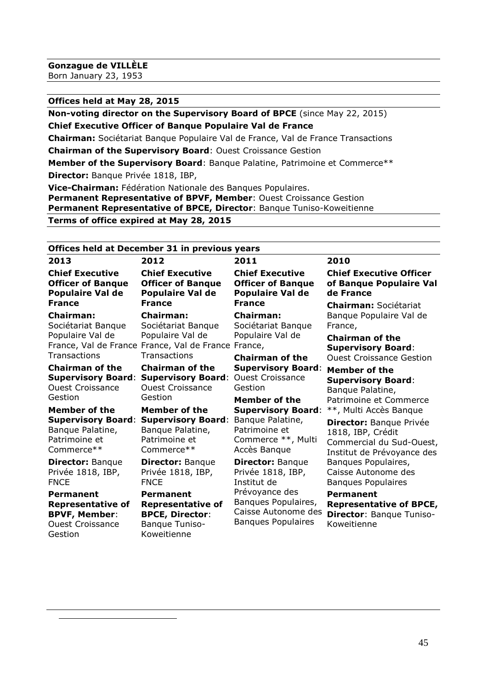$\overline{a}$ 

#### **Offices held at May 28, 2015**

**Non-voting director on the Supervisory Board of BPCE** (since May 22, 2015) **Chief Executive Officer of Banque Populaire Val de France**

**Chairman:** Sociétariat Banque Populaire Val de France, Val de France Transactions

**Chairman of the Supervisory Board**: Ouest Croissance Gestion

**Member of the Supervisory Board**: Banque Palatine, Patrimoine et Commerce\*\* **Director:** Banque Privée 1818, IBP,

**Vice-Chairman:** Fédération Nationale des Banques Populaires. **Permanent Representative of BPVF, Member**: Ouest Croissance Gestion **Permanent Representative of BPCE, Director**: Banque Tuniso-Koweitienne **Terms of office expired at May 28, 2015\***

# **Offices held at December 31 in previous years**

| 2013                                                                                                       | 2012                                                                                                                              | 2011                                                                                      | 2010                                                                                                                         |
|------------------------------------------------------------------------------------------------------------|-----------------------------------------------------------------------------------------------------------------------------------|-------------------------------------------------------------------------------------------|------------------------------------------------------------------------------------------------------------------------------|
| <b>Chief Executive</b>                                                                                     | <b>Chief Executive</b>                                                                                                            | <b>Chief Executive</b>                                                                    | <b>Chief Executive Officer</b>                                                                                               |
| <b>Officer of Banque</b>                                                                                   | <b>Officer of Banque</b>                                                                                                          | <b>Officer of Banque</b>                                                                  | of Banque Populaire Val                                                                                                      |
| <b>Populaire Val de</b>                                                                                    | <b>Populaire Val de</b>                                                                                                           | <b>Populaire Val de</b>                                                                   | de France                                                                                                                    |
| <b>France</b>                                                                                              | <b>France</b>                                                                                                                     | <b>France</b>                                                                             | <b>Chairman: Sociétariat</b>                                                                                                 |
| <b>Chairman:</b><br>Sociétariat Banque<br>Populaire Val de<br>Transactions                                 | <b>Chairman:</b><br>Sociétariat Banque<br>Populaire Val de<br>France, Val de France France, Val de France France,<br>Transactions | <b>Chairman:</b><br>Sociétariat Banque<br>Populaire Val de<br><b>Chairman of the</b>      | Banque Populaire Val de<br>France,<br><b>Chairman of the</b><br><b>Supervisory Board:</b><br><b>Ouest Croissance Gestion</b> |
| <b>Chairman of the</b>                                                                                     | <b>Chairman of the</b>                                                                                                            | <b>Supervisory Board:</b>                                                                 | Member of the                                                                                                                |
| <b>Supervisory Board:</b>                                                                                  | <b>Supervisory Board:</b>                                                                                                         | <b>Ouest Croissance</b>                                                                   | <b>Supervisory Board:</b>                                                                                                    |
| <b>Ouest Croissance</b>                                                                                    | <b>Ouest Croissance</b>                                                                                                           | Gestion                                                                                   | Banque Palatine,                                                                                                             |
| Gestion                                                                                                    | Gestion                                                                                                                           | <b>Member of the</b>                                                                      | Patrimoine et Commerce                                                                                                       |
| Member of the                                                                                              | <b>Member of the</b>                                                                                                              | <b>Supervisory Board:</b>                                                                 | **, Multi Accès Banque                                                                                                       |
| <b>Supervisory Board:</b>                                                                                  | <b>Supervisory Board:</b>                                                                                                         | Banque Palatine,                                                                          | Director: Banque Privée                                                                                                      |
| Banque Palatine,                                                                                           | Banque Palatine,                                                                                                                  | Patrimoine et                                                                             | 1818, IBP, Crédit                                                                                                            |
| Patrimoine et                                                                                              | Patrimoine et                                                                                                                     | Commerce **, Multi                                                                        | Commercial du Sud-Ouest,                                                                                                     |
| Commerce**                                                                                                 | Commerce**                                                                                                                        | Accès Banque                                                                              | Institut de Prévoyance des                                                                                                   |
| <b>Director: Banque</b>                                                                                    | <b>Director: Banque</b>                                                                                                           | <b>Director: Banque</b>                                                                   | Banques Populaires,                                                                                                          |
| Privée 1818, IBP,                                                                                          | Privée 1818, IBP,                                                                                                                 | Privée 1818, IBP,                                                                         | Caisse Autonome des                                                                                                          |
| <b>FNCE</b>                                                                                                | <b>FNCE</b>                                                                                                                       | Institut de                                                                               | <b>Banques Populaires</b>                                                                                                    |
| <b>Permanent</b><br><b>Representative of</b><br><b>BPVF, Member:</b><br><b>Ouest Croissance</b><br>Gestion | Permanent<br><b>Representative of</b><br><b>BPCE, Director:</b><br>Banque Tuniso-<br>Koweitienne                                  | Prévoyance des<br>Banques Populaires,<br>Caisse Autonome des<br><b>Banques Populaires</b> | <b>Permanent</b><br><b>Representative of BPCE,</b><br><b>Director: Banque Tuniso-</b><br>Koweitienne                         |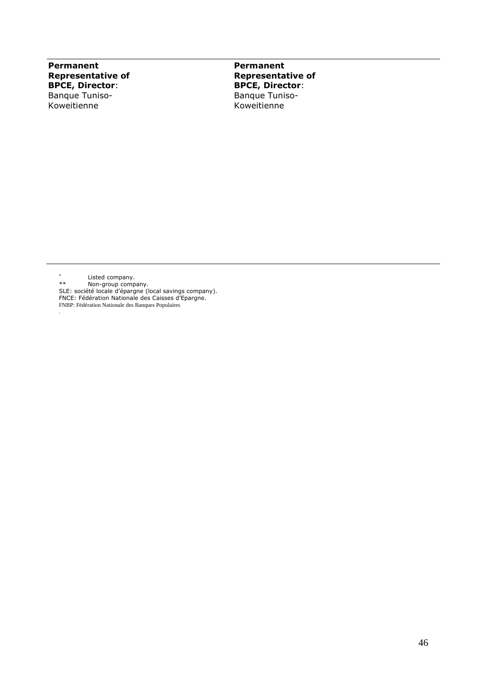**Permanent Representative of BPCE, Director**: Banque Tuniso-Koweitienne

**Permanent Representative of BPCE, Director**: Banque Tuniso-Koweitienne

\* Listed company.

.

\*\* Non-group company.

SLE: société locale d'épargne (local savings company). FNCE: Fédération Nationale des Caisses d'Epargne.

FNBP: Fédération Nationale des Banques Populaires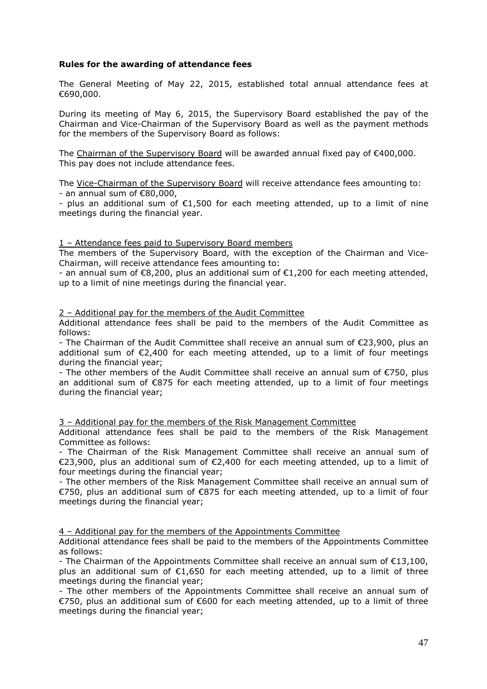#### **Rules for the awarding of attendance fees**

The General Meeting of May 22, 2015, established total annual attendance fees at €690,000.

During its meeting of May 6, 2015, the Supervisory Board established the pay of the Chairman and Vice-Chairman of the Supervisory Board as well as the payment methods for the members of the Supervisory Board as follows:

The Chairman of the Supervisory Board will be awarded annual fixed pay of €400,000. This pay does not include attendance fees.

The Vice-Chairman of the Supervisory Board will receive attendance fees amounting to:  $-$  an annual sum of  $€80.000$ .

- plus an additional sum of  $E1,500$  for each meeting attended, up to a limit of nine meetings during the financial year.

#### 1 – Attendance fees paid to Supervisory Board members

The members of the Supervisory Board, with the exception of the Chairman and Vice-Chairman, will receive attendance fees amounting to:

- an annual sum of €8,200, plus an additional sum of €1,200 for each meeting attended, up to a limit of nine meetings during the financial year.

2 – Additional pay for the members of the Audit Committee

Additional attendance fees shall be paid to the members of the Audit Committee as follows:

- The Chairman of the Audit Committee shall receive an annual sum of €23,900, plus an additional sum of  $\epsilon$ 2,400 for each meeting attended, up to a limit of four meetings during the financial year;

- The other members of the Audit Committee shall receive an annual sum of €750, plus an additional sum of €875 for each meeting attended, up to a limit of four meetings during the financial year;

3 – Additional pay for the members of the Risk Management Committee

Additional attendance fees shall be paid to the members of the Risk Management Committee as follows:

- The Chairman of the Risk Management Committee shall receive an annual sum of €23,900, plus an additional sum of €2,400 for each meeting attended, up to a limit of four meetings during the financial year;

- The other members of the Risk Management Committee shall receive an annual sum of €750, plus an additional sum of €875 for each meeting attended, up to a limit of four meetings during the financial year;

4 – Additional pay for the members of the Appointments Committee

Additional attendance fees shall be paid to the members of the Appointments Committee as follows:

- The Chairman of the Appointments Committee shall receive an annual sum of €13,100, plus an additional sum of  $\epsilon$ 1,650 for each meeting attended, up to a limit of three meetings during the financial year;

- The other members of the Appointments Committee shall receive an annual sum of €750, plus an additional sum of €600 for each meeting attended, up to a limit of three meetings during the financial year;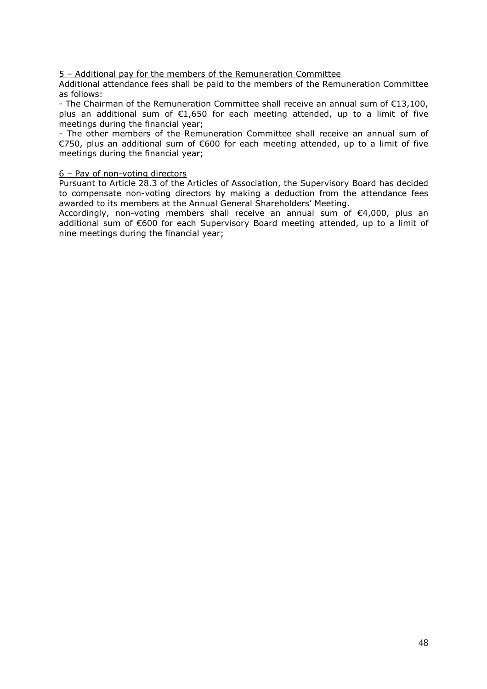#### 5 – Additional pay for the members of the Remuneration Committee

Additional attendance fees shall be paid to the members of the Remuneration Committee as follows:

- The Chairman of the Remuneration Committee shall receive an annual sum of €13,100, plus an additional sum of €1,650 for each meeting attended, up to a limit of five meetings during the financial year;

- The other members of the Remuneration Committee shall receive an annual sum of €750, plus an additional sum of €600 for each meeting attended, up to a limit of five meetings during the financial year;

#### 6 – Pay of non-voting directors

Pursuant to Article 28.3 of the Articles of Association, the Supervisory Board has decided to compensate non-voting directors by making a deduction from the attendance fees awarded to its members at the Annual General Shareholders' Meeting.

Accordingly, non-voting members shall receive an annual sum of €4,000, plus an additional sum of €600 for each Supervisory Board meeting attended, up to a limit of nine meetings during the financial year;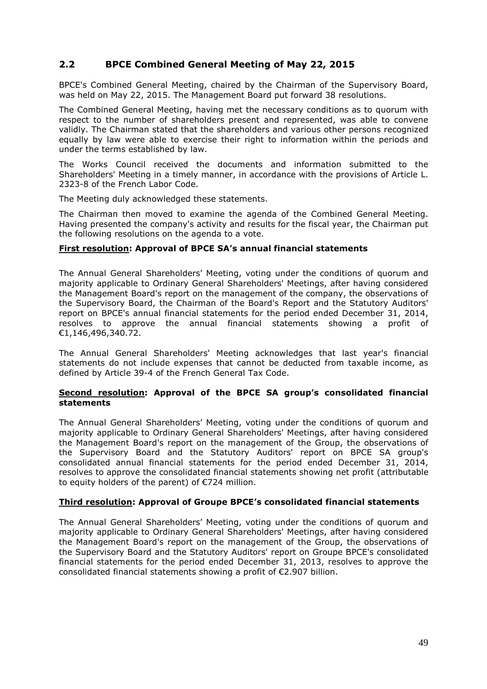# **2.2 BPCE Combined General Meeting of May 22, 2015**

BPCE's Combined General Meeting, chaired by the Chairman of the Supervisory Board, was held on May 22, 2015. The Management Board put forward 38 resolutions.

The Combined General Meeting, having met the necessary conditions as to quorum with respect to the number of shareholders present and represented, was able to convene validly. The Chairman stated that the shareholders and various other persons recognized equally by law were able to exercise their right to information within the periods and under the terms established by law.

The Works Council received the documents and information submitted to the Shareholders' Meeting in a timely manner, in accordance with the provisions of Article L. 2323-8 of the French Labor Code.

The Meeting duly acknowledged these statements.

The Chairman then moved to examine the agenda of the Combined General Meeting. Having presented the company's activity and results for the fiscal year, the Chairman put the following resolutions on the agenda to a vote.

#### **First resolution: Approval of BPCE SA's annual financial statements**

The Annual General Shareholders' Meeting, voting under the conditions of quorum and majority applicable to Ordinary General Shareholders' Meetings, after having considered the Management Board's report on the management of the company, the observations of the Supervisory Board, the Chairman of the Board's Report and the Statutory Auditors' report on BPCE's annual financial statements for the period ended December 31, 2014, resolves to approve the annual financial statements showing a profit of €1,146,496,340.72.

The Annual General Shareholders' Meeting acknowledges that last year's financial statements do not include expenses that cannot be deducted from taxable income, as defined by Article 39-4 of the French General Tax Code.

#### **Second resolution: Approval of the BPCE SA group's consolidated financial statements**

The Annual General Shareholders' Meeting, voting under the conditions of quorum and majority applicable to Ordinary General Shareholders' Meetings, after having considered the Management Board's report on the management of the Group, the observations of the Supervisory Board and the Statutory Auditors' report on BPCE SA group's consolidated annual financial statements for the period ended December 31, 2014, resolves to approve the consolidated financial statements showing net profit (attributable to equity holders of the parent) of €724 million.

### **Third resolution: Approval of Groupe BPCE's consolidated financial statements**

The Annual General Shareholders' Meeting, voting under the conditions of quorum and majority applicable to Ordinary General Shareholders' Meetings, after having considered the Management Board's report on the management of the Group, the observations of the Supervisory Board and the Statutory Auditors' report on Groupe BPCE's consolidated financial statements for the period ended December 31, 2013, resolves to approve the consolidated financial statements showing a profit of €2.907 billion.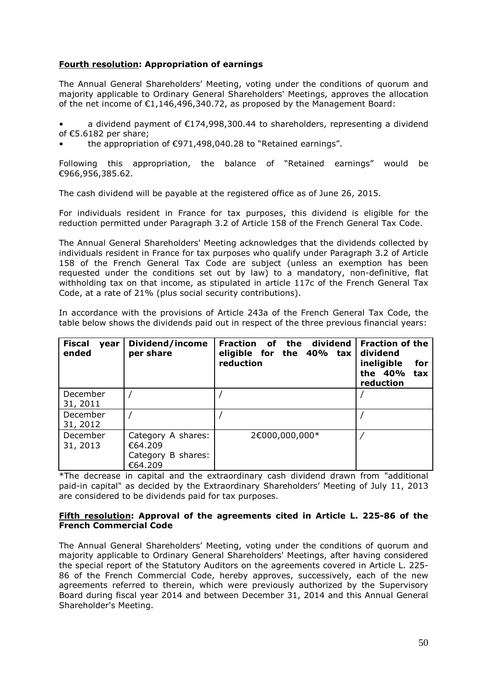## **Fourth resolution: Appropriation of earnings**

The Annual General Shareholders' Meeting, voting under the conditions of quorum and majority applicable to Ordinary General Shareholders' Meetings, approves the allocation of the net income of €1,146,496,340.72, as proposed by the Management Board:

a dividend payment of  $\epsilon$ 174,998,300.44 to shareholders, representing a dividend of €5.6182 per share;

• the appropriation of €971,498,040.28 to "Retained earnings".

Following this appropriation, the balance of "Retained earnings" would be €966,956,385.62.

The cash dividend will be payable at the registered office as of June 26, 2015.

For individuals resident in France for tax purposes, this dividend is eligible for the reduction permitted under Paragraph 3.2 of Article 158 of the French General Tax Code.

The Annual General Shareholders' Meeting acknowledges that the dividends collected by individuals resident in France for tax purposes who qualify under Paragraph 3.2 of Article 158 of the French General Tax Code are subject (unless an exemption has been requested under the conditions set out by law) to a mandatory, non-definitive, flat withholding tax on that income, as stipulated in article 117c of the French General Tax Code, at a rate of 21% (plus social security contributions).

In accordance with the provisions of Article 243a of the French General Tax Code, the table below shows the dividends paid out in respect of the three previous financial years:

| <b>Fiscal</b><br>vear<br>ended | Dividend/income<br>per share                                   | Fraction of the dividend<br>eligible for the 40% tax<br>reduction | <b>Fraction of the</b><br>dividend<br>ineligible<br>for<br>the 40%<br>tax<br>reduction |
|--------------------------------|----------------------------------------------------------------|-------------------------------------------------------------------|----------------------------------------------------------------------------------------|
| December<br>31, 2011           |                                                                |                                                                   |                                                                                        |
| December<br>31, 2012           |                                                                |                                                                   |                                                                                        |
| December<br>31, 2013           | Category A shares:<br>€64.209<br>Category B shares:<br>€64.209 | 2€000,000,000*                                                    |                                                                                        |

\*The decrease in capital and the extraordinary cash dividend drawn from "additional paid-in capital" as decided by the Extraordinary Shareholders' Meeting of July 11, 2013 are considered to be dividends paid for tax purposes.

#### **Fifth resolution: Approval of the agreements cited in Article L. 225-86 of the French Commercial Code**

The Annual General Shareholders' Meeting, voting under the conditions of quorum and majority applicable to Ordinary General Shareholders' Meetings, after having considered the special report of the Statutory Auditors on the agreements covered in Article L. 225- 86 of the French Commercial Code, hereby approves, successively, each of the new agreements referred to therein, which were previously authorized by the Supervisory Board during fiscal year 2014 and between December 31, 2014 and this Annual General Shareholder's Meeting.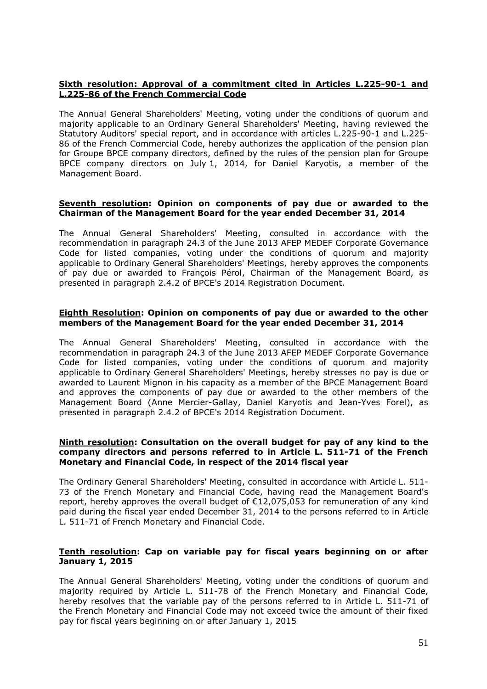### **Sixth resolution: Approval of a commitment cited in Articles L.225-90-1 and L.225-86 of the French Commercial Code**

The Annual General Shareholders' Meeting, voting under the conditions of quorum and majority applicable to an Ordinary General Shareholders' Meeting, having reviewed the Statutory Auditors' special report, and in accordance with articles L.225-90-1 and L.225- 86 of the French Commercial Code, hereby authorizes the application of the pension plan for Groupe BPCE company directors, defined by the rules of the pension plan for Groupe BPCE company directors on July 1, 2014, for Daniel Karyotis, a member of the Management Board.

#### **Seventh resolution: Opinion on components of pay due or awarded to the Chairman of the Management Board for the year ended December 31, 2014**

The Annual General Shareholders' Meeting, consulted in accordance with the recommendation in paragraph 24.3 of the June 2013 AFEP MEDEF Corporate Governance Code for listed companies, voting under the conditions of quorum and majority applicable to Ordinary General Shareholders' Meetings, hereby approves the components of pay due or awarded to François Pérol, Chairman of the Management Board, as presented in paragraph 2.4.2 of BPCE's 2014 Registration Document.

#### **Eighth Resolution: Opinion on components of pay due or awarded to the other members of the Management Board for the year ended December 31, 2014**

The Annual General Shareholders' Meeting, consulted in accordance with the recommendation in paragraph 24.3 of the June 2013 AFEP MEDEF Corporate Governance Code for listed companies, voting under the conditions of quorum and majority applicable to Ordinary General Shareholders' Meetings, hereby stresses no pay is due or awarded to Laurent Mignon in his capacity as a member of the BPCE Management Board and approves the components of pay due or awarded to the other members of the Management Board (Anne Mercier-Gallay, Daniel Karyotis and Jean-Yves Forel), as presented in paragraph 2.4.2 of BPCE's 2014 Registration Document.

#### **Ninth resolution: Consultation on the overall budget for pay of any kind to the company directors and persons referred to in Article L. 511-71 of the French Monetary and Financial Code, in respect of the 2014 fiscal year**

The Ordinary General Shareholders' Meeting, consulted in accordance with Article L. 511- 73 of the French Monetary and Financial Code, having read the Management Board's report, hereby approves the overall budget of €12,075,053 for remuneration of any kind paid during the fiscal year ended December 31, 2014 to the persons referred to in Article L. 511-71 of French Monetary and Financial Code.

#### **Tenth resolution: Cap on variable pay for fiscal years beginning on or after January 1, 2015**

The Annual General Shareholders' Meeting, voting under the conditions of quorum and majority required by Article L. 511-78 of the French Monetary and Financial Code, hereby resolves that the variable pay of the persons referred to in Article L. 511-71 of the French Monetary and Financial Code may not exceed twice the amount of their fixed pay for fiscal years beginning on or after January 1, 2015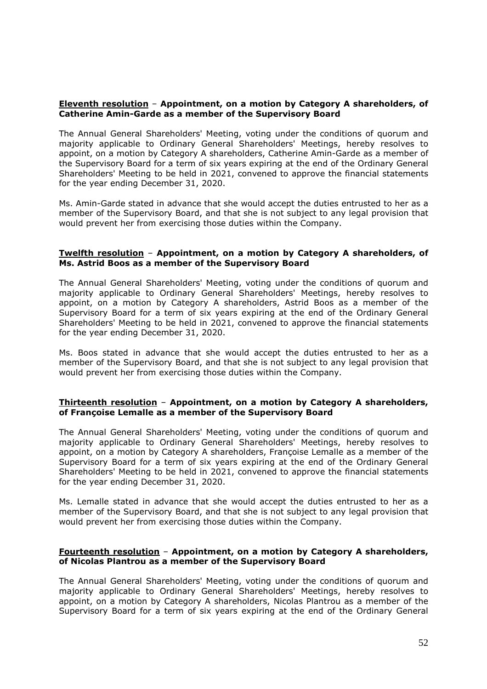#### **Eleventh resolution** – **Appointment, on a motion by Category A shareholders, of Catherine Amin-Garde as a member of the Supervisory Board**

The Annual General Shareholders' Meeting, voting under the conditions of quorum and majority applicable to Ordinary General Shareholders' Meetings, hereby resolves to appoint, on a motion by Category A shareholders, Catherine Amin-Garde as a member of the Supervisory Board for a term of six years expiring at the end of the Ordinary General Shareholders' Meeting to be held in 2021, convened to approve the financial statements for the year ending December 31, 2020.

Ms. Amin-Garde stated in advance that she would accept the duties entrusted to her as a member of the Supervisory Board, and that she is not subject to any legal provision that would prevent her from exercising those duties within the Company.

#### **Twelfth resolution** – **Appointment, on a motion by Category A shareholders, of Ms. Astrid Boos as a member of the Supervisory Board**

The Annual General Shareholders' Meeting, voting under the conditions of quorum and majority applicable to Ordinary General Shareholders' Meetings, hereby resolves to appoint, on a motion by Category A shareholders, Astrid Boos as a member of the Supervisory Board for a term of six years expiring at the end of the Ordinary General Shareholders' Meeting to be held in 2021, convened to approve the financial statements for the year ending December 31, 2020.

Ms. Boos stated in advance that she would accept the duties entrusted to her as a member of the Supervisory Board, and that she is not subject to any legal provision that would prevent her from exercising those duties within the Company.

#### **Thirteenth resolution** – **Appointment, on a motion by Category A shareholders, of Françoise Lemalle as a member of the Supervisory Board**

The Annual General Shareholders' Meeting, voting under the conditions of quorum and majority applicable to Ordinary General Shareholders' Meetings, hereby resolves to appoint, on a motion by Category A shareholders, Françoise Lemalle as a member of the Supervisory Board for a term of six years expiring at the end of the Ordinary General Shareholders' Meeting to be held in 2021, convened to approve the financial statements for the year ending December 31, 2020.

Ms. Lemalle stated in advance that she would accept the duties entrusted to her as a member of the Supervisory Board, and that she is not subject to any legal provision that would prevent her from exercising those duties within the Company.

#### **Fourteenth resolution** – **Appointment, on a motion by Category A shareholders, of Nicolas Plantrou as a member of the Supervisory Board**

The Annual General Shareholders' Meeting, voting under the conditions of quorum and majority applicable to Ordinary General Shareholders' Meetings, hereby resolves to appoint, on a motion by Category A shareholders, Nicolas Plantrou as a member of the Supervisory Board for a term of six years expiring at the end of the Ordinary General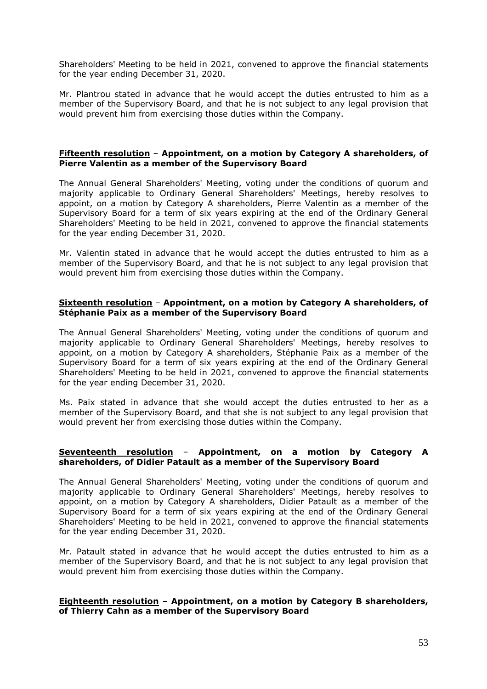Shareholders' Meeting to be held in 2021, convened to approve the financial statements for the year ending December 31, 2020.

Mr. Plantrou stated in advance that he would accept the duties entrusted to him as a member of the Supervisory Board, and that he is not subject to any legal provision that would prevent him from exercising those duties within the Company.

#### **Fifteenth resolution** – **Appointment, on a motion by Category A shareholders, of Pierre Valentin as a member of the Supervisory Board**

The Annual General Shareholders' Meeting, voting under the conditions of quorum and majority applicable to Ordinary General Shareholders' Meetings, hereby resolves to appoint, on a motion by Category A shareholders, Pierre Valentin as a member of the Supervisory Board for a term of six years expiring at the end of the Ordinary General Shareholders' Meeting to be held in 2021, convened to approve the financial statements for the year ending December 31, 2020.

Mr. Valentin stated in advance that he would accept the duties entrusted to him as a member of the Supervisory Board, and that he is not subject to any legal provision that would prevent him from exercising those duties within the Company.

#### **Sixteenth resolution** – **Appointment, on a motion by Category A shareholders, of Stéphanie Paix as a member of the Supervisory Board**

The Annual General Shareholders' Meeting, voting under the conditions of quorum and majority applicable to Ordinary General Shareholders' Meetings, hereby resolves to appoint, on a motion by Category A shareholders, Stéphanie Paix as a member of the Supervisory Board for a term of six years expiring at the end of the Ordinary General Shareholders' Meeting to be held in 2021, convened to approve the financial statements for the year ending December 31, 2020.

Ms. Paix stated in advance that she would accept the duties entrusted to her as a member of the Supervisory Board, and that she is not subject to any legal provision that would prevent her from exercising those duties within the Company.

#### **Seventeenth resolution** – **Appointment, on a motion by Category A shareholders, of Didier Patault as a member of the Supervisory Board**

The Annual General Shareholders' Meeting, voting under the conditions of quorum and majority applicable to Ordinary General Shareholders' Meetings, hereby resolves to appoint, on a motion by Category A shareholders, Didier Patault as a member of the Supervisory Board for a term of six years expiring at the end of the Ordinary General Shareholders' Meeting to be held in 2021, convened to approve the financial statements for the year ending December 31, 2020.

Mr. Patault stated in advance that he would accept the duties entrusted to him as a member of the Supervisory Board, and that he is not subject to any legal provision that would prevent him from exercising those duties within the Company.

#### **Eighteenth resolution** – **Appointment, on a motion by Category B shareholders, of Thierry Cahn as a member of the Supervisory Board**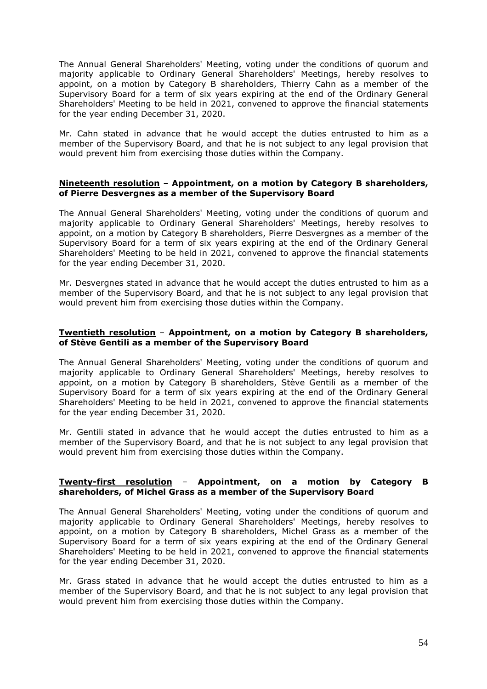The Annual General Shareholders' Meeting, voting under the conditions of quorum and majority applicable to Ordinary General Shareholders' Meetings, hereby resolves to appoint, on a motion by Category B shareholders, Thierry Cahn as a member of the Supervisory Board for a term of six years expiring at the end of the Ordinary General Shareholders' Meeting to be held in 2021, convened to approve the financial statements for the year ending December 31, 2020.

Mr. Cahn stated in advance that he would accept the duties entrusted to him as a member of the Supervisory Board, and that he is not subject to any legal provision that would prevent him from exercising those duties within the Company.

#### **Nineteenth resolution** – **Appointment, on a motion by Category B shareholders, of Pierre Desvergnes as a member of the Supervisory Board**

The Annual General Shareholders' Meeting, voting under the conditions of quorum and majority applicable to Ordinary General Shareholders' Meetings, hereby resolves to appoint, on a motion by Category B shareholders, Pierre Desvergnes as a member of the Supervisory Board for a term of six years expiring at the end of the Ordinary General Shareholders' Meeting to be held in 2021, convened to approve the financial statements for the year ending December 31, 2020.

Mr. Desvergnes stated in advance that he would accept the duties entrusted to him as a member of the Supervisory Board, and that he is not subject to any legal provision that would prevent him from exercising those duties within the Company.

#### **Twentieth resolution** – **Appointment, on a motion by Category B shareholders, of Stève Gentili as a member of the Supervisory Board**

The Annual General Shareholders' Meeting, voting under the conditions of quorum and majority applicable to Ordinary General Shareholders' Meetings, hereby resolves to appoint, on a motion by Category B shareholders, Stève Gentili as a member of the Supervisory Board for a term of six years expiring at the end of the Ordinary General Shareholders' Meeting to be held in 2021, convened to approve the financial statements for the year ending December 31, 2020.

Mr. Gentili stated in advance that he would accept the duties entrusted to him as a member of the Supervisory Board, and that he is not subject to any legal provision that would prevent him from exercising those duties within the Company.

#### **Twenty-first resolution** – **Appointment, on a motion by Category B shareholders, of Michel Grass as a member of the Supervisory Board**

The Annual General Shareholders' Meeting, voting under the conditions of quorum and majority applicable to Ordinary General Shareholders' Meetings, hereby resolves to appoint, on a motion by Category B shareholders, Michel Grass as a member of the Supervisory Board for a term of six years expiring at the end of the Ordinary General Shareholders' Meeting to be held in 2021, convened to approve the financial statements for the year ending December 31, 2020.

Mr. Grass stated in advance that he would accept the duties entrusted to him as a member of the Supervisory Board, and that he is not subject to any legal provision that would prevent him from exercising those duties within the Company.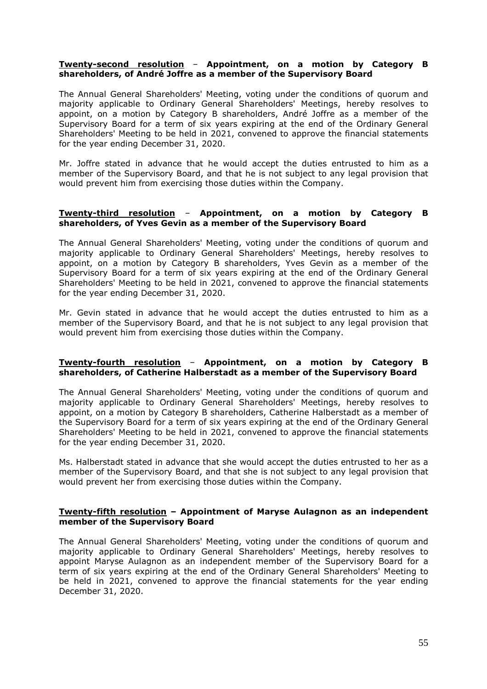#### **Twenty-second resolution** – **Appointment, on a motion by Category B shareholders, of André Joffre as a member of the Supervisory Board**

The Annual General Shareholders' Meeting, voting under the conditions of quorum and majority applicable to Ordinary General Shareholders' Meetings, hereby resolves to appoint, on a motion by Category B shareholders, André Joffre as a member of the Supervisory Board for a term of six years expiring at the end of the Ordinary General Shareholders' Meeting to be held in 2021, convened to approve the financial statements for the year ending December 31, 2020.

Mr. Joffre stated in advance that he would accept the duties entrusted to him as a member of the Supervisory Board, and that he is not subject to any legal provision that would prevent him from exercising those duties within the Company.

#### **Twenty-third resolution** – **Appointment, on a motion by Category B shareholders, of Yves Gevin as a member of the Supervisory Board**

The Annual General Shareholders' Meeting, voting under the conditions of quorum and majority applicable to Ordinary General Shareholders' Meetings, hereby resolves to appoint, on a motion by Category B shareholders, Yves Gevin as a member of the Supervisory Board for a term of six years expiring at the end of the Ordinary General Shareholders' Meeting to be held in 2021, convened to approve the financial statements for the year ending December 31, 2020.

Mr. Gevin stated in advance that he would accept the duties entrusted to him as a member of the Supervisory Board, and that he is not subject to any legal provision that would prevent him from exercising those duties within the Company.

#### **Twenty-fourth resolution** – **Appointment, on a motion by Category B shareholders, of Catherine Halberstadt as a member of the Supervisory Board**

The Annual General Shareholders' Meeting, voting under the conditions of quorum and majority applicable to Ordinary General Shareholders' Meetings, hereby resolves to appoint, on a motion by Category B shareholders, Catherine Halberstadt as a member of the Supervisory Board for a term of six years expiring at the end of the Ordinary General Shareholders' Meeting to be held in 2021, convened to approve the financial statements for the year ending December 31, 2020.

Ms. Halberstadt stated in advance that she would accept the duties entrusted to her as a member of the Supervisory Board, and that she is not subject to any legal provision that would prevent her from exercising those duties within the Company.

#### **Twenty-fifth resolution – Appointment of Maryse Aulagnon as an independent member of the Supervisory Board**

The Annual General Shareholders' Meeting, voting under the conditions of quorum and majority applicable to Ordinary General Shareholders' Meetings, hereby resolves to appoint Maryse Aulagnon as an independent member of the Supervisory Board for a term of six years expiring at the end of the Ordinary General Shareholders' Meeting to be held in 2021, convened to approve the financial statements for the year ending December 31, 2020.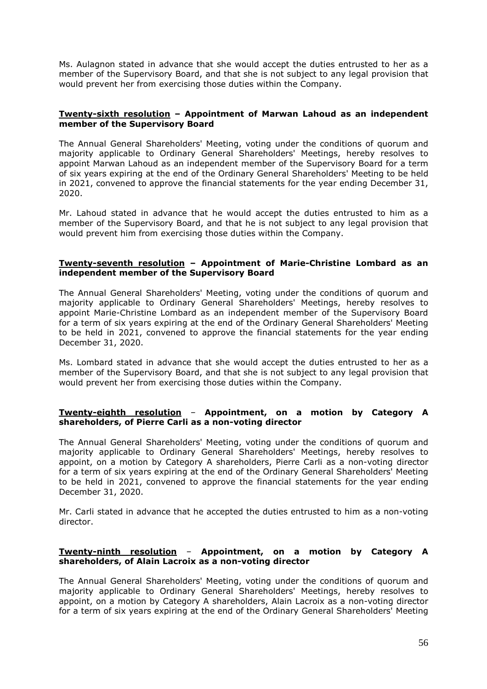Ms. Aulagnon stated in advance that she would accept the duties entrusted to her as a member of the Supervisory Board, and that she is not subject to any legal provision that would prevent her from exercising those duties within the Company.

#### **Twenty-sixth resolution – Appointment of Marwan Lahoud as an independent member of the Supervisory Board**

The Annual General Shareholders' Meeting, voting under the conditions of quorum and majority applicable to Ordinary General Shareholders' Meetings, hereby resolves to appoint Marwan Lahoud as an independent member of the Supervisory Board for a term of six years expiring at the end of the Ordinary General Shareholders' Meeting to be held in 2021, convened to approve the financial statements for the year ending December 31, 2020.

Mr. Lahoud stated in advance that he would accept the duties entrusted to him as a member of the Supervisory Board, and that he is not subject to any legal provision that would prevent him from exercising those duties within the Company.

#### **Twenty-seventh resolution – Appointment of Marie-Christine Lombard as an independent member of the Supervisory Board**

The Annual General Shareholders' Meeting, voting under the conditions of quorum and majority applicable to Ordinary General Shareholders' Meetings, hereby resolves to appoint Marie-Christine Lombard as an independent member of the Supervisory Board for a term of six years expiring at the end of the Ordinary General Shareholders' Meeting to be held in 2021, convened to approve the financial statements for the year ending December 31, 2020.

Ms. Lombard stated in advance that she would accept the duties entrusted to her as a member of the Supervisory Board, and that she is not subject to any legal provision that would prevent her from exercising those duties within the Company.

#### **Twenty-eighth resolution** *–* **Appointment, on a motion by Category A shareholders, of Pierre Carli as a non-voting director**

The Annual General Shareholders' Meeting, voting under the conditions of quorum and majority applicable to Ordinary General Shareholders' Meetings, hereby resolves to appoint, on a motion by Category A shareholders, Pierre Carli as a non-voting director for a term of six years expiring at the end of the Ordinary General Shareholders' Meeting to be held in 2021, convened to approve the financial statements for the year ending December 31, 2020.

Mr. Carli stated in advance that he accepted the duties entrusted to him as a non-voting director.

#### **Twenty-ninth resolution** – **Appointment, on a motion by Category A shareholders, of Alain Lacroix as a non-voting director**

The Annual General Shareholders' Meeting, voting under the conditions of quorum and majority applicable to Ordinary General Shareholders' Meetings, hereby resolves to appoint, on a motion by Category A shareholders, Alain Lacroix as a non-voting director for a term of six years expiring at the end of the Ordinary General Shareholders' Meeting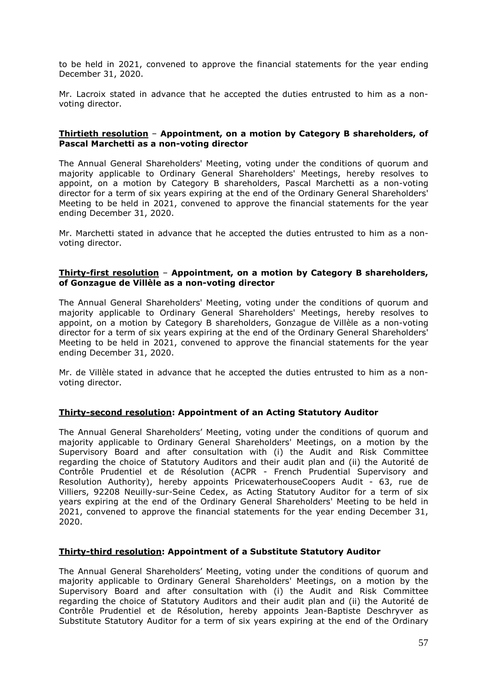to be held in 2021, convened to approve the financial statements for the year ending December 31, 2020.

Mr. Lacroix stated in advance that he accepted the duties entrusted to him as a nonvoting director.

#### **Thirtieth resolution** – **Appointment, on a motion by Category B shareholders, of Pascal Marchetti as a non-voting director**

The Annual General Shareholders' Meeting, voting under the conditions of quorum and majority applicable to Ordinary General Shareholders' Meetings, hereby resolves to appoint, on a motion by Category B shareholders, Pascal Marchetti as a non-voting director for a term of six years expiring at the end of the Ordinary General Shareholders' Meeting to be held in 2021, convened to approve the financial statements for the year ending December 31, 2020.

Mr. Marchetti stated in advance that he accepted the duties entrusted to him as a nonvoting director.

#### **Thirty-first resolution** – **Appointment, on a motion by Category B shareholders, of Gonzague de Villèle as a non-voting director**

The Annual General Shareholders' Meeting, voting under the conditions of quorum and majority applicable to Ordinary General Shareholders' Meetings, hereby resolves to appoint, on a motion by Category B shareholders, Gonzague de Villèle as a non-voting director for a term of six years expiring at the end of the Ordinary General Shareholders' Meeting to be held in 2021, convened to approve the financial statements for the year ending December 31, 2020.

Mr. de Villèle stated in advance that he accepted the duties entrusted to him as a nonvoting director.

#### **Thirty-second resolution: Appointment of an Acting Statutory Auditor**

The Annual General Shareholders' Meeting, voting under the conditions of quorum and majority applicable to Ordinary General Shareholders' Meetings, on a motion by the Supervisory Board and after consultation with (i) the Audit and Risk Committee regarding the choice of Statutory Auditors and their audit plan and (ii) the Autorité de Contrôle Prudentiel et de Résolution (ACPR - French Prudential Supervisory and Resolution Authority), hereby appoints PricewaterhouseCoopers Audit - 63, rue de Villiers, 92208 Neuilly-sur-Seine Cedex, as Acting Statutory Auditor for a term of six years expiring at the end of the Ordinary General Shareholders' Meeting to be held in 2021, convened to approve the financial statements for the year ending December 31, 2020.

#### **Thirty-third resolution: Appointment of a Substitute Statutory Auditor**

The Annual General Shareholders' Meeting, voting under the conditions of quorum and majority applicable to Ordinary General Shareholders' Meetings, on a motion by the Supervisory Board and after consultation with (i) the Audit and Risk Committee regarding the choice of Statutory Auditors and their audit plan and (ii) the Autorité de Contrôle Prudentiel et de Résolution, hereby appoints Jean-Baptiste Deschryver as Substitute Statutory Auditor for a term of six years expiring at the end of the Ordinary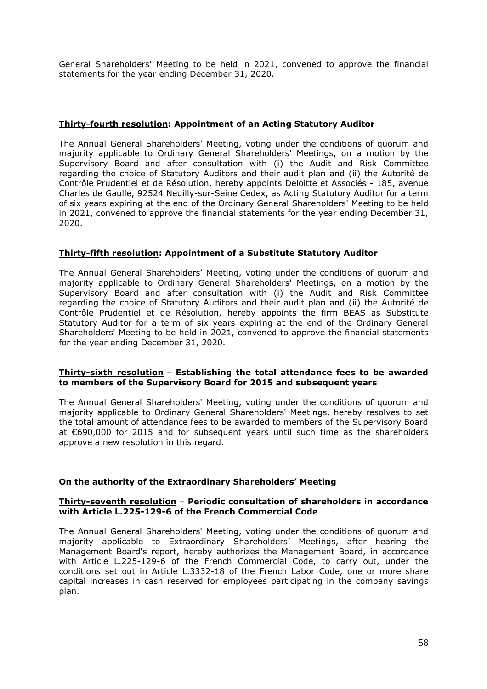General Shareholders' Meeting to be held in 2021, convened to approve the financial statements for the year ending December 31, 2020.

### **Thirty-fourth resolution: Appointment of an Acting Statutory Auditor**

The Annual General Shareholders' Meeting, voting under the conditions of quorum and majority applicable to Ordinary General Shareholders' Meetings, on a motion by the Supervisory Board and after consultation with (i) the Audit and Risk Committee regarding the choice of Statutory Auditors and their audit plan and (ii) the Autorité de Contrôle Prudentiel et de Résolution, hereby appoints Deloitte et Associés - 185, avenue Charles de Gaulle, 92524 Neuilly-sur-Seine Cedex, as Acting Statutory Auditor for a term of six years expiring at the end of the Ordinary General Shareholders' Meeting to be held in 2021, convened to approve the financial statements for the year ending December 31, 2020.

#### **Thirty-fifth resolution: Appointment of a Substitute Statutory Auditor**

The Annual General Shareholders' Meeting, voting under the conditions of quorum and majority applicable to Ordinary General Shareholders' Meetings, on a motion by the Supervisory Board and after consultation with (i) the Audit and Risk Committee regarding the choice of Statutory Auditors and their audit plan and (ii) the Autorité de Contrôle Prudentiel et de Résolution, hereby appoints the firm BEAS as Substitute Statutory Auditor for a term of six years expiring at the end of the Ordinary General Shareholders' Meeting to be held in 2021, convened to approve the financial statements for the year ending December 31, 2020.

#### **Thirty-sixth resolution** – **Establishing the total attendance fees to be awarded to members of the Supervisory Board for 2015 and subsequent years**

The Annual General Shareholders' Meeting, voting under the conditions of quorum and majority applicable to Ordinary General Shareholders' Meetings, hereby resolves to set the total amount of attendance fees to be awarded to members of the Supervisory Board at €690,000 for 2015 and for subsequent years until such time as the shareholders approve a new resolution in this regard.

#### **On the authority of the Extraordinary Shareholders' Meeting**

#### **Thirty-seventh resolution** – **Periodic consultation of shareholders in accordance with Article L.225-129-6 of the French Commercial Code**

The Annual General Shareholders' Meeting, voting under the conditions of quorum and majority applicable to Extraordinary Shareholders' Meetings, after hearing the Management Board's report, hereby authorizes the Management Board, in accordance with Article L.225-129-6 of the French Commercial Code, to carry out, under the conditions set out in Article L.3332-18 of the French Labor Code, one or more share capital increases in cash reserved for employees participating in the company savings plan.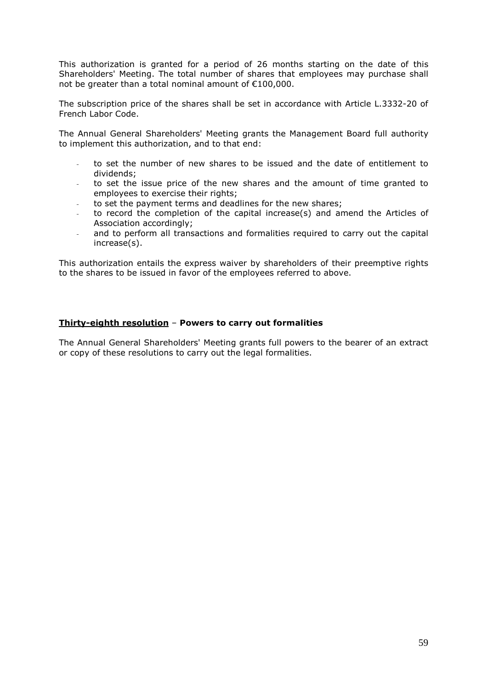This authorization is granted for a period of 26 months starting on the date of this Shareholders' Meeting. The total number of shares that employees may purchase shall not be greater than a total nominal amount of €100,000.

The subscription price of the shares shall be set in accordance with Article L.3332-20 of French Labor Code.

The Annual General Shareholders' Meeting grants the Management Board full authority to implement this authorization, and to that end:

- to set the number of new shares to be issued and the date of entitlement to dividends;
- to set the issue price of the new shares and the amount of time granted to employees to exercise their rights;
- to set the payment terms and deadlines for the new shares;
- to record the completion of the capital increase(s) and amend the Articles of Association accordingly;
- and to perform all transactions and formalities required to carry out the capital increase(s).

This authorization entails the express waiver by shareholders of their preemptive rights to the shares to be issued in favor of the employees referred to above.

#### **Thirty-eighth resolution** – **Powers to carry out formalities**

The Annual General Shareholders' Meeting grants full powers to the bearer of an extract or copy of these resolutions to carry out the legal formalities.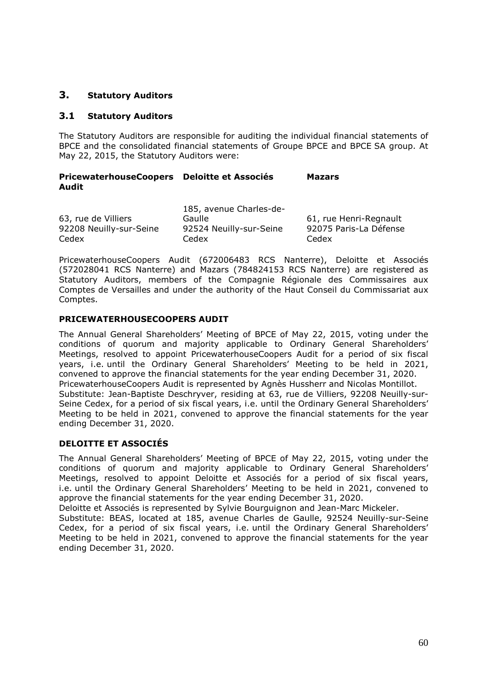# **3. Statutory Auditors**

### **3.1 Statutory Auditors**

The Statutory Auditors are responsible for auditing the individual financial statements of BPCE and the consolidated financial statements of Groupe BPCE and BPCE SA group. At May 22, 2015, the Statutory Auditors were:

#### **PricewaterhouseCoopers Deloitte et Associés Mazars Audit**

|                         | 185, avenue Charles-de- |                        |
|-------------------------|-------------------------|------------------------|
| 63, rue de Villiers     | Gaulle                  | 61, rue Henri-Regnault |
| 92208 Neuilly-sur-Seine | 92524 Neuilly-sur-Seine | 92075 Paris-La Défense |
| Cedex                   | Cedex                   | Cedex                  |

PricewaterhouseCoopers Audit (672006483 RCS Nanterre), Deloitte et Associés (572028041 RCS Nanterre) and Mazars (784824153 RCS Nanterre) are registered as Statutory Auditors, members of the Compagnie Régionale des Commissaires aux Comptes de Versailles and under the authority of the Haut Conseil du Commissariat aux Comptes.

#### **PRICEWATERHOUSECOOPERS AUDIT**

The Annual General Shareholders' Meeting of BPCE of May 22, 2015, voting under the conditions of quorum and majority applicable to Ordinary General Shareholders' Meetings, resolved to appoint PricewaterhouseCoopers Audit for a period of six fiscal years, i.e. until the Ordinary General Shareholders' Meeting to be held in 2021, convened to approve the financial statements for the year ending December 31, 2020. PricewaterhouseCoopers Audit is represented by Agnès Hussherr and Nicolas Montillot. Substitute: Jean-Baptiste Deschryver, residing at 63, rue de Villiers, 92208 Neuilly-sur-Seine Cedex, for a period of six fiscal years, i.e. until the Ordinary General Shareholders' Meeting to be held in 2021, convened to approve the financial statements for the year ending December 31, 2020.

## **DELOITTE ET ASSOCIÉS**

The Annual General Shareholders' Meeting of BPCE of May 22, 2015, voting under the conditions of quorum and majority applicable to Ordinary General Shareholders' Meetings, resolved to appoint Deloitte et Associés for a period of six fiscal years, i.e. until the Ordinary General Shareholders' Meeting to be held in 2021, convened to approve the financial statements for the year ending December 31, 2020.

Deloitte et Associés is represented by Sylvie Bourguignon and Jean-Marc Mickeler.

Substitute: BEAS, located at 185, avenue Charles de Gaulle, 92524 Neuilly-sur-Seine Cedex, for a period of six fiscal years, i.e. until the Ordinary General Shareholders' Meeting to be held in 2021, convened to approve the financial statements for the year ending December 31, 2020.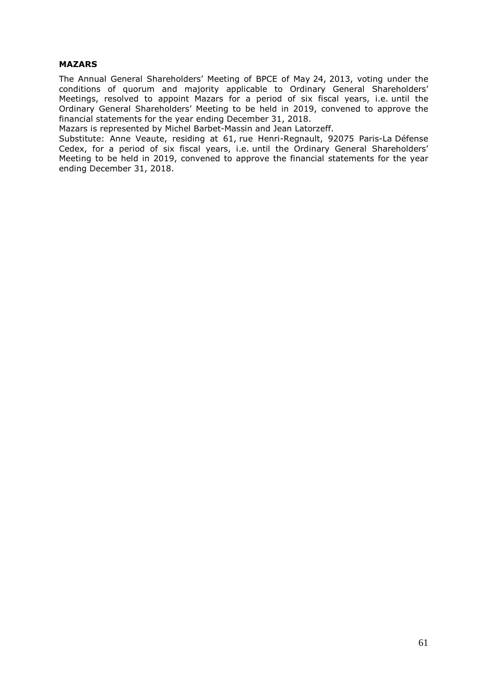#### **MAZARS**

The Annual General Shareholders' Meeting of BPCE of May 24, 2013, voting under the conditions of quorum and majority applicable to Ordinary General Shareholders' Meetings, resolved to appoint Mazars for a period of six fiscal years, i.e. until the Ordinary General Shareholders' Meeting to be held in 2019, convened to approve the financial statements for the year ending December 31, 2018.

Mazars is represented by Michel Barbet-Massin and Jean Latorzeff.

Substitute: Anne Veaute, residing at 61, rue Henri-Regnault, 92075 Paris-La Défense Cedex, for a period of six fiscal years, i.e. until the Ordinary General Shareholders' Meeting to be held in 2019, convened to approve the financial statements for the year ending December 31, 2018.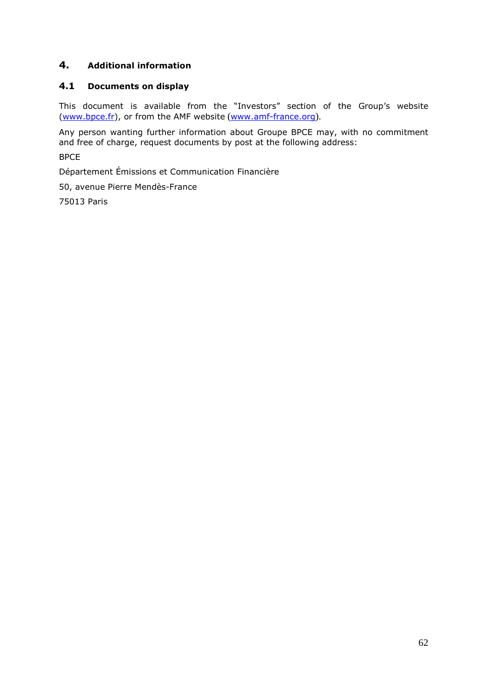# **4. Additional information**

# **4.1 Documents on display**

This document is available from the "Investors" section of the Group's website (www.bpce.fr), or from the AMF website (www.amf-france.org).

Any person wanting further information about Groupe BPCE may, with no commitment and free of charge, request documents by post at the following address:

BPCE

Département Émissions et Communication Financière

50, avenue Pierre Mendès-France

75013 Paris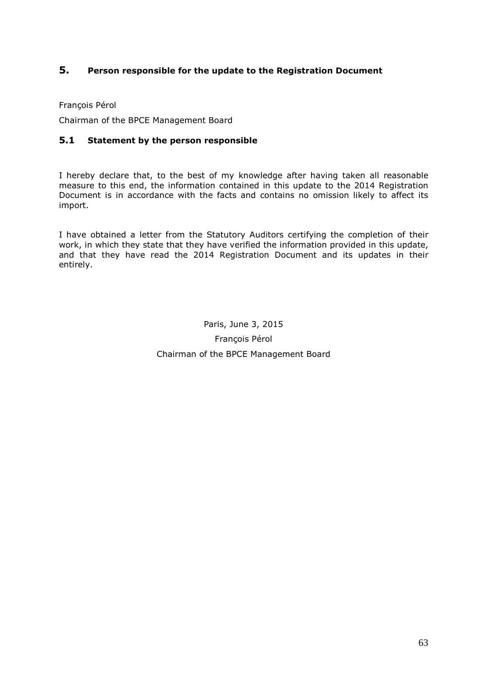# **5. Person responsible for the update to the Registration Document**

François Pérol

Chairman of the BPCE Management Board

### **5.1 Statement by the person responsible**

I hereby declare that, to the best of my knowledge after having taken all reasonable measure to this end, the information contained in this update to the 2014 Registration Document is in accordance with the facts and contains no omission likely to affect its import.

I have obtained a letter from the Statutory Auditors certifying the completion of their work, in which they state that they have verified the information provided in this update, and that they have read the 2014 Registration Document and its updates in their entirely.

> Paris, June 3, 2015 François Pérol Chairman of the BPCE Management Board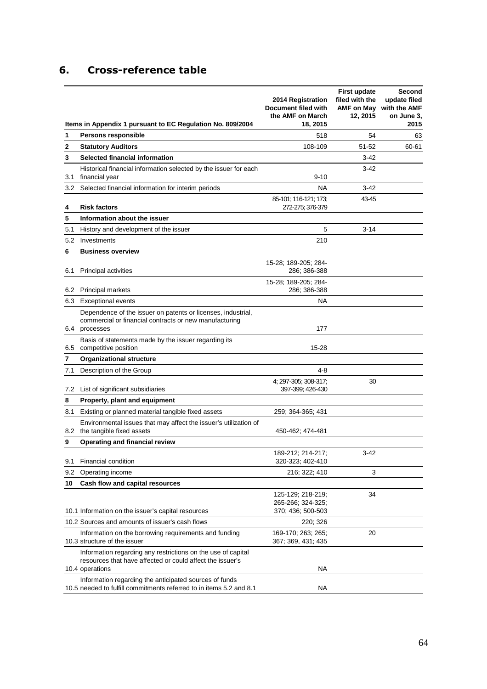# **6. Cross-reference table**

|     | Items in Appendix 1 pursuant to EC Regulation No. 809/2004                                                                                   | 2014 Registration<br>Document filed with<br>the AMF on March<br>18, 2015 | <b>First update</b><br>filed with the<br>12, 2015 | Second<br>update filed<br>AMF on May with the AMF<br>on June 3.<br>2015 |
|-----|----------------------------------------------------------------------------------------------------------------------------------------------|--------------------------------------------------------------------------|---------------------------------------------------|-------------------------------------------------------------------------|
| 1   | <b>Persons responsible</b>                                                                                                                   | 518                                                                      | 54                                                | 63                                                                      |
| 2   | <b>Statutory Auditors</b>                                                                                                                    | 108-109                                                                  | 51-52                                             | 60-61                                                                   |
| 3   | Selected financial information                                                                                                               |                                                                          | $3-42$                                            |                                                                         |
| 3.1 | Historical financial information selected by the issuer for each<br>financial year                                                           | $9 - 10$                                                                 | 3-42                                              |                                                                         |
| 3.2 | Selected financial information for interim periods                                                                                           | <b>NA</b>                                                                | $3-42$                                            |                                                                         |
| 4   | <b>Risk factors</b>                                                                                                                          | 85-101; 116-121; 173;<br>272-275; 376-379                                | 43-45                                             |                                                                         |
| 5   | Information about the issuer                                                                                                                 |                                                                          |                                                   |                                                                         |
| 5.1 | History and development of the issuer                                                                                                        | 5                                                                        | $3 - 14$                                          |                                                                         |
| 5.2 | Investments                                                                                                                                  | 210                                                                      |                                                   |                                                                         |
| 6   | <b>Business overview</b>                                                                                                                     |                                                                          |                                                   |                                                                         |
| 6.1 | <b>Principal activities</b>                                                                                                                  | 15-28; 189-205; 284-<br>286: 386-388                                     |                                                   |                                                                         |
| 6.2 | <b>Principal markets</b>                                                                                                                     | 15-28: 189-205: 284-<br>286; 386-388                                     |                                                   |                                                                         |
| 6.3 | <b>Exceptional events</b>                                                                                                                    | <b>NA</b>                                                                |                                                   |                                                                         |
|     | Dependence of the issuer on patents or licenses, industrial,<br>commercial or financial contracts or new manufacturing<br>6.4 processes      | 177                                                                      |                                                   |                                                                         |
|     | Basis of statements made by the issuer regarding its<br>6.5 competitive position                                                             | 15-28                                                                    |                                                   |                                                                         |
| 7   | <b>Organizational structure</b>                                                                                                              |                                                                          |                                                   |                                                                         |
| 7.1 | Description of the Group                                                                                                                     | 4-8                                                                      |                                                   |                                                                         |
| 7.2 | List of significant subsidiaries                                                                                                             | 4; 297-305; 308-317;<br>397-399; 426-430                                 | 30                                                |                                                                         |
| 8   | Property, plant and equipment                                                                                                                |                                                                          |                                                   |                                                                         |
| 8.1 | Existing or planned material tangible fixed assets                                                                                           | 259; 364-365; 431                                                        |                                                   |                                                                         |
|     | Environmental issues that may affect the issuer's utilization of<br>8.2 the tangible fixed assets                                            | 450-462; 474-481                                                         |                                                   |                                                                         |
| 9   | Operating and financial review                                                                                                               |                                                                          |                                                   |                                                                         |
| 9.1 | Financial condition                                                                                                                          | 189-212; 214-217;<br>320-323; 402-410                                    | 3-42                                              |                                                                         |
| 9.2 | Operating income                                                                                                                             | 216; 322; 410                                                            | 3                                                 |                                                                         |
| 10  | Cash flow and capital resources                                                                                                              |                                                                          |                                                   |                                                                         |
|     |                                                                                                                                              | 125-129; 218-219;<br>265-266; 324-325;                                   | 34                                                |                                                                         |
|     | 10.1 Information on the issuer's capital resources                                                                                           | 370; 436; 500-503                                                        |                                                   |                                                                         |
|     | 10.2 Sources and amounts of issuer's cash flows                                                                                              | 220; 326                                                                 |                                                   |                                                                         |
|     | Information on the borrowing requirements and funding<br>10.3 structure of the issuer                                                        | 169-170; 263; 265;<br>367; 369, 431; 435                                 | 20                                                |                                                                         |
|     | Information regarding any restrictions on the use of capital<br>resources that have affected or could affect the issuer's<br>10.4 operations | NA                                                                       |                                                   |                                                                         |
|     | Information regarding the anticipated sources of funds<br>10.5 needed to fulfill commitments referred to in items 5.2 and 8.1                | NA                                                                       |                                                   |                                                                         |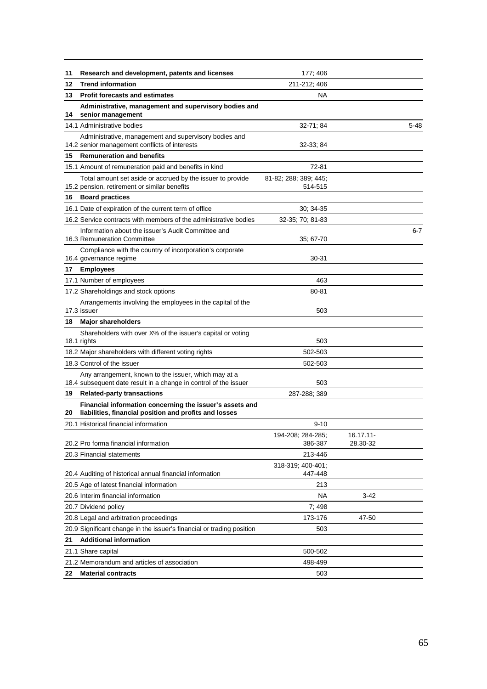| 11 | Research and development, patents and licenses                                                                           | 177; 406                         |                       |          |
|----|--------------------------------------------------------------------------------------------------------------------------|----------------------------------|-----------------------|----------|
| 12 | <b>Trend information</b>                                                                                                 | 211-212; 406                     |                       |          |
| 13 | <b>Profit forecasts and estimates</b>                                                                                    | NA                               |                       |          |
| 14 | Administrative, management and supervisory bodies and<br>senior management                                               |                                  |                       |          |
|    | 14.1 Administrative bodies                                                                                               | 32-71; 84                        |                       | $5 - 48$ |
|    | Administrative, management and supervisory bodies and<br>14.2 senior management conflicts of interests                   | 32-33; 84                        |                       |          |
| 15 | <b>Remuneration and benefits</b>                                                                                         |                                  |                       |          |
|    | 15.1 Amount of remuneration paid and benefits in kind                                                                    | 72-81                            |                       |          |
|    | Total amount set aside or accrued by the issuer to provide<br>15.2 pension, retirement or similar benefits               | 81-82; 288; 389; 445;<br>514-515 |                       |          |
| 16 | <b>Board practices</b>                                                                                                   |                                  |                       |          |
|    | 16.1 Date of expiration of the current term of office                                                                    | 30; 34.35                        |                       |          |
|    | 16.2 Service contracts with members of the administrative bodies                                                         | 32-35; 70; 81-83                 |                       |          |
|    | Information about the issuer's Audit Committee and<br>16.3 Remuneration Committee                                        | 35, 67-70                        |                       | $6 - 7$  |
|    | Compliance with the country of incorporation's corporate<br>16.4 governance regime                                       | 30-31                            |                       |          |
| 17 | <b>Employees</b>                                                                                                         |                                  |                       |          |
|    | 17.1 Number of employees                                                                                                 | 463                              |                       |          |
|    | 17.2 Shareholdings and stock options                                                                                     | 80-81                            |                       |          |
|    | Arrangements involving the employees in the capital of the<br>17.3 issuer                                                | 503                              |                       |          |
|    | 18 Major shareholders                                                                                                    |                                  |                       |          |
|    | Shareholders with over X% of the issuer's capital or voting<br>18.1 rights                                               | 503                              |                       |          |
|    | 18.2 Major shareholders with different voting rights                                                                     | 502-503                          |                       |          |
|    | 18.3 Control of the issuer                                                                                               | 502-503                          |                       |          |
|    | Any arrangement, known to the issuer, which may at a<br>18.4 subsequent date result in a change in control of the issuer | 503                              |                       |          |
| 19 | <b>Related-party transactions</b>                                                                                        | 287-288; 389                     |                       |          |
| 20 | Financial information concerning the issuer's assets and<br>liabilities, financial position and profits and losses       |                                  |                       |          |
|    | 20.1 Historical financial information                                                                                    | $9 - 10$                         |                       |          |
|    | 20.2 Pro forma financial information                                                                                     | 194-208; 284-285;<br>386-387     | 16.17.11-<br>28.30-32 |          |
|    | 20.3 Financial statements                                                                                                | 213-446                          |                       |          |
|    | 20.4 Auditing of historical annual financial information                                                                 | 318-319; 400-401;<br>447-448     |                       |          |
|    | 20.5 Age of latest financial information                                                                                 | 213                              |                       |          |
|    | 20.6 Interim financial information                                                                                       | <b>NA</b>                        | $3-42$                |          |
|    | 20.7 Dividend policy                                                                                                     | 7:498                            |                       |          |
|    | 20.8 Legal and arbitration proceedings                                                                                   | 173-176                          | 47-50                 |          |
|    | 20.9 Significant change in the issuer's financial or trading position                                                    | 503                              |                       |          |
| 21 | <b>Additional information</b>                                                                                            |                                  |                       |          |
|    | 21.1 Share capital                                                                                                       | 500-502                          |                       |          |
|    | 21.2 Memorandum and articles of association                                                                              | 498-499                          |                       |          |
| 22 | <b>Material contracts</b>                                                                                                | 503                              |                       |          |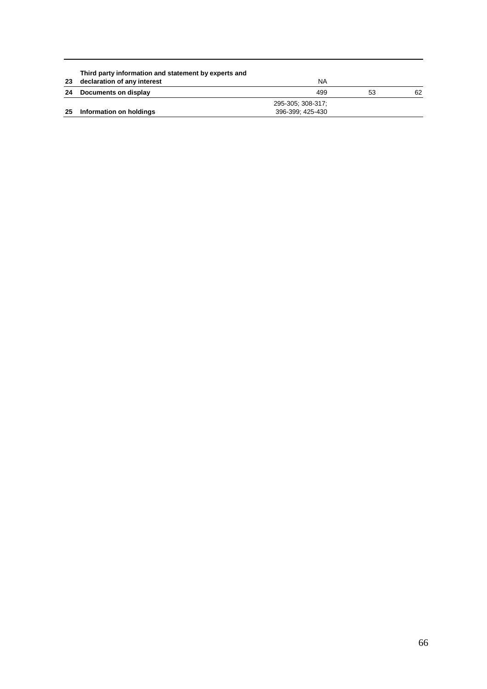|    | Third party information and statement by experts and |                   |    |    |
|----|------------------------------------------------------|-------------------|----|----|
| 23 | declaration of any interest                          | ΝA                |    |    |
| 24 | Documents on display                                 | 499               | 53 | 62 |
|    |                                                      | 295-305: 308-317: |    |    |
| 25 | Information on holdings                              | 396-399: 425-430  |    |    |